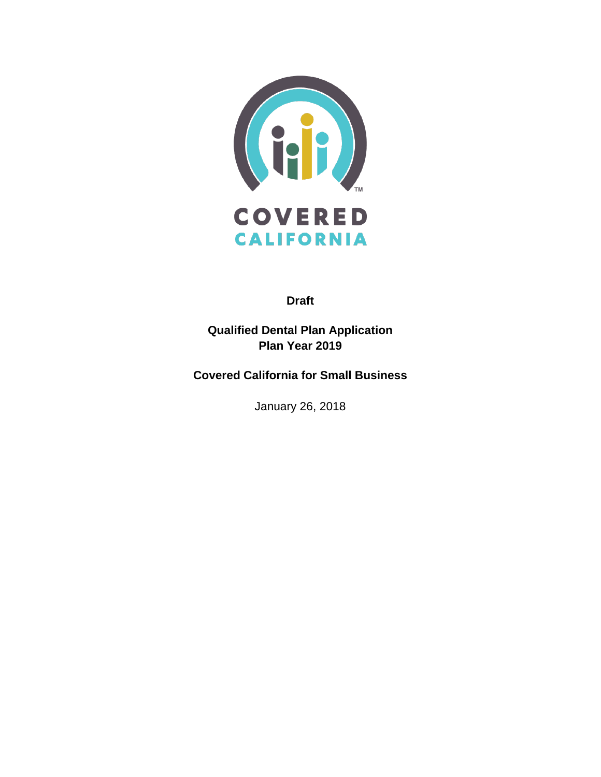

**Draft**

**Qualified Dental Plan Application Plan Year 2019**

**Covered California for Small Business**

January 26, 2018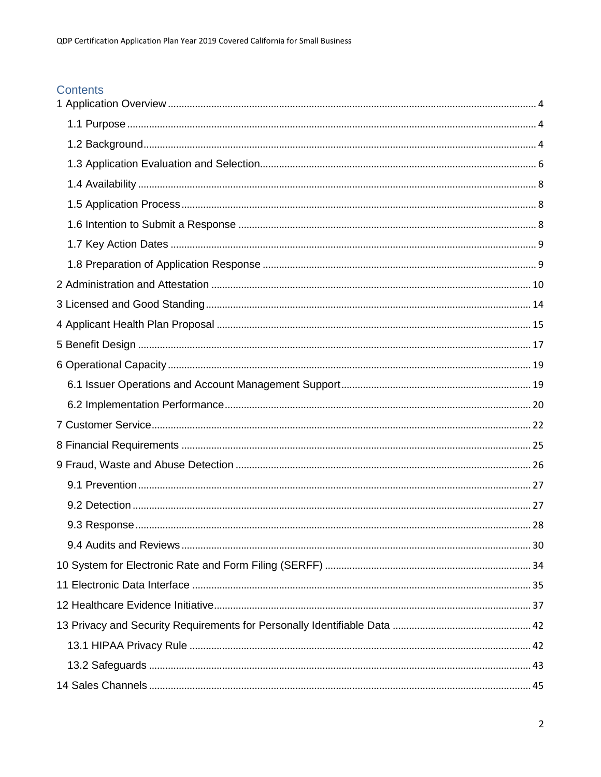# Contents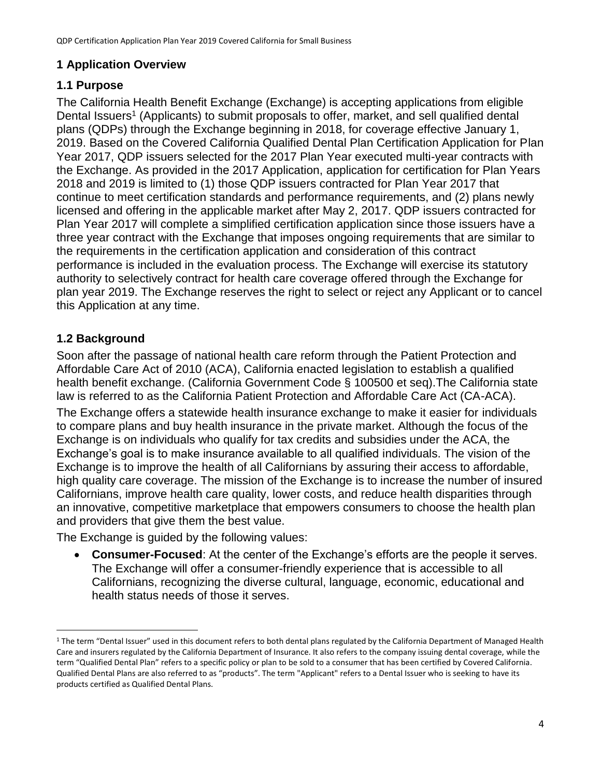# <span id="page-3-0"></span>**1 Application Overview**

# <span id="page-3-1"></span>**1.1 Purpose**

The California Health Benefit Exchange (Exchange) is accepting applications from eligible Dental Issuers<sup>1</sup> (Applicants) to submit proposals to offer, market, and sell qualified dental plans (QDPs) through the Exchange beginning in 2018, for coverage effective January 1, 2019. Based on the Covered California Qualified Dental Plan Certification Application for Plan Year 2017, QDP issuers selected for the 2017 Plan Year executed multi-year contracts with the Exchange. As provided in the 2017 Application, application for certification for Plan Years 2018 and 2019 is limited to (1) those QDP issuers contracted for Plan Year 2017 that continue to meet certification standards and performance requirements, and (2) plans newly licensed and offering in the applicable market after May 2, 2017. QDP issuers contracted for Plan Year 2017 will complete a simplified certification application since those issuers have a three year contract with the Exchange that imposes ongoing requirements that are similar to the requirements in the certification application and consideration of this contract performance is included in the evaluation process. The Exchange will exercise its statutory authority to selectively contract for health care coverage offered through the Exchange for plan year 2019. The Exchange reserves the right to select or reject any Applicant or to cancel this Application at any time.

# <span id="page-3-2"></span>**1.2 Background**

 $\overline{a}$ 

Soon after the passage of national health care reform through the Patient Protection and Affordable Care Act of 2010 (ACA), California enacted legislation to establish a qualified health benefit exchange. (California Government Code § 100500 et seq).The California state law is referred to as the California Patient Protection and Affordable Care Act (CA-ACA).

The Exchange offers a statewide health insurance exchange to make it easier for individuals to compare plans and buy health insurance in the private market. Although the focus of the Exchange is on individuals who qualify for tax credits and subsidies under the ACA, the Exchange's goal is to make insurance available to all qualified individuals. The vision of the Exchange is to improve the health of all Californians by assuring their access to affordable, high quality care coverage. The mission of the Exchange is to increase the number of insured Californians, improve health care quality, lower costs, and reduce health disparities through an innovative, competitive marketplace that empowers consumers to choose the health plan and providers that give them the best value.

The Exchange is guided by the following values:

 **Consumer-Focused**: At the center of the Exchange's efforts are the people it serves. The Exchange will offer a consumer-friendly experience that is accessible to all Californians, recognizing the diverse cultural, language, economic, educational and health status needs of those it serves.

<sup>&</sup>lt;sup>1</sup> The term "Dental Issuer" used in this document refers to both dental plans regulated by the California Department of Managed Health Care and insurers regulated by the California Department of Insurance. It also refers to the company issuing dental coverage, while the term "Qualified Dental Plan" refers to a specific policy or plan to be sold to a consumer that has been certified by Covered California. Qualified Dental Plans are also referred to as "products". The term "Applicant" refers to a Dental Issuer who is seeking to have its products certified as Qualified Dental Plans.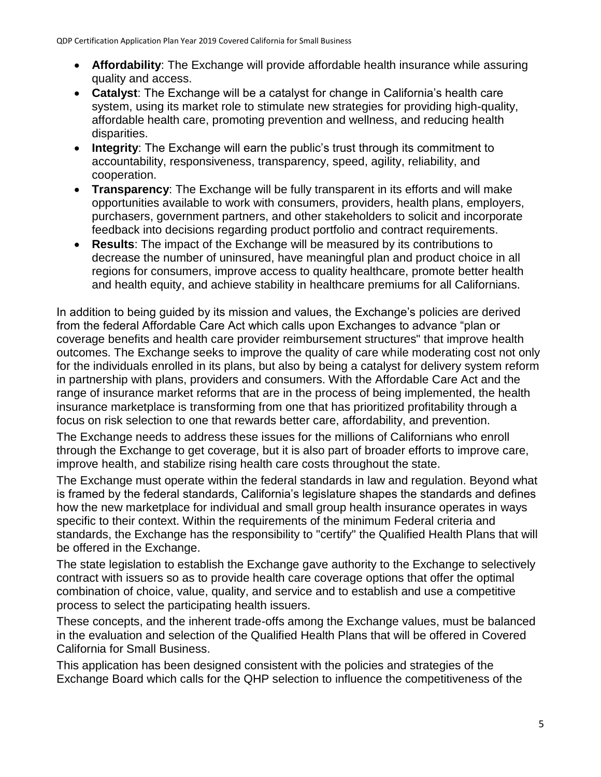- **Affordability**: The Exchange will provide affordable health insurance while assuring quality and access.
- **Catalyst**: The Exchange will be a catalyst for change in California's health care system, using its market role to stimulate new strategies for providing high-quality, affordable health care, promoting prevention and wellness, and reducing health disparities.
- **Integrity**: The Exchange will earn the public's trust through its commitment to accountability, responsiveness, transparency, speed, agility, reliability, and cooperation.
- **Transparency**: The Exchange will be fully transparent in its efforts and will make opportunities available to work with consumers, providers, health plans, employers, purchasers, government partners, and other stakeholders to solicit and incorporate feedback into decisions regarding product portfolio and contract requirements.
- **Results**: The impact of the Exchange will be measured by its contributions to decrease the number of uninsured, have meaningful plan and product choice in all regions for consumers, improve access to quality healthcare, promote better health and health equity, and achieve stability in healthcare premiums for all Californians.

In addition to being guided by its mission and values, the Exchange's policies are derived from the federal Affordable Care Act which calls upon Exchanges to advance "plan or coverage benefits and health care provider reimbursement structures" that improve health outcomes. The Exchange seeks to improve the quality of care while moderating cost not only for the individuals enrolled in its plans, but also by being a catalyst for delivery system reform in partnership with plans, providers and consumers. With the Affordable Care Act and the range of insurance market reforms that are in the process of being implemented, the health insurance marketplace is transforming from one that has prioritized profitability through a focus on risk selection to one that rewards better care, affordability, and prevention.

The Exchange needs to address these issues for the millions of Californians who enroll through the Exchange to get coverage, but it is also part of broader efforts to improve care, improve health, and stabilize rising health care costs throughout the state.

The Exchange must operate within the federal standards in law and regulation. Beyond what is framed by the federal standards, California's legislature shapes the standards and defines how the new marketplace for individual and small group health insurance operates in ways specific to their context. Within the requirements of the minimum Federal criteria and standards, the Exchange has the responsibility to "certify" the Qualified Health Plans that will be offered in the Exchange.

The state legislation to establish the Exchange gave authority to the Exchange to selectively contract with issuers so as to provide health care coverage options that offer the optimal combination of choice, value, quality, and service and to establish and use a competitive process to select the participating health issuers.

These concepts, and the inherent trade-offs among the Exchange values, must be balanced in the evaluation and selection of the Qualified Health Plans that will be offered in Covered California for Small Business.

This application has been designed consistent with the policies and strategies of the Exchange Board which calls for the QHP selection to influence the competitiveness of the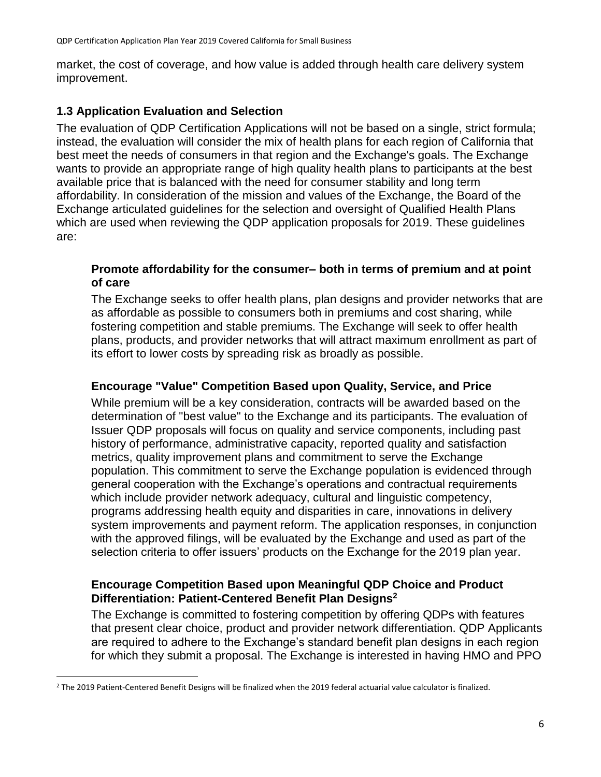market, the cost of coverage, and how value is added through health care delivery system improvement.

### <span id="page-5-0"></span>**1.3 Application Evaluation and Selection**

The evaluation of QDP Certification Applications will not be based on a single, strict formula; instead, the evaluation will consider the mix of health plans for each region of California that best meet the needs of consumers in that region and the Exchange's goals. The Exchange wants to provide an appropriate range of high quality health plans to participants at the best available price that is balanced with the need for consumer stability and long term affordability. In consideration of the mission and values of the Exchange, the Board of the Exchange articulated guidelines for the selection and oversight of Qualified Health Plans which are used when reviewing the QDP application proposals for 2019. These guidelines are:

#### **Promote affordability for the consumer– both in terms of premium and at point of care**

The Exchange seeks to offer health plans, plan designs and provider networks that are as affordable as possible to consumers both in premiums and cost sharing, while fostering competition and stable premiums. The Exchange will seek to offer health plans, products, and provider networks that will attract maximum enrollment as part of its effort to lower costs by spreading risk as broadly as possible.

#### **Encourage "Value" Competition Based upon Quality, Service, and Price**

While premium will be a key consideration, contracts will be awarded based on the determination of "best value" to the Exchange and its participants. The evaluation of Issuer QDP proposals will focus on quality and service components, including past history of performance, administrative capacity, reported quality and satisfaction metrics, quality improvement plans and commitment to serve the Exchange population. This commitment to serve the Exchange population is evidenced through general cooperation with the Exchange's operations and contractual requirements which include provider network adequacy, cultural and linguistic competency, programs addressing health equity and disparities in care, innovations in delivery system improvements and payment reform. The application responses, in conjunction with the approved filings, will be evaluated by the Exchange and used as part of the selection criteria to offer issuers' products on the Exchange for the 2019 plan year.

#### **Encourage Competition Based upon Meaningful QDP Choice and Product Differentiation: Patient-Centered Benefit Plan Designs<sup>2</sup>**

The Exchange is committed to fostering competition by offering QDPs with features that present clear choice, product and provider network differentiation. QDP Applicants are required to adhere to the Exchange's standard benefit plan designs in each region for which they submit a proposal. The Exchange is interested in having HMO and PPO

 $\ddot{\phantom{a}}$ 

<sup>2</sup> The 2019 Patient-Centered Benefit Designs will be finalized when the 2019 federal actuarial value calculator is finalized.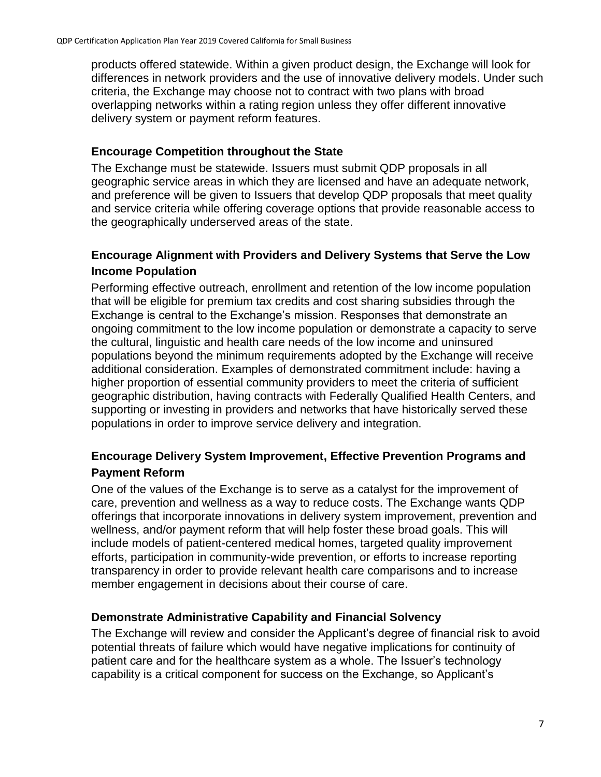products offered statewide. Within a given product design, the Exchange will look for differences in network providers and the use of innovative delivery models. Under such criteria, the Exchange may choose not to contract with two plans with broad overlapping networks within a rating region unless they offer different innovative delivery system or payment reform features.

#### **Encourage Competition throughout the State**

The Exchange must be statewide. Issuers must submit QDP proposals in all geographic service areas in which they are licensed and have an adequate network, and preference will be given to Issuers that develop QDP proposals that meet quality and service criteria while offering coverage options that provide reasonable access to the geographically underserved areas of the state.

## **Encourage Alignment with Providers and Delivery Systems that Serve the Low Income Population**

Performing effective outreach, enrollment and retention of the low income population that will be eligible for premium tax credits and cost sharing subsidies through the Exchange is central to the Exchange's mission. Responses that demonstrate an ongoing commitment to the low income population or demonstrate a capacity to serve the cultural, linguistic and health care needs of the low income and uninsured populations beyond the minimum requirements adopted by the Exchange will receive additional consideration. Examples of demonstrated commitment include: having a higher proportion of essential community providers to meet the criteria of sufficient geographic distribution, having contracts with Federally Qualified Health Centers, and supporting or investing in providers and networks that have historically served these populations in order to improve service delivery and integration.

# **Encourage Delivery System Improvement, Effective Prevention Programs and Payment Reform**

One of the values of the Exchange is to serve as a catalyst for the improvement of care, prevention and wellness as a way to reduce costs. The Exchange wants QDP offerings that incorporate innovations in delivery system improvement, prevention and wellness, and/or payment reform that will help foster these broad goals. This will include models of patient-centered medical homes, targeted quality improvement efforts, participation in community-wide prevention, or efforts to increase reporting transparency in order to provide relevant health care comparisons and to increase member engagement in decisions about their course of care.

### **Demonstrate Administrative Capability and Financial Solvency**

The Exchange will review and consider the Applicant's degree of financial risk to avoid potential threats of failure which would have negative implications for continuity of patient care and for the healthcare system as a whole. The Issuer's technology capability is a critical component for success on the Exchange, so Applicant's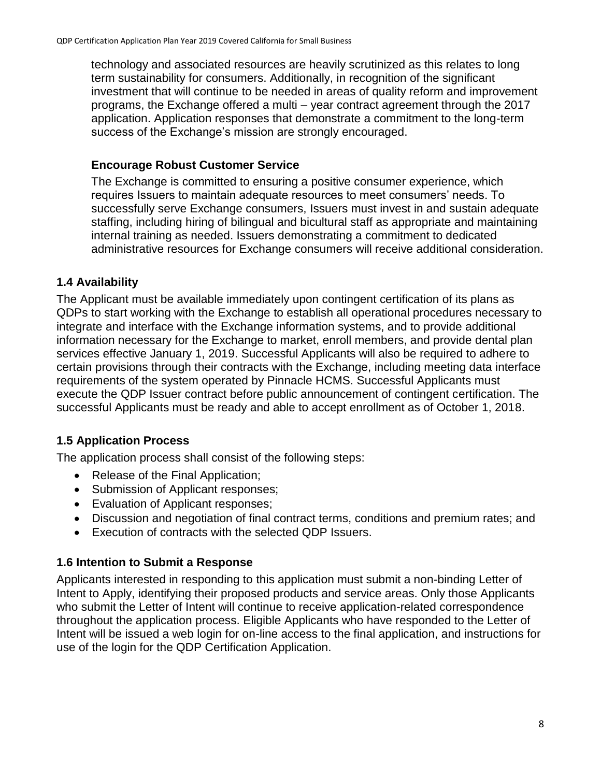technology and associated resources are heavily scrutinized as this relates to long term sustainability for consumers. Additionally, in recognition of the significant investment that will continue to be needed in areas of quality reform and improvement programs, the Exchange offered a multi – year contract agreement through the 2017 application. Application responses that demonstrate a commitment to the long-term success of the Exchange's mission are strongly encouraged.

#### **Encourage Robust Customer Service**

The Exchange is committed to ensuring a positive consumer experience, which requires Issuers to maintain adequate resources to meet consumers' needs. To successfully serve Exchange consumers, Issuers must invest in and sustain adequate staffing, including hiring of bilingual and bicultural staff as appropriate and maintaining internal training as needed. Issuers demonstrating a commitment to dedicated administrative resources for Exchange consumers will receive additional consideration.

### <span id="page-7-0"></span>**1.4 Availability**

The Applicant must be available immediately upon contingent certification of its plans as QDPs to start working with the Exchange to establish all operational procedures necessary to integrate and interface with the Exchange information systems, and to provide additional information necessary for the Exchange to market, enroll members, and provide dental plan services effective January 1, 2019. Successful Applicants will also be required to adhere to certain provisions through their contracts with the Exchange, including meeting data interface requirements of the system operated by Pinnacle HCMS. Successful Applicants must execute the QDP Issuer contract before public announcement of contingent certification. The successful Applicants must be ready and able to accept enrollment as of October 1, 2018.

# <span id="page-7-1"></span>**1.5 Application Process**

The application process shall consist of the following steps:

- Release of the Final Application;
- Submission of Applicant responses;
- Evaluation of Applicant responses;
- Discussion and negotiation of final contract terms, conditions and premium rates; and
- Execution of contracts with the selected QDP Issuers.

### <span id="page-7-2"></span>**1.6 Intention to Submit a Response**

Applicants interested in responding to this application must submit a non-binding Letter of Intent to Apply, identifying their proposed products and service areas. Only those Applicants who submit the Letter of Intent will continue to receive application-related correspondence throughout the application process. Eligible Applicants who have responded to the Letter of Intent will be issued a web login for on-line access to the final application, and instructions for use of the login for the QDP Certification Application.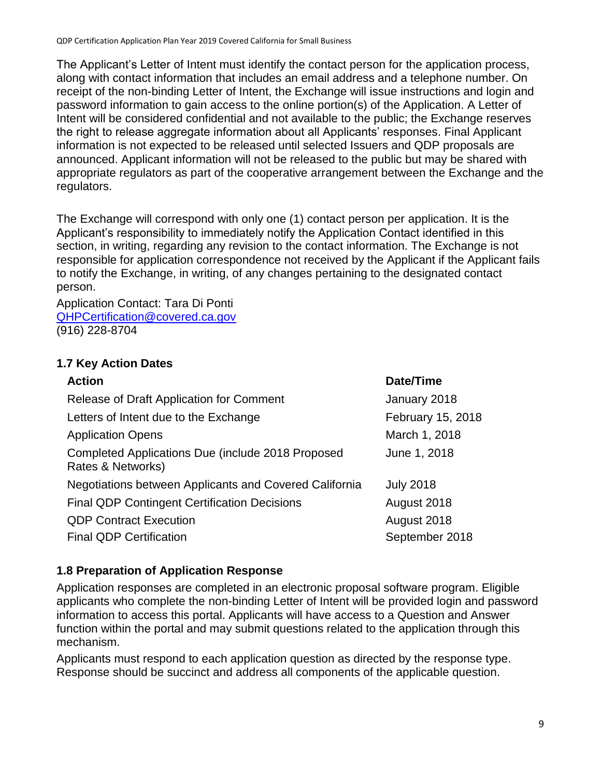The Applicant's Letter of Intent must identify the contact person for the application process, along with contact information that includes an email address and a telephone number. On receipt of the non-binding Letter of Intent, the Exchange will issue instructions and login and password information to gain access to the online portion(s) of the Application. A Letter of Intent will be considered confidential and not available to the public; the Exchange reserves the right to release aggregate information about all Applicants' responses. Final Applicant information is not expected to be released until selected Issuers and QDP proposals are announced. Applicant information will not be released to the public but may be shared with appropriate regulators as part of the cooperative arrangement between the Exchange and the regulators.

The Exchange will correspond with only one (1) contact person per application. It is the Applicant's responsibility to immediately notify the Application Contact identified in this section, in writing, regarding any revision to the contact information. The Exchange is not responsible for application correspondence not received by the Applicant if the Applicant fails to notify the Exchange, in writing, of any changes pertaining to the designated contact person.

Application Contact: Tara Di Ponti [QHPCertification@covered.ca.gov](mailto:Taylor.Priestley@covered.ca.gov) (916) 228-8704

# <span id="page-8-0"></span>**1.7 Key Action Dates**

| <b>Action</b>                                                          | Date/Time         |
|------------------------------------------------------------------------|-------------------|
| Release of Draft Application for Comment                               | January 2018      |
| Letters of Intent due to the Exchange                                  | February 15, 2018 |
| <b>Application Opens</b>                                               | March 1, 2018     |
| Completed Applications Due (include 2018 Proposed<br>Rates & Networks) | June 1, 2018      |
| Negotiations between Applicants and Covered California                 | <b>July 2018</b>  |
| <b>Final QDP Contingent Certification Decisions</b>                    | August 2018       |
| <b>QDP Contract Execution</b>                                          | August 2018       |
| <b>Final QDP Certification</b>                                         | September 2018    |

### <span id="page-8-1"></span>**1.8 Preparation of Application Response**

Application responses are completed in an electronic proposal software program. Eligible applicants who complete the non-binding Letter of Intent will be provided login and password information to access this portal. Applicants will have access to a Question and Answer function within the portal and may submit questions related to the application through this mechanism.

Applicants must respond to each application question as directed by the response type. Response should be succinct and address all components of the applicable question.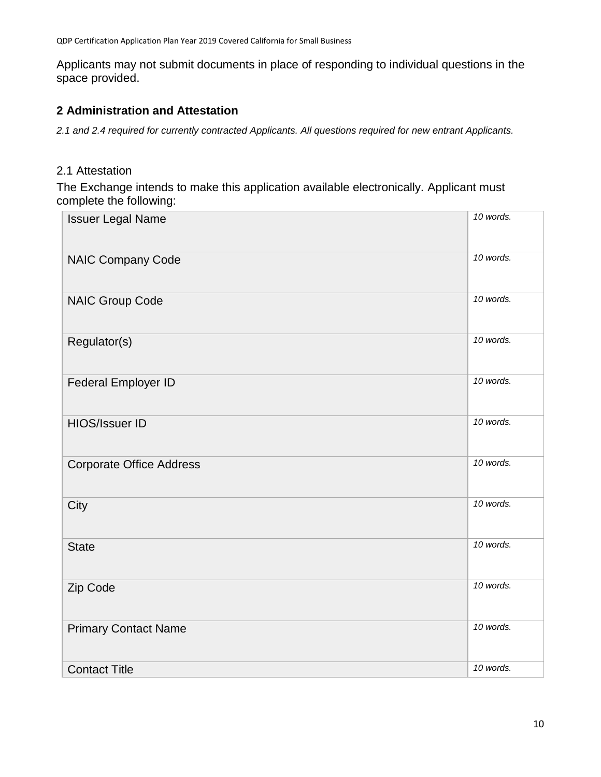Applicants may not submit documents in place of responding to individual questions in the space provided.

## <span id="page-9-0"></span>**2 Administration and Attestation**

*2.1 and 2.4 required for currently contracted Applicants. All questions required for new entrant Applicants.*

#### 2.1 Attestation

The Exchange intends to make this application available electronically. Applicant must complete the following:

| <b>Issuer Legal Name</b>        | 10 words. |
|---------------------------------|-----------|
| <b>NAIC Company Code</b>        | 10 words. |
| <b>NAIC Group Code</b>          | 10 words. |
| Regulator(s)                    | 10 words. |
| Federal Employer ID             | 10 words. |
| <b>HIOS/Issuer ID</b>           | 10 words. |
| <b>Corporate Office Address</b> | 10 words. |
| City                            | 10 words. |
| <b>State</b>                    | 10 words. |
| Zip Code                        | 10 words. |
| <b>Primary Contact Name</b>     | 10 words. |
| <b>Contact Title</b>            | 10 words. |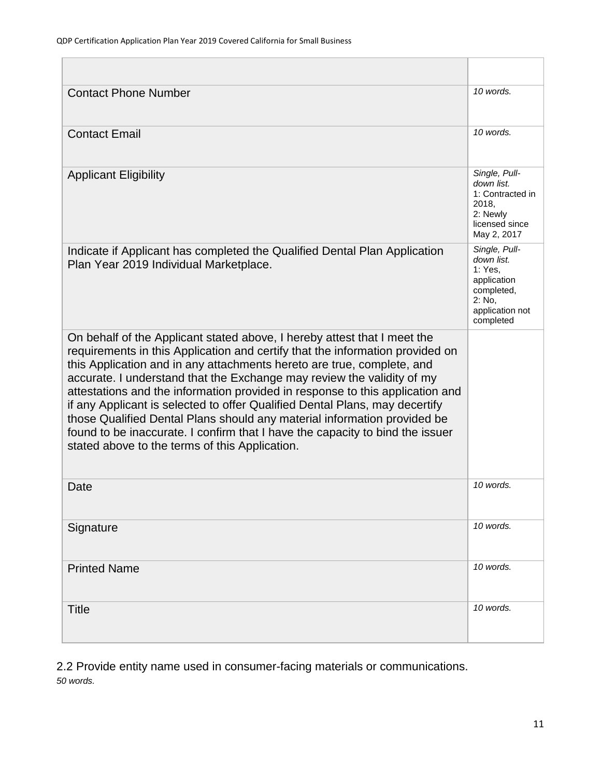| <b>Contact Phone Number</b>                                                                                                                                                                                                                                                                                                                                                                                                                                                                                                                                                                                                                                                                  | $10$ words.                                                                                                   |
|----------------------------------------------------------------------------------------------------------------------------------------------------------------------------------------------------------------------------------------------------------------------------------------------------------------------------------------------------------------------------------------------------------------------------------------------------------------------------------------------------------------------------------------------------------------------------------------------------------------------------------------------------------------------------------------------|---------------------------------------------------------------------------------------------------------------|
| <b>Contact Email</b>                                                                                                                                                                                                                                                                                                                                                                                                                                                                                                                                                                                                                                                                         | 10 words.                                                                                                     |
| <b>Applicant Eligibility</b>                                                                                                                                                                                                                                                                                                                                                                                                                                                                                                                                                                                                                                                                 | Single, Pull-<br>down list.<br>1: Contracted in<br>2018,<br>2: Newly<br>licensed since<br>May 2, 2017         |
| Indicate if Applicant has completed the Qualified Dental Plan Application<br>Plan Year 2019 Individual Marketplace.                                                                                                                                                                                                                                                                                                                                                                                                                                                                                                                                                                          | Single, Pull-<br>down list.<br>1: Yes,<br>application<br>completed,<br>2: No.<br>application not<br>completed |
| On behalf of the Applicant stated above, I hereby attest that I meet the<br>requirements in this Application and certify that the information provided on<br>this Application and in any attachments hereto are true, complete, and<br>accurate. I understand that the Exchange may review the validity of my<br>attestations and the information provided in response to this application and<br>if any Applicant is selected to offer Qualified Dental Plans, may decertify<br>those Qualified Dental Plans should any material information provided be<br>found to be inaccurate. I confirm that I have the capacity to bind the issuer<br>stated above to the terms of this Application. |                                                                                                               |
| Date                                                                                                                                                                                                                                                                                                                                                                                                                                                                                                                                                                                                                                                                                         | 10 words.                                                                                                     |
| Signature                                                                                                                                                                                                                                                                                                                                                                                                                                                                                                                                                                                                                                                                                    | 10 words.                                                                                                     |
| <b>Printed Name</b>                                                                                                                                                                                                                                                                                                                                                                                                                                                                                                                                                                                                                                                                          | 10 words.                                                                                                     |
| <b>Title</b>                                                                                                                                                                                                                                                                                                                                                                                                                                                                                                                                                                                                                                                                                 | 10 words.                                                                                                     |

2.2 Provide entity name used in consumer-facing materials or communications. *50 words.*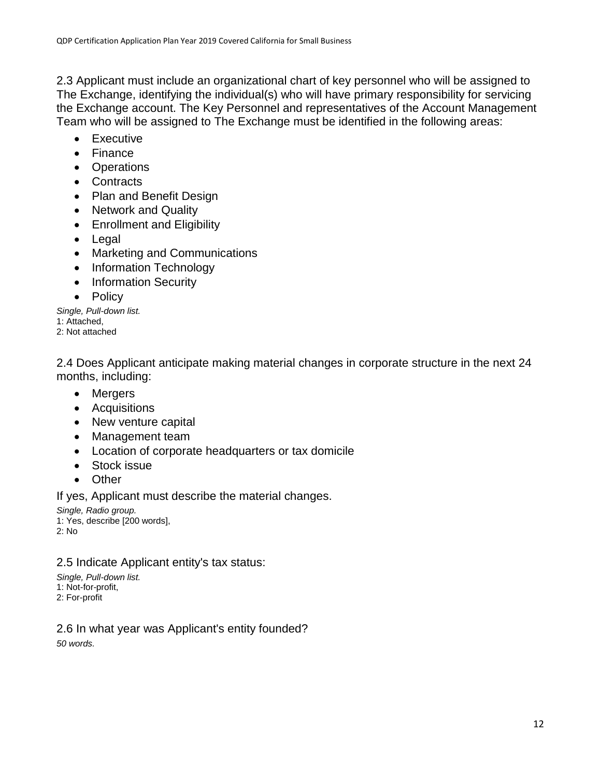2.3 Applicant must include an organizational chart of key personnel who will be assigned to The Exchange, identifying the individual(s) who will have primary responsibility for servicing the Exchange account. The Key Personnel and representatives of the Account Management Team who will be assigned to The Exchange must be identified in the following areas:

- Executive
- Finance
- Operations
- Contracts
- Plan and Benefit Design
- Network and Quality
- Enrollment and Eligibility
- Legal
- Marketing and Communications
- Information Technology
- Information Security
- Policy

*Single, Pull-down list.* 1: Attached, 2: Not attached

2.4 Does Applicant anticipate making material changes in corporate structure in the next 24 months, including:

- Mergers
- Acquisitions
- New venture capital
- Management team
- Location of corporate headquarters or tax domicile
- Stock issue
- Other

If yes, Applicant must describe the material changes.

*Single, Radio group.*

1: Yes, describe [200 words],

2: No

#### 2.5 Indicate Applicant entity's tax status:

*Single, Pull-down list.* 1: Not-for-profit,

2: For-profit

#### 2.6 In what year was Applicant's entity founded?

*50 words.*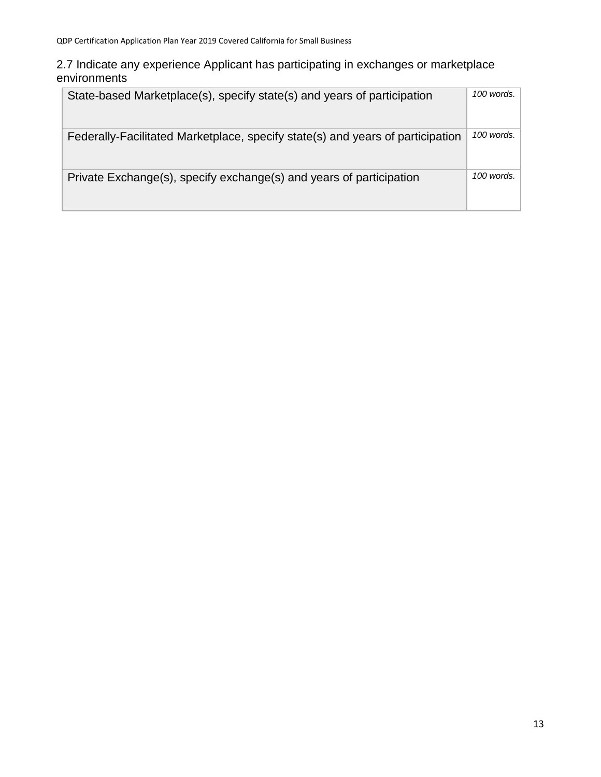#### 2.7 Indicate any experience Applicant has participating in exchanges or marketplace environments

| State-based Marketplace(s), specify state(s) and years of participation        | 100 words. |
|--------------------------------------------------------------------------------|------------|
| Federally-Facilitated Marketplace, specify state(s) and years of participation | 100 words. |
| Private Exchange(s), specify exchange(s) and years of participation            | 100 words. |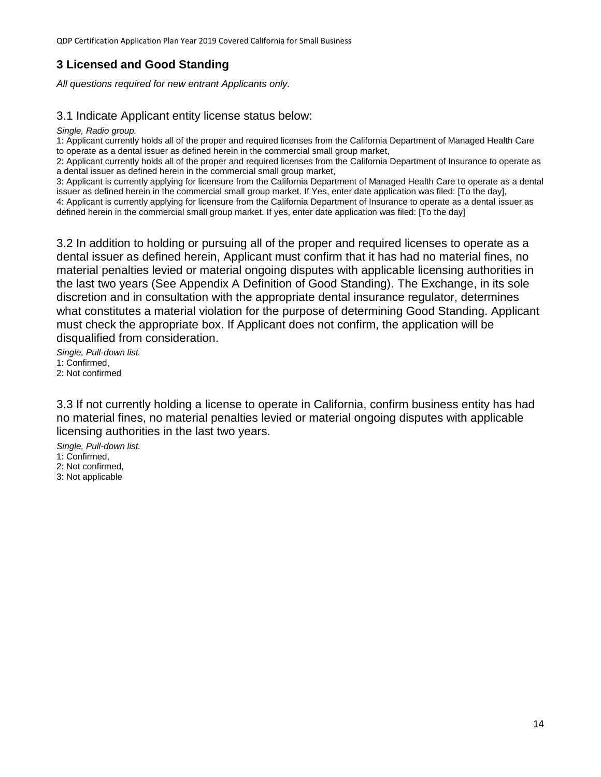# <span id="page-13-0"></span>**3 Licensed and Good Standing**

*All questions required for new entrant Applicants only.*

#### 3.1 Indicate Applicant entity license status below:

*Single, Radio group.*

1: Applicant currently holds all of the proper and required licenses from the California Department of Managed Health Care to operate as a dental issuer as defined herein in the commercial small group market,

2: Applicant currently holds all of the proper and required licenses from the California Department of Insurance to operate as a dental issuer as defined herein in the commercial small group market,

3: Applicant is currently applying for licensure from the California Department of Managed Health Care to operate as a dental issuer as defined herein in the commercial small group market. If Yes, enter date application was filed: [To the day], 4: Applicant is currently applying for licensure from the California Department of Insurance to operate as a dental issuer as

defined herein in the commercial small group market. If yes, enter date application was filed: [To the day]

3.2 In addition to holding or pursuing all of the proper and required licenses to operate as a dental issuer as defined herein, Applicant must confirm that it has had no material fines, no material penalties levied or material ongoing disputes with applicable licensing authorities in the last two years (See Appendix A Definition of Good Standing). The Exchange, in its sole discretion and in consultation with the appropriate dental insurance regulator, determines what constitutes a material violation for the purpose of determining Good Standing. Applicant must check the appropriate box. If Applicant does not confirm, the application will be disqualified from consideration.

*Single, Pull-down list.* 1: Confirmed, 2: Not confirmed

3.3 If not currently holding a license to operate in California, confirm business entity has had no material fines, no material penalties levied or material ongoing disputes with applicable licensing authorities in the last two years.

*Single, Pull-down list.*

1: Confirmed,

2: Not confirmed,

3: Not applicable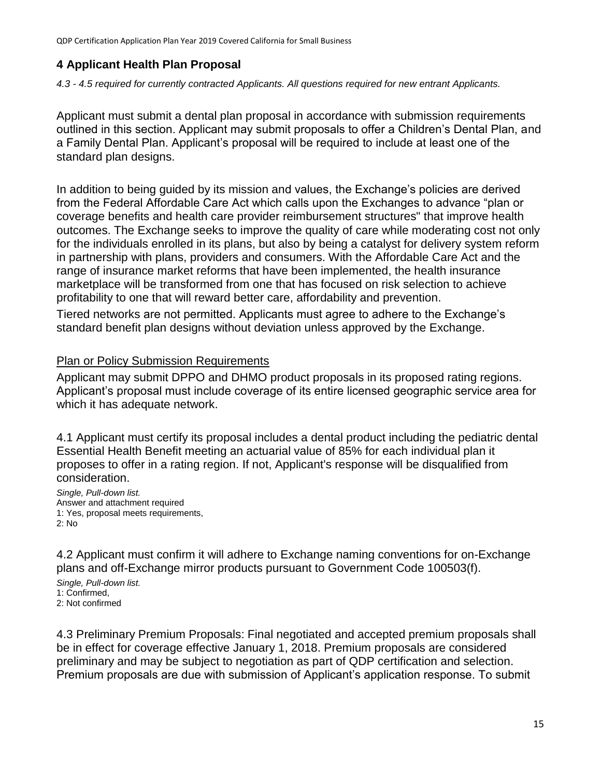# <span id="page-14-0"></span>**4 Applicant Health Plan Proposal**

#### *4.3 - 4.5 required for currently contracted Applicants. All questions required for new entrant Applicants.*

Applicant must submit a dental plan proposal in accordance with submission requirements outlined in this section. Applicant may submit proposals to offer a Children's Dental Plan, and a Family Dental Plan. Applicant's proposal will be required to include at least one of the standard plan designs.

In addition to being guided by its mission and values, the Exchange's policies are derived from the Federal Affordable Care Act which calls upon the Exchanges to advance "plan or coverage benefits and health care provider reimbursement structures" that improve health outcomes. The Exchange seeks to improve the quality of care while moderating cost not only for the individuals enrolled in its plans, but also by being a catalyst for delivery system reform in partnership with plans, providers and consumers. With the Affordable Care Act and the range of insurance market reforms that have been implemented, the health insurance marketplace will be transformed from one that has focused on risk selection to achieve profitability to one that will reward better care, affordability and prevention.

Tiered networks are not permitted. Applicants must agree to adhere to the Exchange's standard benefit plan designs without deviation unless approved by the Exchange.

#### Plan or Policy Submission Requirements

Applicant may submit DPPO and DHMO product proposals in its proposed rating regions. Applicant's proposal must include coverage of its entire licensed geographic service area for which it has adequate network.

4.1 Applicant must certify its proposal includes a dental product including the pediatric dental Essential Health Benefit meeting an actuarial value of 85% for each individual plan it proposes to offer in a rating region. If not, Applicant's response will be disqualified from consideration.

*Single, Pull-down list.* Answer and attachment required 1: Yes, proposal meets requirements, 2: No

4.2 Applicant must confirm it will adhere to Exchange naming conventions for on-Exchange plans and off-Exchange mirror products pursuant to Government Code 100503(f).

*Single, Pull-down list.* 1: Confirmed, 2: Not confirmed

4.3 Preliminary Premium Proposals: Final negotiated and accepted premium proposals shall be in effect for coverage effective January 1, 2018. Premium proposals are considered preliminary and may be subject to negotiation as part of QDP certification and selection. Premium proposals are due with submission of Applicant's application response. To submit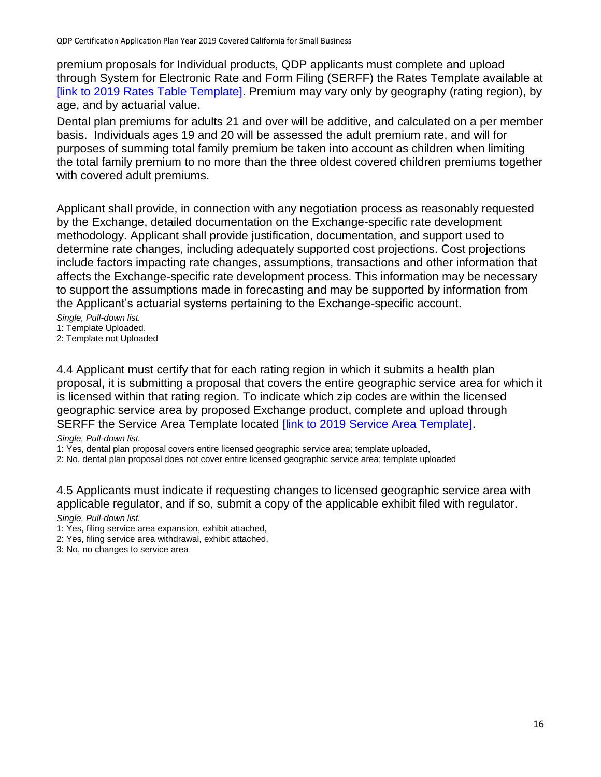premium proposals for Individual products, QDP applicants must complete and upload through System for Electronic Rate and Form Filing (SERFF) the Rates Template available at [\[link to 2019 Rates Table Template\].](file://///CCFS02/CCGroups/@QHP/CERTIFICATION/2019/Applications/Application%20&%20Criteria%20Edits/Application%20Question%20Edits/QHP%20Individual%20Marketplace%20Certification%20Application%20Plan%20Year%202019%20-%20edits/%5blink%20to%202019%20Rates%20Table%20Template%5d) Premium may vary only by geography (rating region), by age, and by actuarial value.

Dental plan premiums for adults 21 and over will be additive, and calculated on a per member basis. Individuals ages 19 and 20 will be assessed the adult premium rate, and will for purposes of summing total family premium be taken into account as children when limiting the total family premium to no more than the three oldest covered children premiums together with covered adult premiums.

Applicant shall provide, in connection with any negotiation process as reasonably requested by the Exchange, detailed documentation on the Exchange-specific rate development methodology. Applicant shall provide justification, documentation, and support used to determine rate changes, including adequately supported cost projections. Cost projections include factors impacting rate changes, assumptions, transactions and other information that affects the Exchange-specific rate development process. This information may be necessary to support the assumptions made in forecasting and may be supported by information from the Applicant's actuarial systems pertaining to the Exchange-specific account.

*Single, Pull-down list.*

1: Template Uploaded,

2: Template not Uploaded

4.4 Applicant must certify that for each rating region in which it submits a health plan proposal, it is submitting a proposal that covers the entire geographic service area for which it is licensed within that rating region. To indicate which zip codes are within the licensed geographic service area by proposed Exchange product, complete and upload through SERFF the Service Area Template located *[link to 2019 Service Area Template]*.

#### *Single, Pull-down list.*

1: Yes, dental plan proposal covers entire licensed geographic service area; template uploaded,

2: No, dental plan proposal does not cover entire licensed geographic service area; template uploaded

4.5 Applicants must indicate if requesting changes to licensed geographic service area with applicable regulator, and if so, submit a copy of the applicable exhibit filed with regulator.

*Single, Pull-down list.*

- 1: Yes, filing service area expansion, exhibit attached,
- 2: Yes, filing service area withdrawal, exhibit attached,

3: No, no changes to service area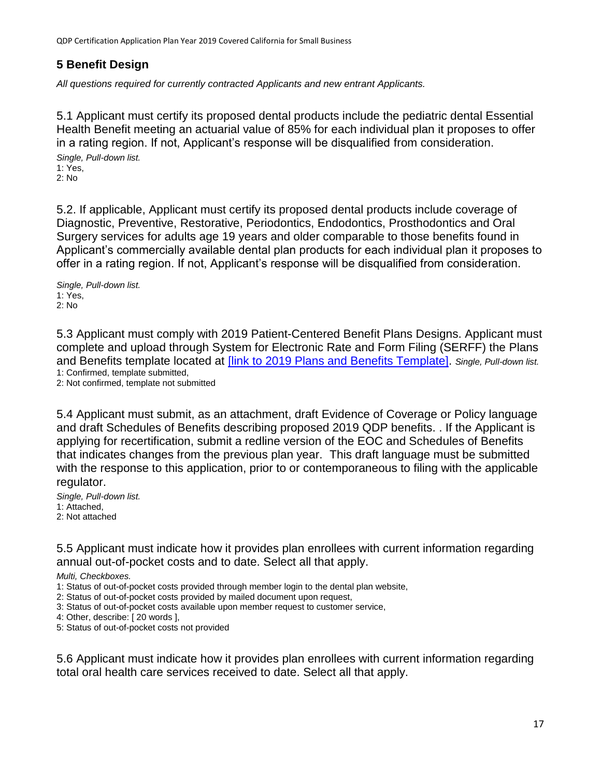# <span id="page-16-0"></span>**5 Benefit Design**

*All questions required for currently contracted Applicants and new entrant Applicants.*

5.1 Applicant must certify its proposed dental products include the pediatric dental Essential Health Benefit meeting an actuarial value of 85% for each individual plan it proposes to offer in a rating region. If not, Applicant's response will be disqualified from consideration. *Single, Pull-down list.*

1: Yes, 2: No

5.2. If applicable, Applicant must certify its proposed dental products include coverage of Diagnostic, Preventive, Restorative, Periodontics, Endodontics, Prosthodontics and Oral Surgery services for adults age 19 years and older comparable to those benefits found in Applicant's commercially available dental plan products for each individual plan it proposes to offer in a rating region. If not, Applicant's response will be disqualified from consideration.

*Single, Pull-down list.* 1: Yes, 2: No

5.3 Applicant must comply with 2019 Patient-Centered Benefit Plans Designs. Applicant must complete and upload through System for Electronic Rate and Form Filing (SERFF) the Plans and Benefits template located at [\[link to 2019 Plans and Benefits Template\].](file://///CCFS02/CCGroups/@QHP/CERTIFICATION/2019/Applications/Application%20&%20Criteria%20Edits/Application%20Question%20Edits/QHP%20Individual%20Marketplace%20Certification%20Application%20Plan%20Year%202019%20-%20edits/%5blink%20to%202019%20Plans%20and%20Benefits%20Template%5d) *Single, Pull-down list.* 1: Confirmed, template submitted,

2: Not confirmed, template not submitted

5.4 Applicant must submit, as an attachment, draft Evidence of Coverage or Policy language and draft Schedules of Benefits describing proposed 2019 QDP benefits. . If the Applicant is applying for recertification, submit a redline version of the EOC and Schedules of Benefits that indicates changes from the previous plan year. This draft language must be submitted with the response to this application, prior to or contemporaneous to filing with the applicable regulator.

*Single, Pull-down list.* 1: Attached, 2: Not attached

5.5 Applicant must indicate how it provides plan enrollees with current information regarding annual out-of-pocket costs and to date. Select all that apply.

*Multi, Checkboxes.*

- 1: Status of out-of-pocket costs provided through member login to the dental plan website,
- 2: Status of out-of-pocket costs provided by mailed document upon request,
- 3: Status of out-of-pocket costs available upon member request to customer service,
- 4: Other, describe: [ 20 words ],

5: Status of out-of-pocket costs not provided

5.6 Applicant must indicate how it provides plan enrollees with current information regarding total oral health care services received to date. Select all that apply.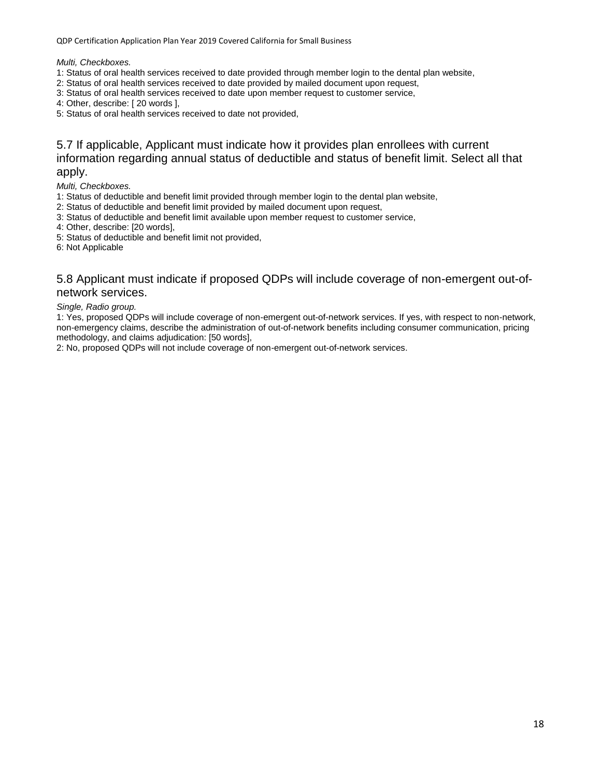*Multi, Checkboxes.*

- 1: Status of oral health services received to date provided through member login to the dental plan website,
- 2: Status of oral health services received to date provided by mailed document upon request,
- 3: Status of oral health services received to date upon member request to customer service,
- 4: Other, describe: [ 20 words ],
- 5: Status of oral health services received to date not provided,

#### 5.7 If applicable, Applicant must indicate how it provides plan enrollees with current information regarding annual status of deductible and status of benefit limit. Select all that apply.

*Multi, Checkboxes.*

- 1: Status of deductible and benefit limit provided through member login to the dental plan website,
- 2: Status of deductible and benefit limit provided by mailed document upon request,
- 3: Status of deductible and benefit limit available upon member request to customer service,
- 4: Other, describe: [20 words],
- 5: Status of deductible and benefit limit not provided,

6: Not Applicable

#### 5.8 Applicant must indicate if proposed QDPs will include coverage of non-emergent out-ofnetwork services.

#### *Single, Radio group.*

1: Yes, proposed QDPs will include coverage of non-emergent out-of-network services. If yes, with respect to non-network, non-emergency claims, describe the administration of out-of-network benefits including consumer communication, pricing methodology, and claims adjudication: [50 words],

2: No, proposed QDPs will not include coverage of non-emergent out-of-network services.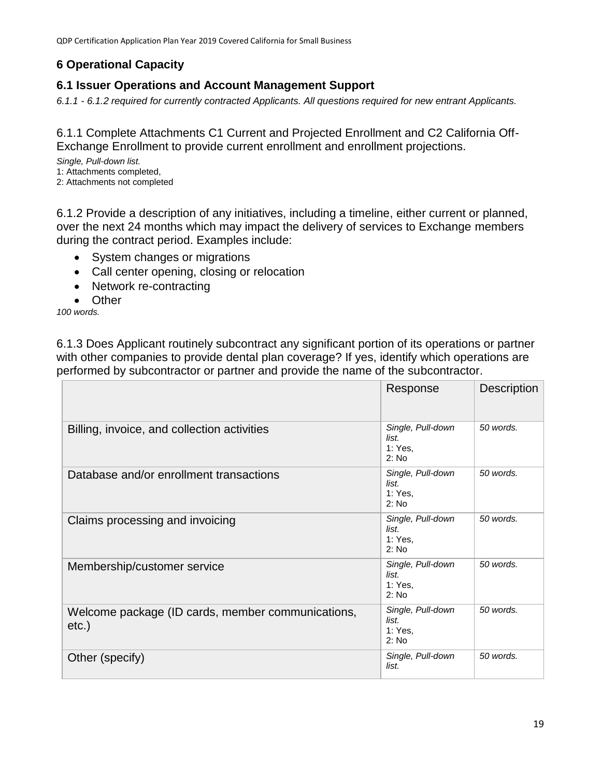# <span id="page-18-0"></span>**6 Operational Capacity**

# <span id="page-18-1"></span>**6.1 Issuer Operations and Account Management Support**

*6.1.1 - 6.1.2 required for currently contracted Applicants. All questions required for new entrant Applicants.*

6.1.1 Complete Attachments C1 Current and Projected Enrollment and C2 California Off-Exchange Enrollment to provide current enrollment and enrollment projections.

*Single, Pull-down list.*

- 1: Attachments completed,
- 2: Attachments not completed

6.1.2 Provide a description of any initiatives, including a timeline, either current or planned, over the next 24 months which may impact the delivery of services to Exchange members during the contract period. Examples include:

- System changes or migrations
- Call center opening, closing or relocation
- Network re-contracting
- Other

*100 words.*

6.1.3 Does Applicant routinely subcontract any significant portion of its operations or partner with other companies to provide dental plan coverage? If yes, identify which operations are performed by subcontractor or partner and provide the name of the subcontractor.

|                                                               | Response                                       | <b>Description</b> |
|---------------------------------------------------------------|------------------------------------------------|--------------------|
| Billing, invoice, and collection activities                   | Single, Pull-down<br>list.<br>1: Yes,<br>2: No | 50 words.          |
| Database and/or enrollment transactions                       | Single, Pull-down<br>list.<br>1: Yes.<br>2: No | 50 words.          |
| Claims processing and invoicing                               | Single, Pull-down<br>list.<br>1: Yes,<br>2: No | 50 words.          |
| Membership/customer service                                   | Single, Pull-down<br>list.<br>1: Yes.<br>2: No | 50 words.          |
| Welcome package (ID cards, member communications,<br>$etc.$ ) | Single, Pull-down<br>list.<br>1: Yes,<br>2: No | 50 words.          |
| Other (specify)                                               | Single, Pull-down<br>list.                     | 50 words.          |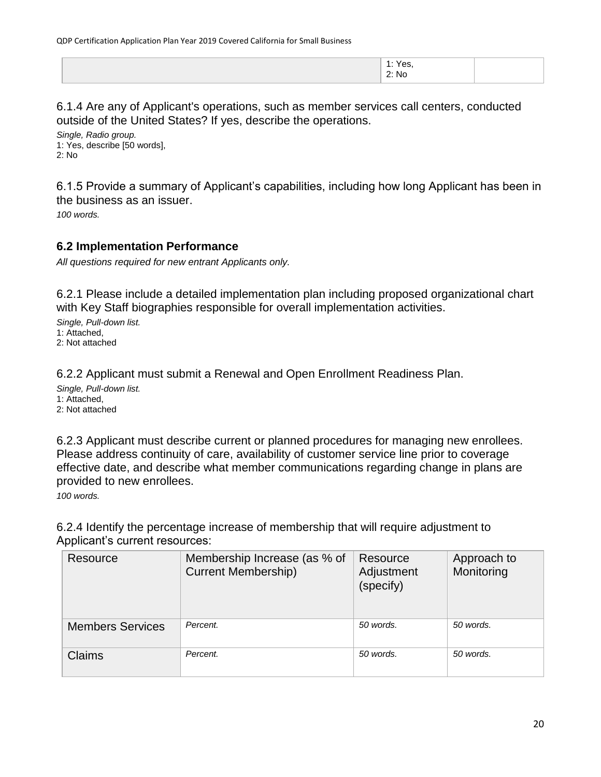| Yes,<br>.<br>2: No |  |
|--------------------|--|
|                    |  |

6.1.4 Are any of Applicant's operations, such as member services call centers, conducted outside of the United States? If yes, describe the operations.

*Single, Radio group.* 1: Yes, describe [50 words], 2: No

6.1.5 Provide a summary of Applicant's capabilities, including how long Applicant has been in the business as an issuer.

*100 words.*

#### <span id="page-19-0"></span>**6.2 Implementation Performance**

*All questions required for new entrant Applicants only.*

6.2.1 Please include a detailed implementation plan including proposed organizational chart with Key Staff biographies responsible for overall implementation activities.

*Single, Pull-down list.* 1: Attached, 2: Not attached

6.2.2 Applicant must submit a Renewal and Open Enrollment Readiness Plan.

*Single, Pull-down list.* 1: Attached, 2: Not attached

6.2.3 Applicant must describe current or planned procedures for managing new enrollees. Please address continuity of care, availability of customer service line prior to coverage effective date, and describe what member communications regarding change in plans are provided to new enrollees.

*100 words.*

6.2.4 Identify the percentage increase of membership that will require adjustment to Applicant's current resources:

| Resource                | Membership Increase (as % of<br><b>Current Membership)</b> | Resource<br>Adjustment<br>(specify) | Approach to<br>Monitoring |
|-------------------------|------------------------------------------------------------|-------------------------------------|---------------------------|
| <b>Members Services</b> | Percent.                                                   | 50 words.                           | 50 words.                 |
| Claims                  | Percent.                                                   | 50 words.                           | 50 words.                 |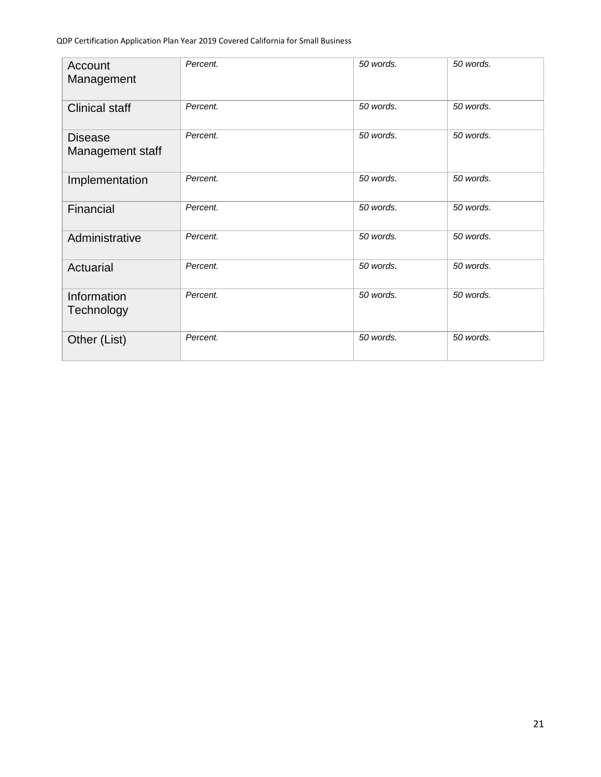| Account<br>Management              | Percent. | 50 words. | 50 words. |
|------------------------------------|----------|-----------|-----------|
| <b>Clinical staff</b>              | Percent. | 50 words. | 50 words. |
| <b>Disease</b><br>Management staff | Percent. | 50 words. | 50 words. |
| Implementation                     | Percent. | 50 words. | 50 words. |
| Financial                          | Percent. | 50 words. | 50 words. |
| Administrative                     | Percent. | 50 words. | 50 words. |
| Actuarial                          | Percent. | 50 words. | 50 words. |
| Information<br>Technology          | Percent. | 50 words. | 50 words. |
| Other (List)                       | Percent. | 50 words. | 50 words. |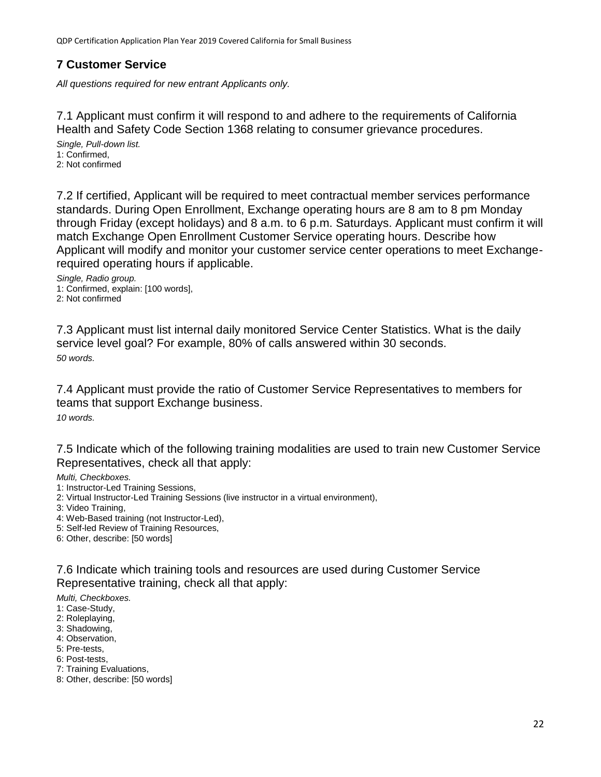#### <span id="page-21-0"></span>**7 Customer Service**

*All questions required for new entrant Applicants only.*

7.1 Applicant must confirm it will respond to and adhere to the requirements of California Health and Safety Code Section 1368 relating to consumer grievance procedures.

*Single, Pull-down list.* 1: Confirmed, 2: Not confirmed

7.2 If certified, Applicant will be required to meet contractual member services performance standards. During Open Enrollment, Exchange operating hours are 8 am to 8 pm Monday through Friday (except holidays) and 8 a.m. to 6 p.m. Saturdays. Applicant must confirm it will match Exchange Open Enrollment Customer Service operating hours. Describe how Applicant will modify and monitor your customer service center operations to meet Exchangerequired operating hours if applicable.

*Single, Radio group.* 1: Confirmed, explain: [100 words], 2: Not confirmed

7.3 Applicant must list internal daily monitored Service Center Statistics. What is the daily service level goal? For example, 80% of calls answered within 30 seconds. *50 words.*

7.4 Applicant must provide the ratio of Customer Service Representatives to members for teams that support Exchange business. *10 words.*

7.5 Indicate which of the following training modalities are used to train new Customer Service Representatives, check all that apply:

*Multi, Checkboxes.*

- 1: Instructor-Led Training Sessions,
- 2: Virtual Instructor-Led Training Sessions (live instructor in a virtual environment),

3: Video Training,

- 4: Web-Based training (not Instructor-Led),
- 5: Self-led Review of Training Resources,

6: Other, describe: [50 words]

7.6 Indicate which training tools and resources are used during Customer Service Representative training, check all that apply:

*Multi, Checkboxes.*

- 1: Case-Study,
- 2: Roleplaying,
- 3: Shadowing,
- 4: Observation,
- 5: Pre-tests,
- 6: Post-tests,
- 7: Training Evaluations,
- 8: Other, describe: [50 words]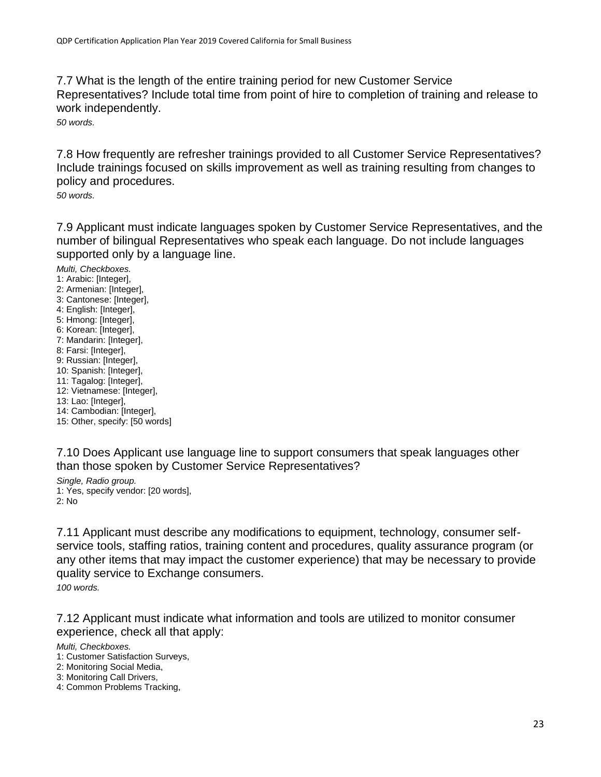7.7 What is the length of the entire training period for new Customer Service Representatives? Include total time from point of hire to completion of training and release to work independently.

*50 words.*

7.8 How frequently are refresher trainings provided to all Customer Service Representatives? Include trainings focused on skills improvement as well as training resulting from changes to policy and procedures.

*50 words.*

7.9 Applicant must indicate languages spoken by Customer Service Representatives, and the number of bilingual Representatives who speak each language. Do not include languages supported only by a language line.

*Multi, Checkboxes.* 1: Arabic: [Integer], 2: Armenian: [Integer], 3: Cantonese: [Integer], 4: English: [Integer], 5: Hmong: [Integer], 6: Korean: [Integer], 7: Mandarin: [Integer], 8: Farsi: [Integer], 9: Russian: [Integer], 10: Spanish: [Integer], 11: Tagalog: [Integer], 12: Vietnamese: [Integer], 13: Lao: [Integer], 14: Cambodian: [Integer], 15: Other, specify: [50 words]

7.10 Does Applicant use language line to support consumers that speak languages other than those spoken by Customer Service Representatives?

*Single, Radio group.* 1: Yes, specify vendor: [20 words], 2: No

7.11 Applicant must describe any modifications to equipment, technology, consumer selfservice tools, staffing ratios, training content and procedures, quality assurance program (or any other items that may impact the customer experience) that may be necessary to provide quality service to Exchange consumers.

*100 words.*

7.12 Applicant must indicate what information and tools are utilized to monitor consumer experience, check all that apply:

*Multi, Checkboxes.*

1: Customer Satisfaction Surveys,

2: Monitoring Social Media,

- 3: Monitoring Call Drivers,
- 4: Common Problems Tracking,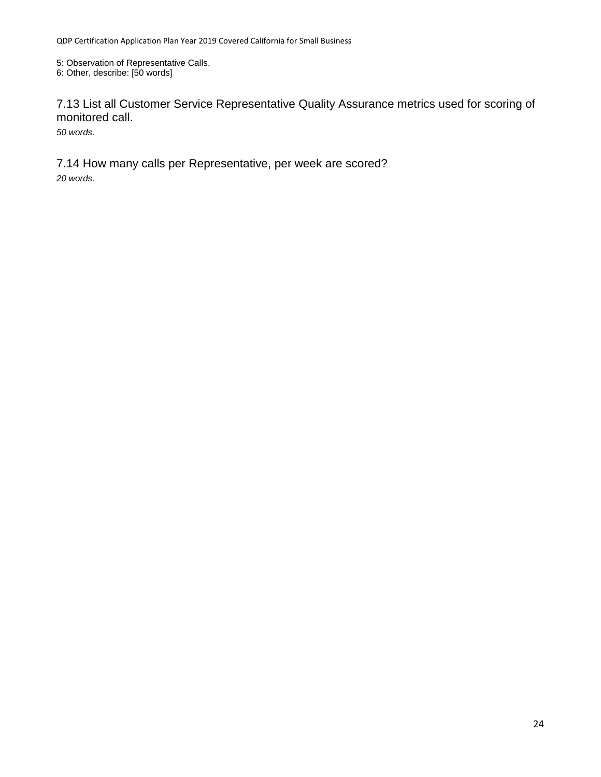5: Observation of Representative Calls,

6: Other, describe: [50 words]

7.13 List all Customer Service Representative Quality Assurance metrics used for scoring of monitored call.

*50 words.*

7.14 How many calls per Representative, per week are scored? *20 words.*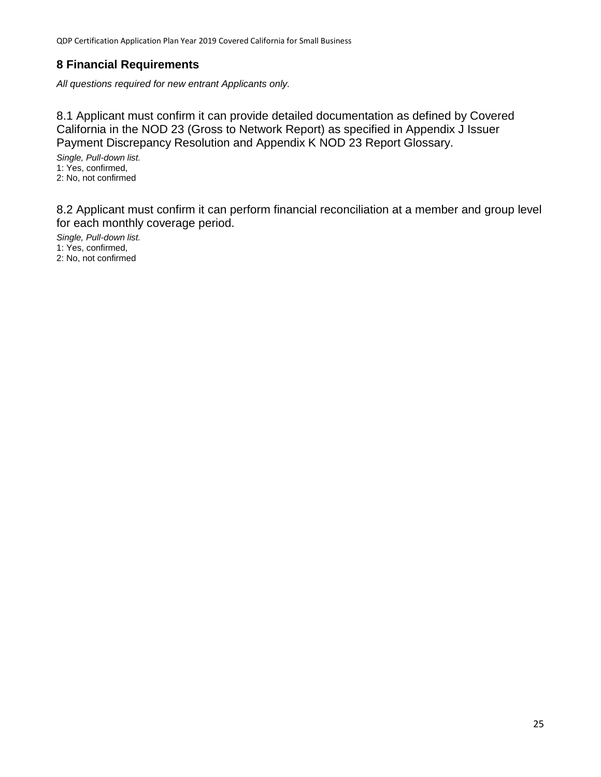### <span id="page-24-0"></span>**8 Financial Requirements**

*All questions required for new entrant Applicants only.*

8.1 Applicant must confirm it can provide detailed documentation as defined by Covered California in the NOD 23 (Gross to Network Report) as specified in Appendix J Issuer Payment Discrepancy Resolution and Appendix K NOD 23 Report Glossary.

*Single, Pull-down list.* 1: Yes, confirmed, 2: No, not confirmed

8.2 Applicant must confirm it can perform financial reconciliation at a member and group level for each monthly coverage period.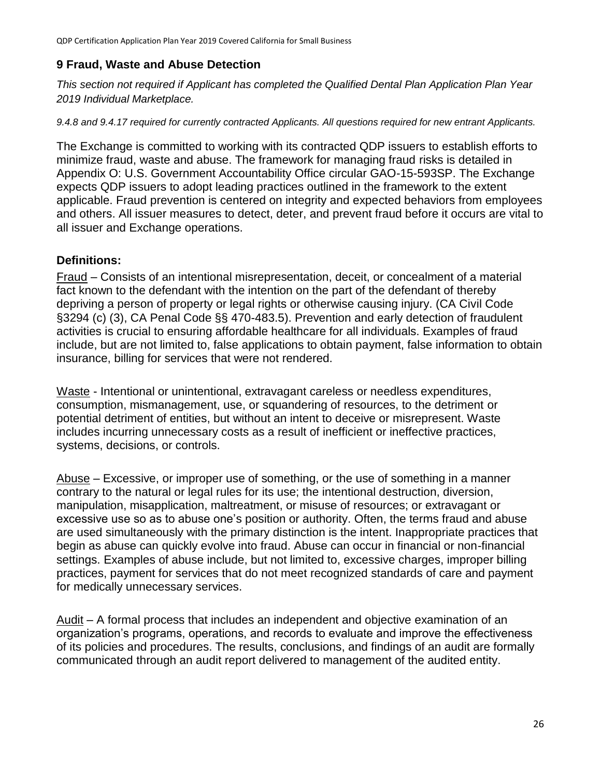### <span id="page-25-0"></span>**9 Fraud, Waste and Abuse Detection**

*This section not required if Applicant has completed the Qualified Dental Plan Application Plan Year 2019 Individual Marketplace.*

*9.4.8 and 9.4.17 required for currently contracted Applicants. All questions required for new entrant Applicants.*

The Exchange is committed to working with its contracted QDP issuers to establish efforts to minimize fraud, waste and abuse. The framework for managing fraud risks is detailed in Appendix O: U.S. Government Accountability Office circular GAO-15-593SP. The Exchange expects QDP issuers to adopt leading practices outlined in the framework to the extent applicable. Fraud prevention is centered on integrity and expected behaviors from employees and others. All issuer measures to detect, deter, and prevent fraud before it occurs are vital to all issuer and Exchange operations.

#### **Definitions:**

Fraud – Consists of an intentional misrepresentation, deceit, or concealment of a material fact known to the defendant with the intention on the part of the defendant of thereby depriving a person of property or legal rights or otherwise causing injury. (CA Civil Code §3294 (c) (3), CA Penal Code §§ 470-483.5). Prevention and early detection of fraudulent activities is crucial to ensuring affordable healthcare for all individuals. Examples of fraud include, but are not limited to, false applications to obtain payment, false information to obtain insurance, billing for services that were not rendered.

Waste - Intentional or unintentional, extravagant careless or needless expenditures, consumption, mismanagement, use, or squandering of resources, to the detriment or potential detriment of entities, but without an intent to deceive or misrepresent. Waste includes incurring unnecessary costs as a result of inefficient or ineffective practices, systems, decisions, or controls.

Abuse – Excessive, or improper use of something, or the use of something in a manner contrary to the natural or legal rules for its use; the intentional destruction, diversion, manipulation, misapplication, maltreatment, or misuse of resources; or extravagant or excessive use so as to abuse one's position or authority. Often, the terms fraud and abuse are used simultaneously with the primary distinction is the intent. Inappropriate practices that begin as abuse can quickly evolve into fraud. Abuse can occur in financial or non-financial settings. Examples of abuse include, but not limited to, excessive charges, improper billing practices, payment for services that do not meet recognized standards of care and payment for medically unnecessary services.

Audit – A formal process that includes an independent and objective examination of an organization's programs, operations, and records to evaluate and improve the effectiveness of its policies and procedures. The results, conclusions, and findings of an audit are formally communicated through an audit report delivered to management of the audited entity.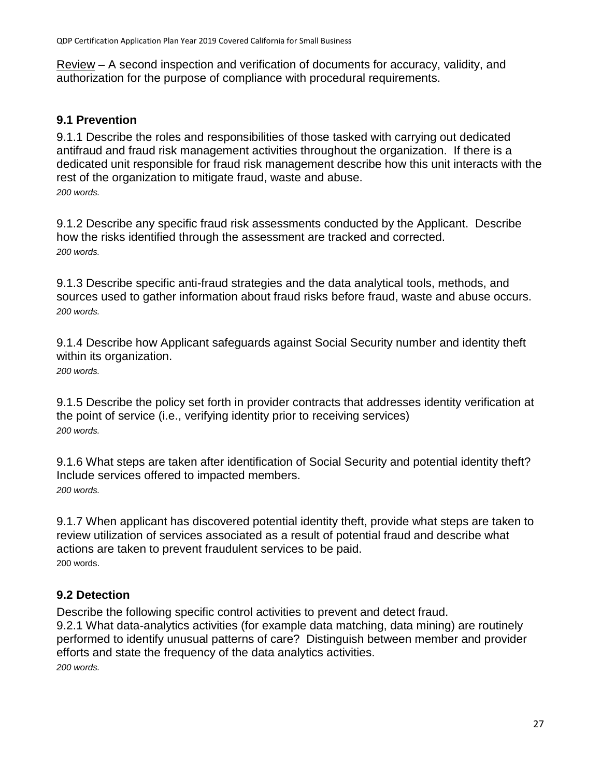Review – A second inspection and verification of documents for accuracy, validity, and authorization for the purpose of compliance with procedural requirements.

# <span id="page-26-0"></span>**9.1 Prevention**

9.1.1 Describe the roles and responsibilities of those tasked with carrying out dedicated antifraud and fraud risk management activities throughout the organization. If there is a dedicated unit responsible for fraud risk management describe how this unit interacts with the rest of the organization to mitigate fraud, waste and abuse. *200 words.*

9.1.2 Describe any specific fraud risk assessments conducted by the Applicant. Describe how the risks identified through the assessment are tracked and corrected. *200 words.*

9.1.3 Describe specific anti-fraud strategies and the data analytical tools, methods, and sources used to gather information about fraud risks before fraud, waste and abuse occurs. *200 words.*

9.1.4 Describe how Applicant safeguards against Social Security number and identity theft within its organization. *200 words.*

9.1.5 Describe the policy set forth in provider contracts that addresses identity verification at the point of service (i.e., verifying identity prior to receiving services) *200 words.*

9.1.6 What steps are taken after identification of Social Security and potential identity theft? Include services offered to impacted members. *200 words.*

9.1.7 When applicant has discovered potential identity theft, provide what steps are taken to review utilization of services associated as a result of potential fraud and describe what actions are taken to prevent fraudulent services to be paid. 200 words.

# <span id="page-26-1"></span>**9.2 Detection**

Describe the following specific control activities to prevent and detect fraud. 9.2.1 What data-analytics activities (for example data matching, data mining) are routinely performed to identify unusual patterns of care? Distinguish between member and provider efforts and state the frequency of the data analytics activities. *200 words.*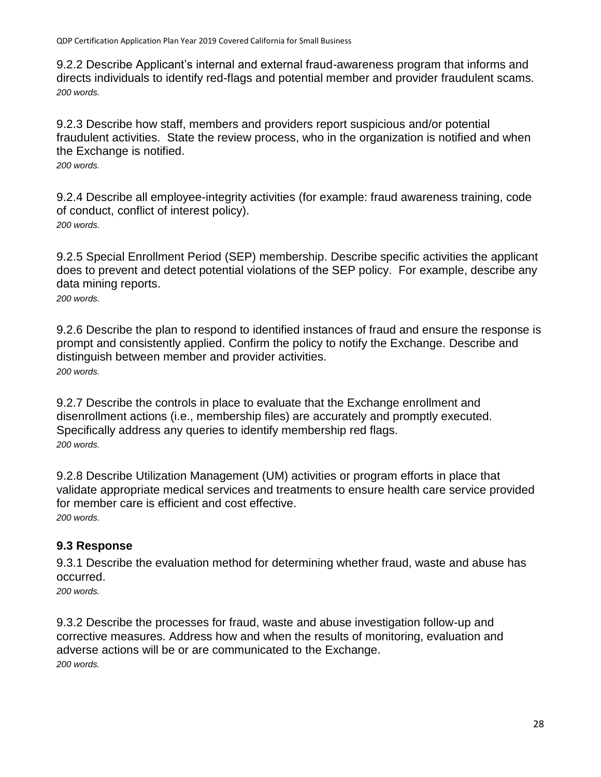9.2.2 Describe Applicant's internal and external fraud-awareness program that informs and directs individuals to identify red-flags and potential member and provider fraudulent scams. *200 words.*

9.2.3 Describe how staff, members and providers report suspicious and/or potential fraudulent activities. State the review process, who in the organization is notified and when the Exchange is notified.

*200 words.*

9.2.4 Describe all employee-integrity activities (for example: fraud awareness training, code of conduct, conflict of interest policy). *200 words.*

9.2.5 Special Enrollment Period (SEP) membership. Describe specific activities the applicant does to prevent and detect potential violations of the SEP policy. For example, describe any data mining reports.

*200 words.*

9.2.6 Describe the plan to respond to identified instances of fraud and ensure the response is prompt and consistently applied. Confirm the policy to notify the Exchange. Describe and distinguish between member and provider activities. *200 words.*

9.2.7 Describe the controls in place to evaluate that the Exchange enrollment and disenrollment actions (i.e., membership files) are accurately and promptly executed. Specifically address any queries to identify membership red flags. *200 words.*

9.2.8 Describe Utilization Management (UM) activities or program efforts in place that validate appropriate medical services and treatments to ensure health care service provided for member care is efficient and cost effective. *200 words.*

### <span id="page-27-0"></span>**9.3 Response**

9.3.1 Describe the evaluation method for determining whether fraud, waste and abuse has occurred.

*200 words.*

9.3.2 Describe the processes for fraud, waste and abuse investigation follow-up and corrective measures. Address how and when the results of monitoring, evaluation and adverse actions will be or are communicated to the Exchange. *200 words.*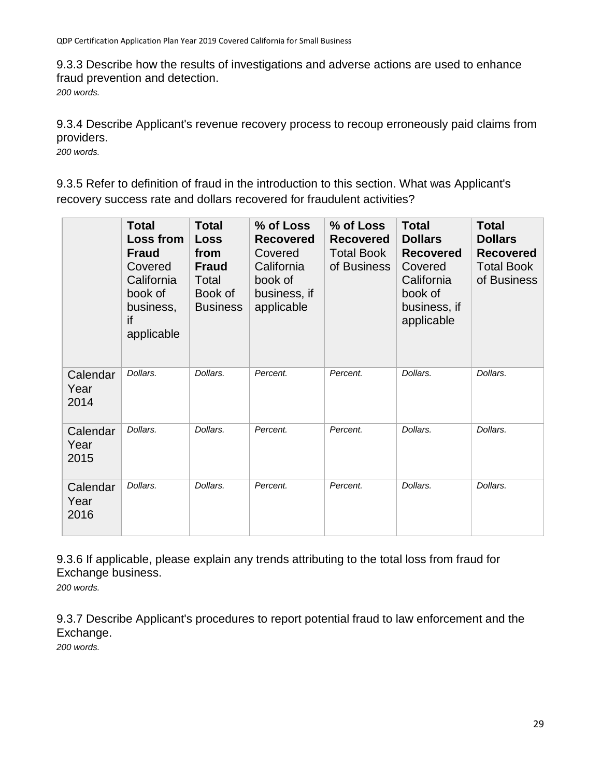9.3.3 Describe how the results of investigations and adverse actions are used to enhance fraud prevention and detection.

*200 words.*

9.3.4 Describe Applicant's revenue recovery process to recoup erroneously paid claims from providers.

*200 words.*

9.3.5 Refer to definition of fraud in the introduction to this section. What was Applicant's recovery success rate and dollars recovered for fraudulent activities?

|                          | <b>Total</b><br>Loss from<br><b>Fraud</b><br>Covered<br>California<br>book of<br>business,<br>if<br>applicable | <b>Total</b><br><b>Loss</b><br>from<br><b>Fraud</b><br>Total<br>Book of<br><b>Business</b> | % of Loss<br><b>Recovered</b><br>Covered<br>California<br>book of<br>business, if<br>applicable | % of Loss<br><b>Recovered</b><br><b>Total Book</b><br>of Business | <b>Total</b><br><b>Dollars</b><br><b>Recovered</b><br>Covered<br>California<br>book of<br>business, if<br>applicable | <b>Total</b><br><b>Dollars</b><br><b>Recovered</b><br><b>Total Book</b><br>of Business |
|--------------------------|----------------------------------------------------------------------------------------------------------------|--------------------------------------------------------------------------------------------|-------------------------------------------------------------------------------------------------|-------------------------------------------------------------------|----------------------------------------------------------------------------------------------------------------------|----------------------------------------------------------------------------------------|
| Calendar<br>Year<br>2014 | Dollars.                                                                                                       | Dollars.                                                                                   | Percent.                                                                                        | Percent.                                                          | Dollars.                                                                                                             | Dollars.                                                                               |
| Calendar<br>Year<br>2015 | Dollars.                                                                                                       | Dollars.                                                                                   | Percent.                                                                                        | Percent.                                                          | Dollars.                                                                                                             | Dollars.                                                                               |
| Calendar<br>Year<br>2016 | Dollars.                                                                                                       | Dollars.                                                                                   | Percent.                                                                                        | Percent.                                                          | Dollars.                                                                                                             | Dollars.                                                                               |

9.3.6 If applicable, please explain any trends attributing to the total loss from fraud for Exchange business.

*200 words.*

9.3.7 Describe Applicant's procedures to report potential fraud to law enforcement and the Exchange.

*200 words.*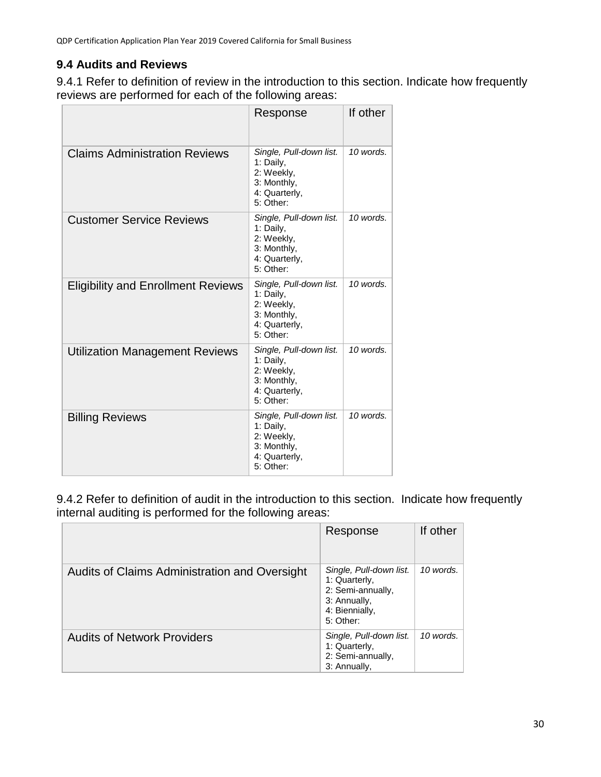# <span id="page-29-0"></span>**9.4 Audits and Reviews**

9.4.1 Refer to definition of review in the introduction to this section. Indicate how frequently reviews are performed for each of the following areas:

|                                           | Response                                                                                        | If other  |
|-------------------------------------------|-------------------------------------------------------------------------------------------------|-----------|
| <b>Claims Administration Reviews</b>      | Single, Pull-down list.<br>1: Daily,<br>2: Weekly,<br>3: Monthly,<br>4: Quarterly,<br>5: Other: | 10 words. |
| <b>Customer Service Reviews</b>           | Single, Pull-down list.<br>1: Daily,<br>2: Weekly,<br>3: Monthly,<br>4: Quarterly,<br>5: Other: | 10 words. |
| <b>Eligibility and Enrollment Reviews</b> | Single, Pull-down list.<br>1: Daily,<br>2: Weekly,<br>3: Monthly,<br>4: Quarterly,<br>5: Other: | 10 words. |
| <b>Utilization Management Reviews</b>     | Single, Pull-down list.<br>1: Daily,<br>2: Weekly,<br>3: Monthly,<br>4: Quarterly,<br>5: Other: | 10 words. |
| <b>Billing Reviews</b>                    | Single, Pull-down list.<br>1: Daily,<br>2: Weekly,<br>3: Monthly,<br>4: Quarterly,<br>5: Other: | 10 words. |

9.4.2 Refer to definition of audit in the introduction to this section. Indicate how frequently internal auditing is performed for the following areas:

|                                               | Response                                                                                                     | If other  |
|-----------------------------------------------|--------------------------------------------------------------------------------------------------------------|-----------|
| Audits of Claims Administration and Oversight | Single, Pull-down list.<br>1: Quarterly,<br>2: Semi-annually,<br>3: Annually,<br>4: Biennially,<br>5: Other: | 10 words. |
| <b>Audits of Network Providers</b>            | Single, Pull-down list.<br>1: Quarterly,<br>2: Semi-annually,<br>3: Annually,                                | 10 words. |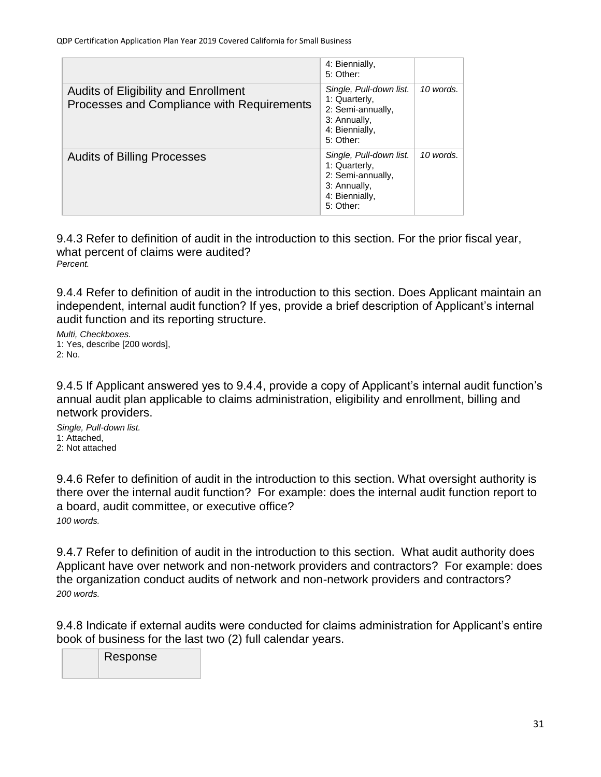|                                                                                    | 4: Biennially,<br>5: Other:                                                                                  |           |
|------------------------------------------------------------------------------------|--------------------------------------------------------------------------------------------------------------|-----------|
| Audits of Eligibility and Enrollment<br>Processes and Compliance with Requirements | Single, Pull-down list.<br>1: Quarterly,<br>2: Semi-annually,<br>3: Annually,<br>4: Biennially,<br>5: Other: | 10 words. |
| <b>Audits of Billing Processes</b>                                                 | Single, Pull-down list.<br>1: Quarterly,<br>2: Semi-annually,<br>3: Annually,<br>4: Biennially,<br>5: Other: | 10 words. |

9.4.3 Refer to definition of audit in the introduction to this section. For the prior fiscal year, what percent of claims were audited? *Percent.*

9.4.4 Refer to definition of audit in the introduction to this section. Does Applicant maintain an independent, internal audit function? If yes, provide a brief description of Applicant's internal audit function and its reporting structure.

*Multi, Checkboxes.* 1: Yes, describe [200 words], 2: No.

9.4.5 If Applicant answered yes to 9.4.4, provide a copy of Applicant's internal audit function's annual audit plan applicable to claims administration, eligibility and enrollment, billing and network providers.

*Single, Pull-down list.* 1: Attached, 2: Not attached

9.4.6 Refer to definition of audit in the introduction to this section. What oversight authority is there over the internal audit function? For example: does the internal audit function report to a board, audit committee, or executive office? *100 words.*

9.4.7 Refer to definition of audit in the introduction to this section. What audit authority does Applicant have over network and non-network providers and contractors? For example: does the organization conduct audits of network and non-network providers and contractors? *200 words.*

9.4.8 Indicate if external audits were conducted for claims administration for Applicant's entire book of business for the last two (2) full calendar years.

Response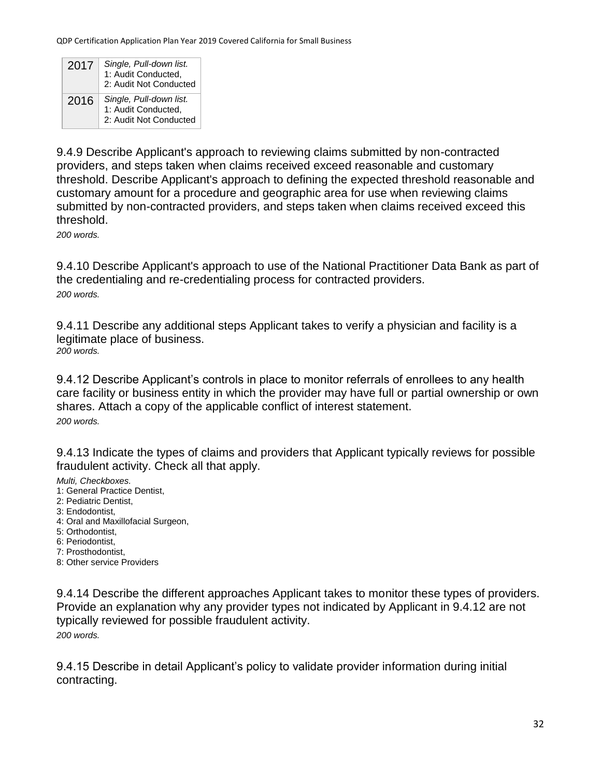| 2017 | Single, Pull-down list.<br>1: Audit Conducted,<br>2: Audit Not Conducted |
|------|--------------------------------------------------------------------------|
| 2016 | Single, Pull-down list.<br>1: Audit Conducted,<br>2: Audit Not Conducted |

9.4.9 Describe Applicant's approach to reviewing claims submitted by non-contracted providers, and steps taken when claims received exceed reasonable and customary threshold. Describe Applicant's approach to defining the expected threshold reasonable and customary amount for a procedure and geographic area for use when reviewing claims submitted by non-contracted providers, and steps taken when claims received exceed this threshold.

*200 words.*

9.4.10 Describe Applicant's approach to use of the National Practitioner Data Bank as part of the credentialing and re-credentialing process for contracted providers. *200 words.*

9.4.11 Describe any additional steps Applicant takes to verify a physician and facility is a legitimate place of business. *200 words.*

9.4.12 Describe Applicant's controls in place to monitor referrals of enrollees to any health care facility or business entity in which the provider may have full or partial ownership or own shares. Attach a copy of the applicable conflict of interest statement. *200 words.*

9.4.13 Indicate the types of claims and providers that Applicant typically reviews for possible fraudulent activity. Check all that apply.

*Multi, Checkboxes.*

- 1: General Practice Dentist,
- 2: Pediatric Dentist,
- 3: Endodontist,
- 4: Oral and Maxillofacial Surgeon,
- 5: Orthodontist,
- 6: Periodontist,
- 7: Prosthodontist,
- 8: Other service Providers

9.4.14 Describe the different approaches Applicant takes to monitor these types of providers. Provide an explanation why any provider types not indicated by Applicant in 9.4.12 are not typically reviewed for possible fraudulent activity. *200 words.*

9.4.15 Describe in detail Applicant's policy to validate provider information during initial contracting.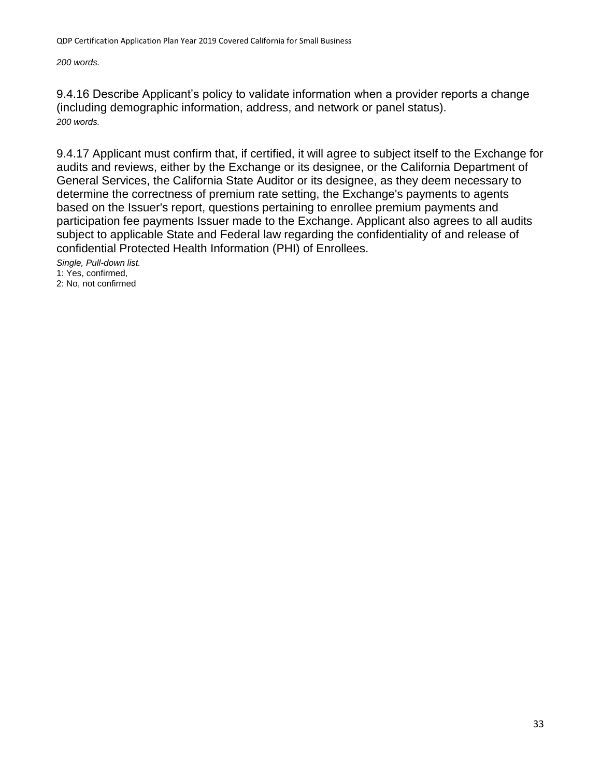*200 words.*

9.4.16 Describe Applicant's policy to validate information when a provider reports a change (including demographic information, address, and network or panel status). *200 words.*

9.4.17 Applicant must confirm that, if certified, it will agree to subject itself to the Exchange for audits and reviews, either by the Exchange or its designee, or the California Department of General Services, the California State Auditor or its designee, as they deem necessary to determine the correctness of premium rate setting, the Exchange's payments to agents based on the Issuer's report, questions pertaining to enrollee premium payments and participation fee payments Issuer made to the Exchange. Applicant also agrees to all audits subject to applicable State and Federal law regarding the confidentiality of and release of confidential Protected Health Information (PHI) of Enrollees.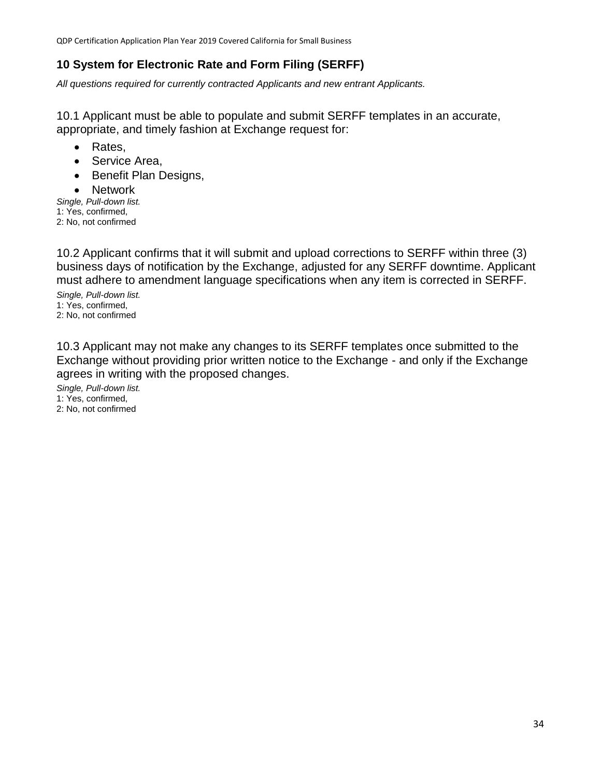### <span id="page-33-0"></span>**10 System for Electronic Rate and Form Filing (SERFF)**

*All questions required for currently contracted Applicants and new entrant Applicants.*

10.1 Applicant must be able to populate and submit SERFF templates in an accurate, appropriate, and timely fashion at Exchange request for:

- Rates.
- Service Area,
- Benefit Plan Designs,
- Network

*Single, Pull-down list.* 1: Yes, confirmed, 2: No, not confirmed

10.2 Applicant confirms that it will submit and upload corrections to SERFF within three (3) business days of notification by the Exchange, adjusted for any SERFF downtime. Applicant must adhere to amendment language specifications when any item is corrected in SERFF.

*Single, Pull-down list.* 1: Yes, confirmed, 2: No, not confirmed

10.3 Applicant may not make any changes to its SERFF templates once submitted to the Exchange without providing prior written notice to the Exchange - and only if the Exchange agrees in writing with the proposed changes.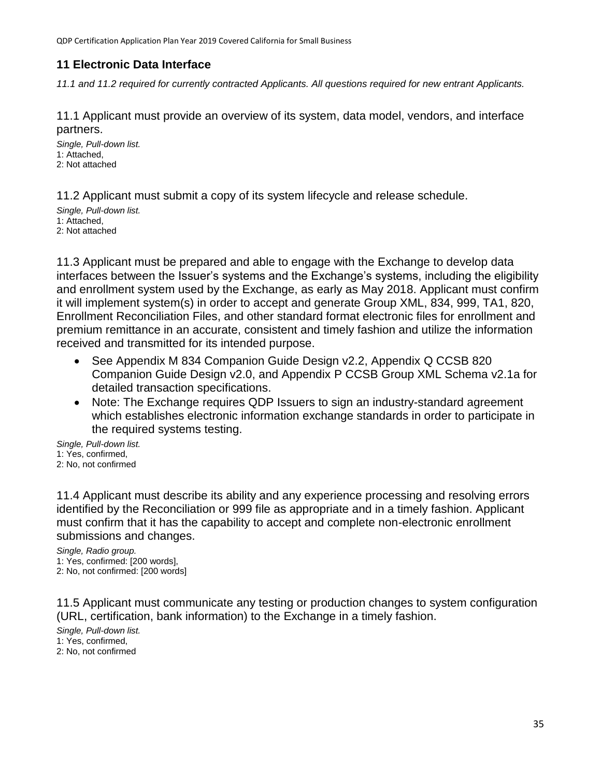#### <span id="page-34-0"></span>**11 Electronic Data Interface**

*11.1 and 11.2 required for currently contracted Applicants. All questions required for new entrant Applicants.*

11.1 Applicant must provide an overview of its system, data model, vendors, and interface partners.

*Single, Pull-down list.* 1: Attached, 2: Not attached

11.2 Applicant must submit a copy of its system lifecycle and release schedule.

*Single, Pull-down list.* 1: Attached, 2: Not attached

11.3 Applicant must be prepared and able to engage with the Exchange to develop data interfaces between the Issuer's systems and the Exchange's systems, including the eligibility and enrollment system used by the Exchange, as early as May 2018. Applicant must confirm it will implement system(s) in order to accept and generate Group XML, 834, 999, TA1, 820, Enrollment Reconciliation Files, and other standard format electronic files for enrollment and premium remittance in an accurate, consistent and timely fashion and utilize the information received and transmitted for its intended purpose.

- See Appendix M 834 Companion Guide Design v2.2, Appendix Q CCSB 820 Companion Guide Design v2.0, and Appendix P CCSB Group XML Schema v2.1a for detailed transaction specifications.
- Note: The Exchange requires QDP Issuers to sign an industry-standard agreement which establishes electronic information exchange standards in order to participate in the required systems testing.

*Single, Pull-down list.* 1: Yes, confirmed, 2: No, not confirmed

11.4 Applicant must describe its ability and any experience processing and resolving errors identified by the Reconciliation or 999 file as appropriate and in a timely fashion. Applicant must confirm that it has the capability to accept and complete non-electronic enrollment submissions and changes.

*Single, Radio group.* 1: Yes, confirmed: [200 words],

2: No, not confirmed: [200 words]

11.5 Applicant must communicate any testing or production changes to system configuration (URL, certification, bank information) to the Exchange in a timely fashion.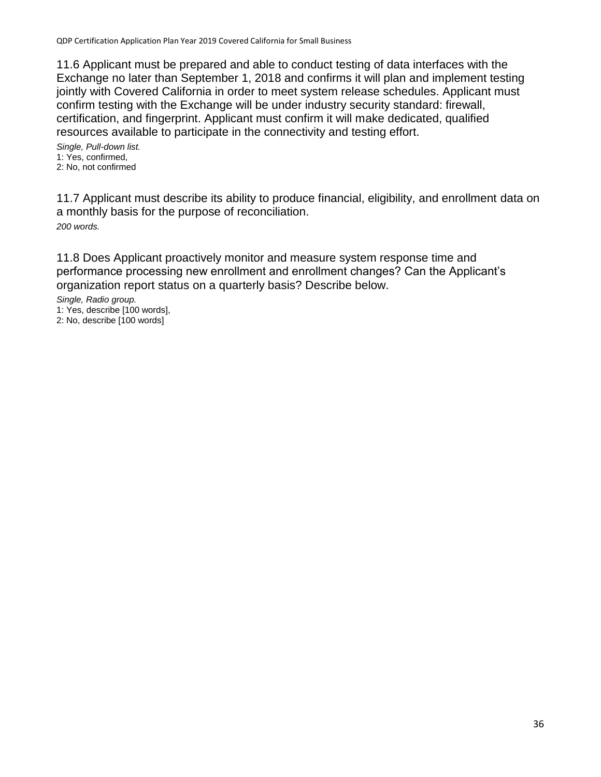11.6 Applicant must be prepared and able to conduct testing of data interfaces with the Exchange no later than September 1, 2018 and confirms it will plan and implement testing jointly with Covered California in order to meet system release schedules. Applicant must confirm testing with the Exchange will be under industry security standard: firewall, certification, and fingerprint. Applicant must confirm it will make dedicated, qualified resources available to participate in the connectivity and testing effort.

*Single, Pull-down list.* 1: Yes, confirmed, 2: No, not confirmed

11.7 Applicant must describe its ability to produce financial, eligibility, and enrollment data on a monthly basis for the purpose of reconciliation. *200 words.*

11.8 Does Applicant proactively monitor and measure system response time and performance processing new enrollment and enrollment changes? Can the Applicant's organization report status on a quarterly basis? Describe below.

*Single, Radio group.* 1: Yes, describe [100 words], 2: No, describe [100 words]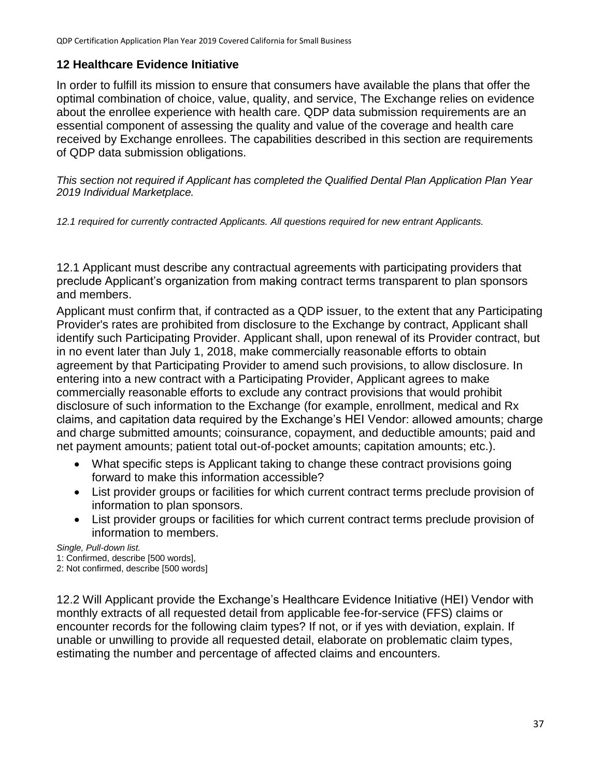### **12 Healthcare Evidence Initiative**

In order to fulfill its mission to ensure that consumers have available the plans that offer the optimal combination of choice, value, quality, and service, The Exchange relies on evidence about the enrollee experience with health care. QDP data submission requirements are an essential component of assessing the quality and value of the coverage and health care received by Exchange enrollees. The capabilities described in this section are requirements of QDP data submission obligations.

*This section not required if Applicant has completed the Qualified Dental Plan Application Plan Year 2019 Individual Marketplace.*

*12.1 required for currently contracted Applicants. All questions required for new entrant Applicants.*

12.1 Applicant must describe any contractual agreements with participating providers that preclude Applicant's organization from making contract terms transparent to plan sponsors and members.

Applicant must confirm that, if contracted as a QDP issuer, to the extent that any Participating Provider's rates are prohibited from disclosure to the Exchange by contract, Applicant shall identify such Participating Provider. Applicant shall, upon renewal of its Provider contract, but in no event later than July 1, 2018, make commercially reasonable efforts to obtain agreement by that Participating Provider to amend such provisions, to allow disclosure. In entering into a new contract with a Participating Provider, Applicant agrees to make commercially reasonable efforts to exclude any contract provisions that would prohibit disclosure of such information to the Exchange (for example, enrollment, medical and Rx claims, and capitation data required by the Exchange's HEI Vendor: allowed amounts; charge and charge submitted amounts; coinsurance, copayment, and deductible amounts; paid and net payment amounts; patient total out-of-pocket amounts; capitation amounts; etc.).

- What specific steps is Applicant taking to change these contract provisions going forward to make this information accessible?
- List provider groups or facilities for which current contract terms preclude provision of information to plan sponsors.
- List provider groups or facilities for which current contract terms preclude provision of information to members.

#### *Single, Pull-down list.*

1: Confirmed, describe [500 words],

2: Not confirmed, describe [500 words]

12.2 Will Applicant provide the Exchange's Healthcare Evidence Initiative (HEI) Vendor with monthly extracts of all requested detail from applicable fee-for-service (FFS) claims or encounter records for the following claim types? If not, or if yes with deviation, explain. If unable or unwilling to provide all requested detail, elaborate on problematic claim types, estimating the number and percentage of affected claims and encounters.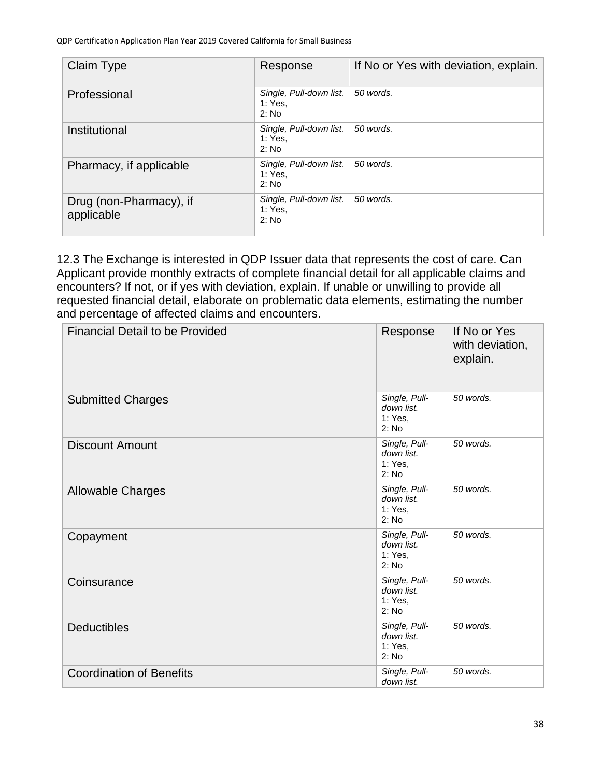| Claim Type                            | Response                                    | If No or Yes with deviation, explain. |
|---------------------------------------|---------------------------------------------|---------------------------------------|
| Professional                          | Single, Pull-down list.<br>1: Yes.<br>2: No | 50 words.                             |
| Institutional                         | Single, Pull-down list.<br>1: Yes.<br>2: No | 50 words.                             |
| Pharmacy, if applicable               | Single, Pull-down list.<br>1: Yes.<br>2: No | 50 words.                             |
| Drug (non-Pharmacy), if<br>applicable | Single, Pull-down list.<br>1: Yes.<br>2: No | 50 words.                             |

12.3 The Exchange is interested in QDP Issuer data that represents the cost of care. Can Applicant provide monthly extracts of complete financial detail for all applicable claims and encounters? If not, or if yes with deviation, explain. If unable or unwilling to provide all requested financial detail, elaborate on problematic data elements, estimating the number and percentage of affected claims and encounters.

| <b>Financial Detail to be Provided</b> | Response                                        | If No or Yes<br>with deviation,<br>explain. |
|----------------------------------------|-------------------------------------------------|---------------------------------------------|
| <b>Submitted Charges</b>               | Single, Pull-<br>down list.<br>1: Yes,<br>2: No | 50 words.                                   |
| <b>Discount Amount</b>                 | Single, Pull-<br>down list.<br>1: Yes,<br>2: No | 50 words.                                   |
| <b>Allowable Charges</b>               | Single, Pull-<br>down list.<br>1: Yes,<br>2: No | 50 words.                                   |
| Copayment                              | Single, Pull-<br>down list.<br>1: Yes,<br>2: No | 50 words.                                   |
| Coinsurance                            | Single, Pull-<br>down list.<br>1: Yes,<br>2: No | 50 words.                                   |
| <b>Deductibles</b>                     | Single, Pull-<br>down list.<br>1: Yes,<br>2: No | 50 words.                                   |
| <b>Coordination of Benefits</b>        | Single, Pull-<br>down list.                     | 50 words.                                   |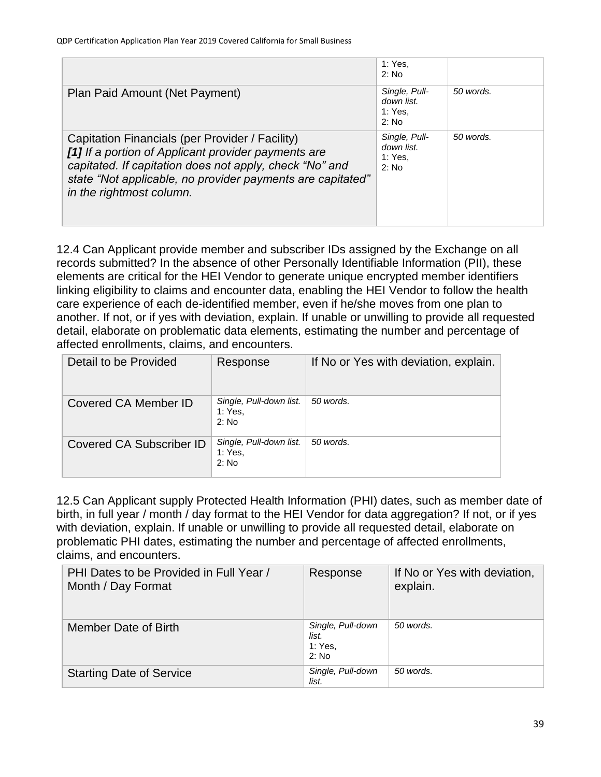|                                                                                                                                                                                                                                                             | 1: Yes,<br>2: No                                  |           |
|-------------------------------------------------------------------------------------------------------------------------------------------------------------------------------------------------------------------------------------------------------------|---------------------------------------------------|-----------|
| Plan Paid Amount (Net Payment)                                                                                                                                                                                                                              | Single, Pull-<br>down list.<br>1: Yes.<br>2: No   | 50 words. |
| Capitation Financials (per Provider / Facility)<br>[1] If a portion of Applicant provider payments are<br>capitated. If capitation does not apply, check "No" and<br>state "Not applicable, no provider payments are capitated"<br>in the rightmost column. | Single, Pull-<br>down list.<br>1: Yes.<br>$2:$ No | 50 words. |

12.4 Can Applicant provide member and subscriber IDs assigned by the Exchange on all records submitted? In the absence of other Personally Identifiable Information (PII), these elements are critical for the HEI Vendor to generate unique encrypted member identifiers linking eligibility to claims and encounter data, enabling the HEI Vendor to follow the health care experience of each de-identified member, even if he/she moves from one plan to another. If not, or if yes with deviation, explain. If unable or unwilling to provide all requested detail, elaborate on problematic data elements, estimating the number and percentage of affected enrollments, claims, and encounters.

| Detail to be Provided    | Response                                    | If No or Yes with deviation, explain. |
|--------------------------|---------------------------------------------|---------------------------------------|
| Covered CA Member ID     | Single, Pull-down list.<br>1: Yes.<br>2: No | 50 words.                             |
| Covered CA Subscriber ID | Single, Pull-down list.<br>1: Yes.<br>2: No | 50 words.                             |

12.5 Can Applicant supply Protected Health Information (PHI) dates, such as member date of birth, in full year / month / day format to the HEI Vendor for data aggregation? If not, or if yes with deviation, explain. If unable or unwilling to provide all requested detail, elaborate on problematic PHI dates, estimating the number and percentage of affected enrollments, claims, and encounters.

| PHI Dates to be Provided in Full Year /<br>Month / Day Format | Response                                       | If No or Yes with deviation,<br>explain. |
|---------------------------------------------------------------|------------------------------------------------|------------------------------------------|
| Member Date of Birth                                          | Single, Pull-down<br>list.<br>1: Yes.<br>2: No | 50 words.                                |
| <b>Starting Date of Service</b>                               | Single, Pull-down<br>list.                     | 50 words.                                |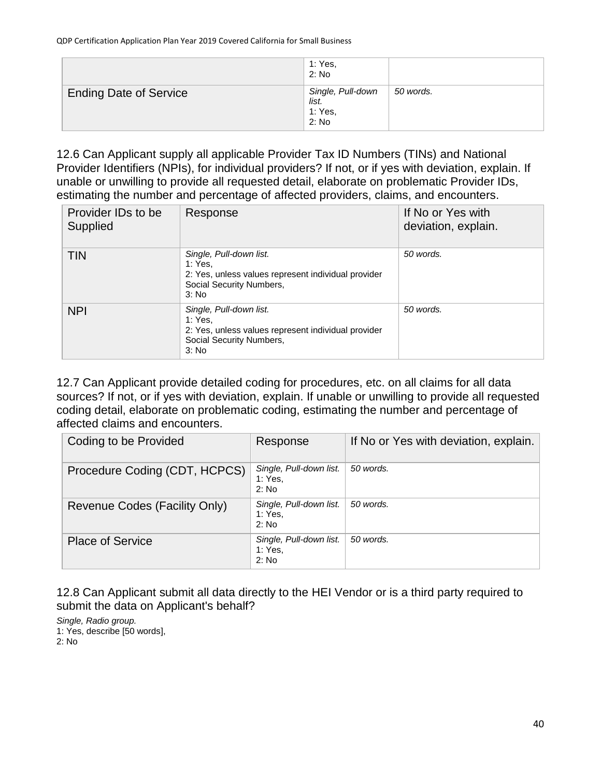|                               | 1: Yes,<br>2: No                               |           |
|-------------------------------|------------------------------------------------|-----------|
| <b>Ending Date of Service</b> | Single, Pull-down<br>list.<br>1: Yes,<br>2: No | 50 words. |

12.6 Can Applicant supply all applicable Provider Tax ID Numbers (TINs) and National Provider Identifiers (NPIs), for individual providers? If not, or if yes with deviation, explain. If unable or unwilling to provide all requested detail, elaborate on problematic Provider IDs, estimating the number and percentage of affected providers, claims, and encounters.

| Provider IDs to be<br>Supplied | Response                                                                                                                       | If No or Yes with<br>deviation, explain. |
|--------------------------------|--------------------------------------------------------------------------------------------------------------------------------|------------------------------------------|
| <b>TIN</b>                     | Single, Pull-down list.<br>1: Yes.<br>2: Yes, unless values represent individual provider<br>Social Security Numbers,<br>3: No | 50 words.                                |
| <b>NPI</b>                     | Single, Pull-down list.<br>1: Yes.<br>2: Yes, unless values represent individual provider<br>Social Security Numbers,<br>3: No | 50 words.                                |

12.7 Can Applicant provide detailed coding for procedures, etc. on all claims for all data sources? If not, or if yes with deviation, explain. If unable or unwilling to provide all requested coding detail, elaborate on problematic coding, estimating the number and percentage of affected claims and encounters.

| Coding to be Provided         | Response                                    | If No or Yes with deviation, explain. |
|-------------------------------|---------------------------------------------|---------------------------------------|
| Procedure Coding (CDT, HCPCS) | Single, Pull-down list.<br>1: Yes,<br>2: No | 50 words.                             |
| Revenue Codes (Facility Only) | Single, Pull-down list.<br>1: Yes,<br>2: No | 50 words.                             |
| <b>Place of Service</b>       | Single, Pull-down list.<br>1: Yes,<br>2: No | 50 words.                             |

12.8 Can Applicant submit all data directly to the HEI Vendor or is a third party required to submit the data on Applicant's behalf?

*Single, Radio group.* 1: Yes, describe [50 words], 2: No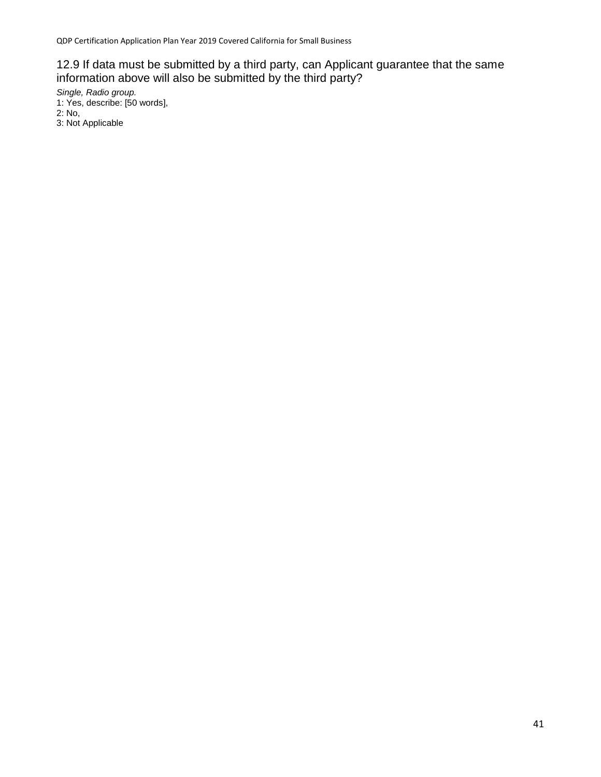### 12.9 If data must be submitted by a third party, can Applicant guarantee that the same information above will also be submitted by the third party?

*Single, Radio group.*

- 1: Yes, describe: [50 words],
- 2: No,
- 3: Not Applicable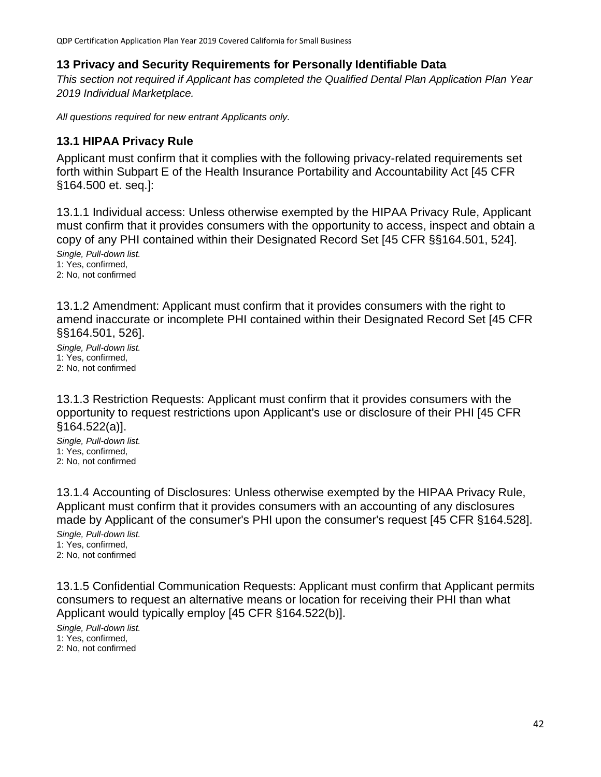### **13 Privacy and Security Requirements for Personally Identifiable Data**

*This section not required if Applicant has completed the Qualified Dental Plan Application Plan Year 2019 Individual Marketplace.*

*All questions required for new entrant Applicants only.*

### **13.1 HIPAA Privacy Rule**

Applicant must confirm that it complies with the following privacy-related requirements set forth within Subpart E of the Health Insurance Portability and Accountability Act [45 CFR §164.500 et. seq.]:

13.1.1 Individual access: Unless otherwise exempted by the HIPAA Privacy Rule, Applicant must confirm that it provides consumers with the opportunity to access, inspect and obtain a copy of any PHI contained within their Designated Record Set [45 CFR §§164.501, 524].

*Single, Pull-down list.* 1: Yes, confirmed, 2: No, not confirmed

13.1.2 Amendment: Applicant must confirm that it provides consumers with the right to amend inaccurate or incomplete PHI contained within their Designated Record Set [45 CFR §§164.501, 526].

*Single, Pull-down list.* 1: Yes, confirmed, 2: No, not confirmed

13.1.3 Restriction Requests: Applicant must confirm that it provides consumers with the opportunity to request restrictions upon Applicant's use or disclosure of their PHI [45 CFR §164.522(a)].

*Single, Pull-down list.* 1: Yes, confirmed, 2: No, not confirmed

13.1.4 Accounting of Disclosures: Unless otherwise exempted by the HIPAA Privacy Rule, Applicant must confirm that it provides consumers with an accounting of any disclosures made by Applicant of the consumer's PHI upon the consumer's request [45 CFR §164.528].

*Single, Pull-down list.* 1: Yes, confirmed, 2: No, not confirmed

13.1.5 Confidential Communication Requests: Applicant must confirm that Applicant permits consumers to request an alternative means or location for receiving their PHI than what Applicant would typically employ [45 CFR §164.522(b)].

*Single, Pull-down list.* 1: Yes, confirmed, 2: No, not confirmed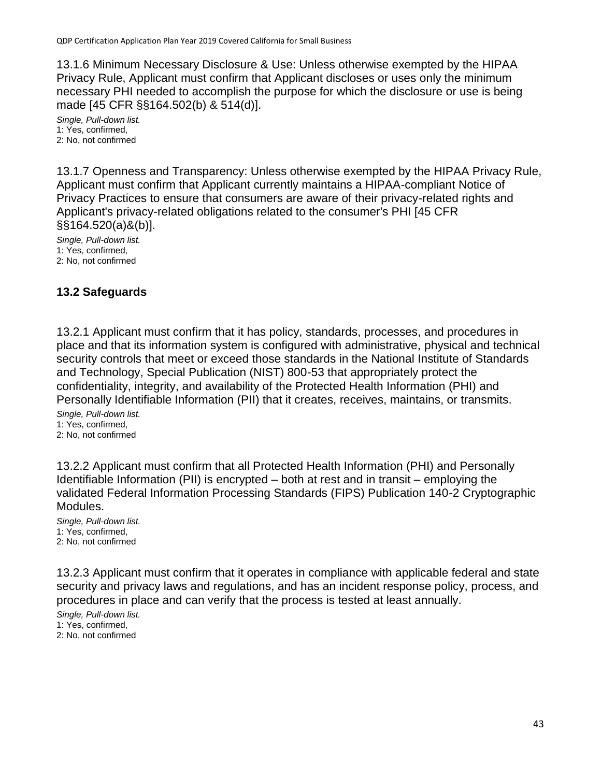13.1.6 Minimum Necessary Disclosure & Use: Unless otherwise exempted by the HIPAA Privacy Rule, Applicant must confirm that Applicant discloses or uses only the minimum necessary PHI needed to accomplish the purpose for which the disclosure or use is being made [45 CFR §§164.502(b) & 514(d)].

*Single, Pull-down list.* 1: Yes, confirmed, 2: No, not confirmed

13.1.7 Openness and Transparency: Unless otherwise exempted by the HIPAA Privacy Rule, Applicant must confirm that Applicant currently maintains a HIPAA-compliant Notice of Privacy Practices to ensure that consumers are aware of their privacy-related rights and Applicant's privacy-related obligations related to the consumer's PHI [45 CFR §§164.520(a)&(b)].

*Single, Pull-down list.* 1: Yes, confirmed, 2: No, not confirmed

# **13.2 Safeguards**

13.2.1 Applicant must confirm that it has policy, standards, processes, and procedures in place and that its information system is configured with administrative, physical and technical security controls that meet or exceed those standards in the National Institute of Standards and Technology, Special Publication (NIST) 800-53 that appropriately protect the confidentiality, integrity, and availability of the Protected Health Information (PHI) and Personally Identifiable Information (PII) that it creates, receives, maintains, or transmits.

*Single, Pull-down list.* 1: Yes, confirmed, 2: No, not confirmed

13.2.2 Applicant must confirm that all Protected Health Information (PHI) and Personally Identifiable Information (PII) is encrypted – both at rest and in transit – employing the validated Federal Information Processing Standards (FIPS) Publication 140-2 Cryptographic Modules.

*Single, Pull-down list.* 1: Yes, confirmed, 2: No, not confirmed

13.2.3 Applicant must confirm that it operates in compliance with applicable federal and state security and privacy laws and regulations, and has an incident response policy, process, and procedures in place and can verify that the process is tested at least annually.

*Single, Pull-down list.* 1: Yes, confirmed, 2: No, not confirmed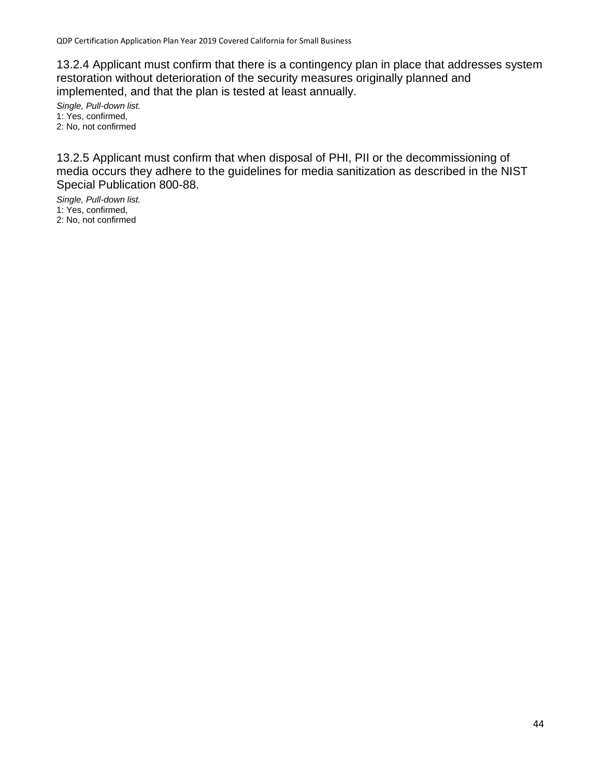13.2.4 Applicant must confirm that there is a contingency plan in place that addresses system restoration without deterioration of the security measures originally planned and implemented, and that the plan is tested at least annually.

*Single, Pull-down list.* 1: Yes, confirmed, 2: No, not confirmed

13.2.5 Applicant must confirm that when disposal of PHI, PII or the decommissioning of media occurs they adhere to the guidelines for media sanitization as described in the NIST Special Publication 800-88.

*Single, Pull-down list.* 1: Yes, confirmed, 2: No, not confirmed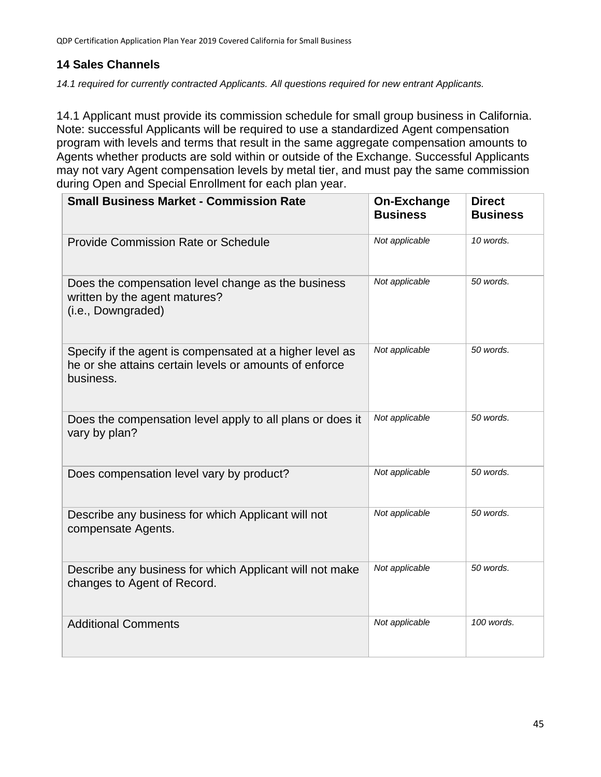# **14 Sales Channels**

*14.1 required for currently contracted Applicants. All questions required for new entrant Applicants.*

14.1 Applicant must provide its commission schedule for small group business in California. Note: successful Applicants will be required to use a standardized Agent compensation program with levels and terms that result in the same aggregate compensation amounts to Agents whether products are sold within or outside of the Exchange. Successful Applicants may not vary Agent compensation levels by metal tier, and must pay the same commission during Open and Special Enrollment for each plan year.

| <b>Small Business Market - Commission Rate</b>                                                                                  | <b>On-Exchange</b><br><b>Business</b> | <b>Direct</b><br><b>Business</b> |
|---------------------------------------------------------------------------------------------------------------------------------|---------------------------------------|----------------------------------|
| <b>Provide Commission Rate or Schedule</b>                                                                                      | Not applicable                        | 10 words.                        |
| Does the compensation level change as the business<br>written by the agent matures?<br>(i.e., Downgraded)                       | Not applicable                        | 50 words.                        |
| Specify if the agent is compensated at a higher level as<br>he or she attains certain levels or amounts of enforce<br>business. | Not applicable                        | 50 words.                        |
| Does the compensation level apply to all plans or does it<br>vary by plan?                                                      | Not applicable                        | 50 words.                        |
| Does compensation level vary by product?                                                                                        | Not applicable                        | 50 words.                        |
| Describe any business for which Applicant will not<br>compensate Agents.                                                        | Not applicable                        | 50 words.                        |
| Describe any business for which Applicant will not make<br>changes to Agent of Record.                                          | Not applicable                        | 50 words.                        |
| <b>Additional Comments</b>                                                                                                      | Not applicable                        | 100 words.                       |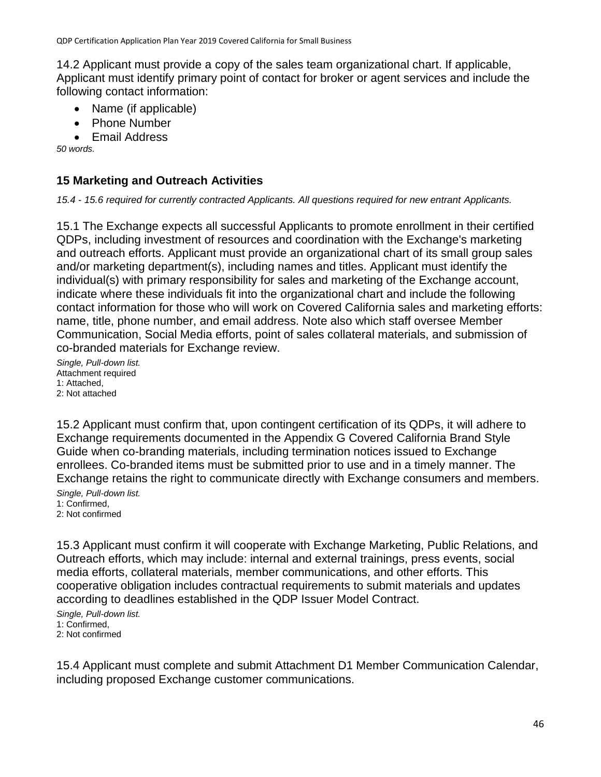14.2 Applicant must provide a copy of the sales team organizational chart. If applicable, Applicant must identify primary point of contact for broker or agent services and include the following contact information:

- Name (if applicable)
- Phone Number
- Email Address

*50 words.*

# **15 Marketing and Outreach Activities**

*15.4 - 15.6 required for currently contracted Applicants. All questions required for new entrant Applicants.*

15.1 The Exchange expects all successful Applicants to promote enrollment in their certified QDPs, including investment of resources and coordination with the Exchange's marketing and outreach efforts. Applicant must provide an organizational chart of its small group sales and/or marketing department(s), including names and titles. Applicant must identify the individual(s) with primary responsibility for sales and marketing of the Exchange account, indicate where these individuals fit into the organizational chart and include the following contact information for those who will work on Covered California sales and marketing efforts: name, title, phone number, and email address. Note also which staff oversee Member Communication, Social Media efforts, point of sales collateral materials, and submission of co-branded materials for Exchange review.

*Single, Pull-down list.* Attachment required 1: Attached, 2: Not attached

15.2 Applicant must confirm that, upon contingent certification of its QDPs, it will adhere to Exchange requirements documented in the Appendix G Covered California Brand Style Guide when co-branding materials, including termination notices issued to Exchange enrollees. Co-branded items must be submitted prior to use and in a timely manner. The Exchange retains the right to communicate directly with Exchange consumers and members.

*Single, Pull-down list.* 1: Confirmed, 2: Not confirmed

15.3 Applicant must confirm it will cooperate with Exchange Marketing, Public Relations, and Outreach efforts, which may include: internal and external trainings, press events, social media efforts, collateral materials, member communications, and other efforts. This cooperative obligation includes contractual requirements to submit materials and updates according to deadlines established in the QDP Issuer Model Contract.

*Single, Pull-down list.* 1: Confirmed, 2: Not confirmed

15.4 Applicant must complete and submit Attachment D1 Member Communication Calendar, including proposed Exchange customer communications.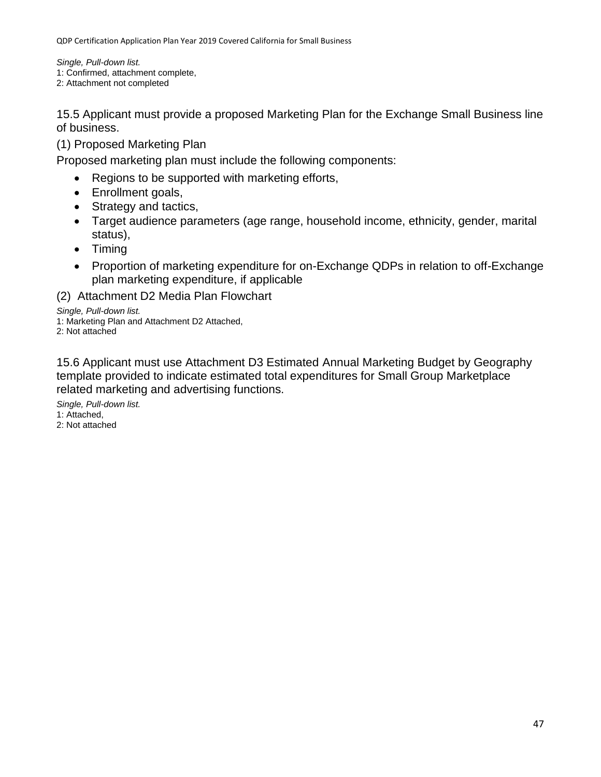*Single, Pull-down list.* 1: Confirmed, attachment complete, 2: Attachment not completed

15.5 Applicant must provide a proposed Marketing Plan for the Exchange Small Business line of business.

(1) Proposed Marketing Plan

Proposed marketing plan must include the following components:

- Regions to be supported with marketing efforts,
- Enrollment goals,
- Strategy and tactics,
- Target audience parameters (age range, household income, ethnicity, gender, marital status),
- Timing
- Proportion of marketing expenditure for on-Exchange QDPs in relation to off-Exchange plan marketing expenditure, if applicable

(2) Attachment D2 Media Plan Flowchart

*Single, Pull-down list.* 1: Marketing Plan and Attachment D2 Attached, 2: Not attached

15.6 Applicant must use Attachment D3 Estimated Annual Marketing Budget by Geography template provided to indicate estimated total expenditures for Small Group Marketplace related marketing and advertising functions.

*Single, Pull-down list.* 1: Attached, 2: Not attached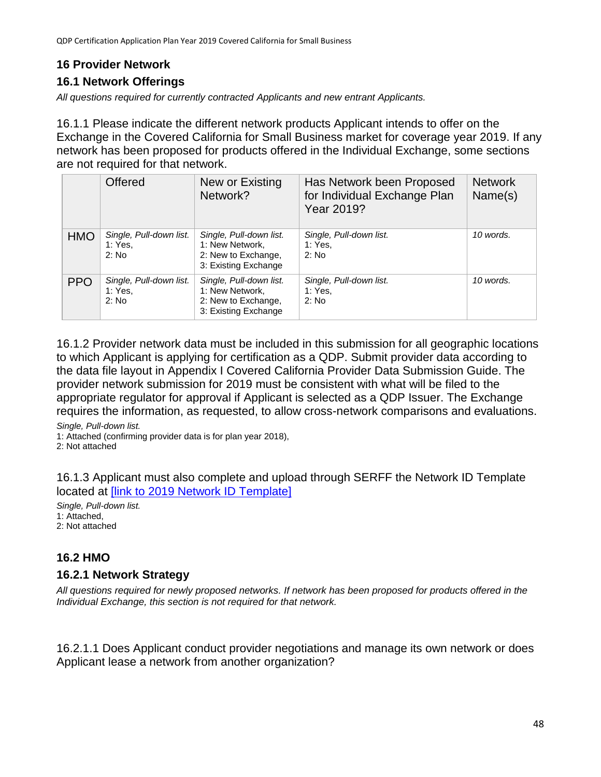# **16 Provider Network**

# **16.1 Network Offerings**

*All questions required for currently contracted Applicants and new entrant Applicants.*

16.1.1 Please indicate the different network products Applicant intends to offer on the Exchange in the Covered California for Small Business market for coverage year 2019. If any network has been proposed for products offered in the Individual Exchange, some sections are not required for that network.

|            | <b>Offered</b>                              | New or Existing<br>Network?                                                               | Has Network been Proposed<br>for Individual Exchange Plan<br>Year 2019? | <b>Network</b><br>Name(s) |
|------------|---------------------------------------------|-------------------------------------------------------------------------------------------|-------------------------------------------------------------------------|---------------------------|
| <b>HMO</b> | Single, Pull-down list.<br>1: Yes.<br>2: No | Single, Pull-down list.<br>1: New Network,<br>2: New to Exchange,<br>3: Existing Exchange | Single, Pull-down list.<br>1: Yes,<br>2: No                             | 10 words.                 |
| <b>PPO</b> | Single, Pull-down list.<br>1: Yes.<br>2: No | Single, Pull-down list.<br>1: New Network,<br>2: New to Exchange,<br>3: Existing Exchange | Single, Pull-down list.<br>1: Yes,<br>2: No                             | 10 words.                 |

16.1.2 Provider network data must be included in this submission for all geographic locations to which Applicant is applying for certification as a QDP. Submit provider data according to the data file layout in Appendix I Covered California Provider Data Submission Guide. The provider network submission for 2019 must be consistent with what will be filed to the appropriate regulator for approval if Applicant is selected as a QDP Issuer. The Exchange requires the information, as requested, to allow cross-network comparisons and evaluations.

*Single, Pull-down list.*

1: Attached (confirming provider data is for plan year 2018),

2: Not attached

16.1.3 Applicant must also complete and upload through SERFF the Network ID Template located at [\[link to 2019 Network ID Template\]](file://///CCFS02/CCGroups/@QHP/CERTIFICATION/2019/Applications/Application%20&%20Criteria%20Edits/Application%20Question%20Edits/QHP%20Individual%20Marketplace%20Certification%20Application%20Plan%20Year%202019%20-%20edits/%5blink%20to%202019%20Network%20ID%20Template%5d)

*Single, Pull-down list.* 1: Attached, 2: Not attached

# **16.2 HMO**

### **16.2.1 Network Strategy**

*All questions required for newly proposed networks. If network has been proposed for products offered in the Individual Exchange, this section is not required for that network.*

16.2.1.1 Does Applicant conduct provider negotiations and manage its own network or does Applicant lease a network from another organization?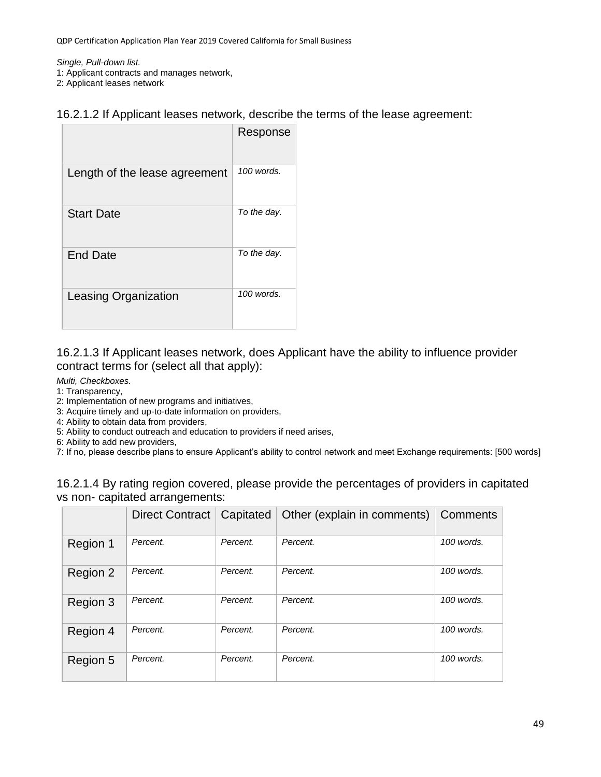*Single, Pull-down list.*

1: Applicant contracts and manages network,

2: Applicant leases network

### 16.2.1.2 If Applicant leases network, describe the terms of the lease agreement:

|                               | Response    |
|-------------------------------|-------------|
| Length of the lease agreement | 100 words.  |
| <b>Start Date</b>             | To the day. |
| <b>End Date</b>               | To the day. |
| <b>Leasing Organization</b>   | 100 words.  |

### 16.2.1.3 If Applicant leases network, does Applicant have the ability to influence provider contract terms for (select all that apply):

*Multi, Checkboxes.*

- 1: Transparency,
- 2: Implementation of new programs and initiatives,
- 3: Acquire timely and up-to-date information on providers,
- 4: Ability to obtain data from providers,
- 5: Ability to conduct outreach and education to providers if need arises,
- 6: Ability to add new providers,
- 7: If no, please describe plans to ensure Applicant's ability to control network and meet Exchange requirements: [500 words]

| 16.2.1.4 By rating region covered, please provide the percentages of providers in capitated |  |  |
|---------------------------------------------------------------------------------------------|--|--|
| vs non-capitated arrangements:                                                              |  |  |

|          | <b>Direct Contract</b> | Capitated | Other (explain in comments) | Comments   |
|----------|------------------------|-----------|-----------------------------|------------|
| Region 1 | Percent.               | Percent.  | Percent.                    | 100 words. |
| Region 2 | Percent.               | Percent.  | Percent.                    | 100 words. |
| Region 3 | Percent.               | Percent.  | Percent.                    | 100 words. |
| Region 4 | Percent.               | Percent.  | Percent.                    | 100 words. |
| Region 5 | Percent.               | Percent.  | Percent.                    | 100 words. |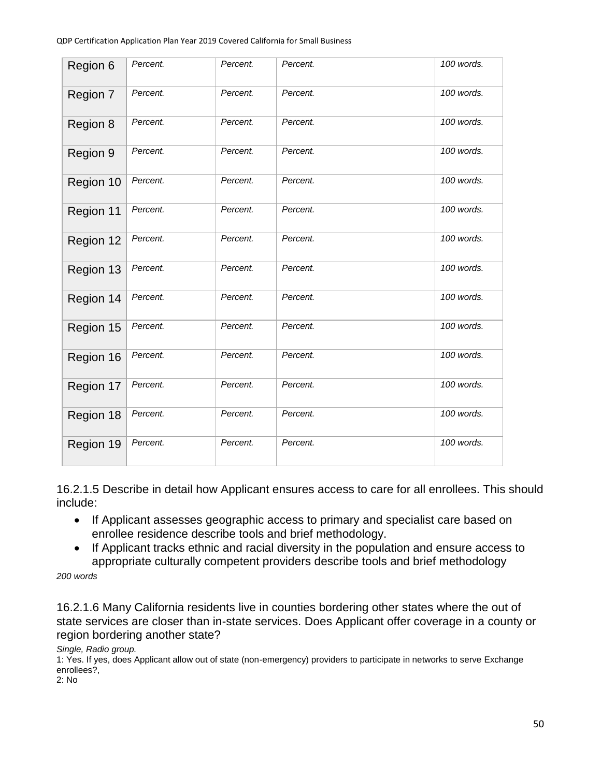| Region 6  | Percent. | Percent. | Percent. | 100 words. |
|-----------|----------|----------|----------|------------|
| Region 7  | Percent. | Percent. | Percent. | 100 words. |
| Region 8  | Percent. | Percent. | Percent. | 100 words. |
| Region 9  | Percent. | Percent. | Percent. | 100 words. |
| Region 10 | Percent. | Percent. | Percent. | 100 words. |
| Region 11 | Percent. | Percent. | Percent. | 100 words. |
| Region 12 | Percent. | Percent. | Percent. | 100 words. |
| Region 13 | Percent. | Percent. | Percent. | 100 words. |
| Region 14 | Percent. | Percent. | Percent. | 100 words. |
| Region 15 | Percent. | Percent. | Percent. | 100 words. |
| Region 16 | Percent. | Percent. | Percent. | 100 words. |
| Region 17 | Percent. | Percent. | Percent. | 100 words. |
| Region 18 | Percent. | Percent. | Percent. | 100 words. |
| Region 19 | Percent. | Percent. | Percent. | 100 words. |

16.2.1.5 Describe in detail how Applicant ensures access to care for all enrollees. This should include:

- If Applicant assesses geographic access to primary and specialist care based on enrollee residence describe tools and brief methodology.
- If Applicant tracks ethnic and racial diversity in the population and ensure access to appropriate culturally competent providers describe tools and brief methodology

*200 words*

16.2.1.6 Many California residents live in counties bordering other states where the out of state services are closer than in-state services. Does Applicant offer coverage in a county or region bordering another state?

*Single, Radio group.*

1: Yes. If yes, does Applicant allow out of state (non-emergency) providers to participate in networks to serve Exchange enrollees?,

2: No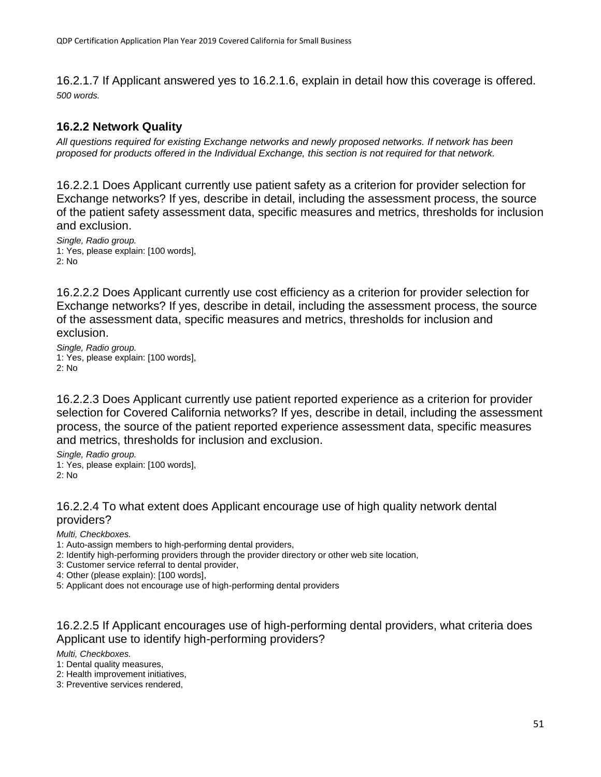16.2.1.7 If Applicant answered yes to 16.2.1.6, explain in detail how this coverage is offered. *500 words.*

# **16.2.2 Network Quality**

*All questions required for existing Exchange networks and newly proposed networks. If network has been proposed for products offered in the Individual Exchange, this section is not required for that network.*

16.2.2.1 Does Applicant currently use patient safety as a criterion for provider selection for Exchange networks? If yes, describe in detail, including the assessment process, the source of the patient safety assessment data, specific measures and metrics, thresholds for inclusion and exclusion.

*Single, Radio group.* 1: Yes, please explain: [100 words], 2: No

16.2.2.2 Does Applicant currently use cost efficiency as a criterion for provider selection for Exchange networks? If yes, describe in detail, including the assessment process, the source of the assessment data, specific measures and metrics, thresholds for inclusion and exclusion.

*Single, Radio group.* 1: Yes, please explain: [100 words], 2: No

16.2.2.3 Does Applicant currently use patient reported experience as a criterion for provider selection for Covered California networks? If yes, describe in detail, including the assessment process, the source of the patient reported experience assessment data, specific measures and metrics, thresholds for inclusion and exclusion.

*Single, Radio group.* 1: Yes, please explain: [100 words], 2: No

#### 16.2.2.4 To what extent does Applicant encourage use of high quality network dental providers?

*Multi, Checkboxes.*

1: Auto-assign members to high-performing dental providers,

2: Identify high-performing providers through the provider directory or other web site location,

3: Customer service referral to dental provider,

4: Other (please explain): [100 words],

5: Applicant does not encourage use of high-performing dental providers

### 16.2.2.5 If Applicant encourages use of high-performing dental providers, what criteria does Applicant use to identify high-performing providers?

*Multi, Checkboxes.*

1: Dental quality measures,

2: Health improvement initiatives,

3: Preventive services rendered,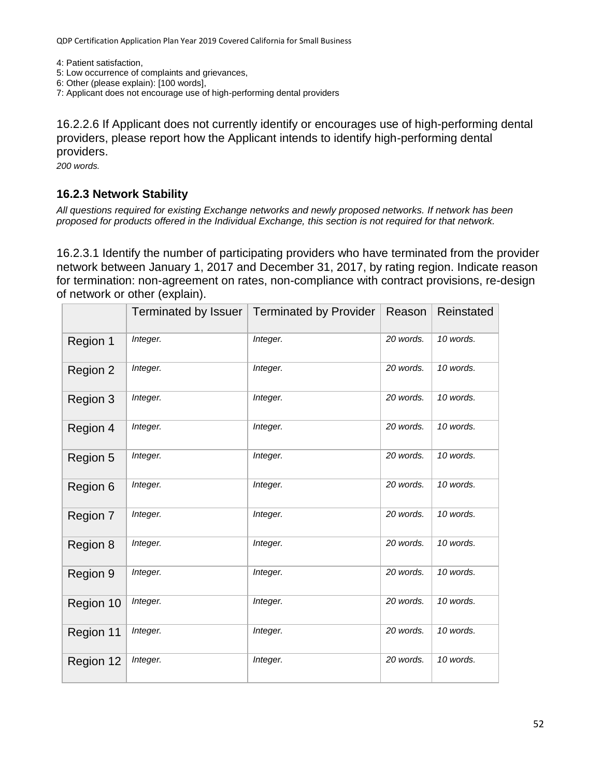4: Patient satisfaction,

- 5: Low occurrence of complaints and grievances,
- 6: Other (please explain): [100 words],
- 7: Applicant does not encourage use of high-performing dental providers

16.2.2.6 If Applicant does not currently identify or encourages use of high-performing dental providers, please report how the Applicant intends to identify high-performing dental providers.

*200 words.*

### **16.2.3 Network Stability**

*All questions required for existing Exchange networks and newly proposed networks. If network has been proposed for products offered in the Individual Exchange, this section is not required for that network.*

16.2.3.1 Identify the number of participating providers who have terminated from the provider network between January 1, 2017 and December 31, 2017, by rating region. Indicate reason for termination: non-agreement on rates, non-compliance with contract provisions, re-design of network or other (explain).

|           | Terminated by Issuer | <b>Terminated by Provider</b> | Reason    | Reinstated |
|-----------|----------------------|-------------------------------|-----------|------------|
| Region 1  | Integer.             | Integer.                      | 20 words. | 10 words.  |
| Region 2  | Integer.             | Integer.                      | 20 words. | 10 words.  |
| Region 3  | Integer.             | Integer.                      | 20 words. | 10 words.  |
| Region 4  | Integer.             | Integer.                      | 20 words. | 10 words.  |
| Region 5  | Integer.             | Integer.                      | 20 words. | 10 words.  |
| Region 6  | Integer.             | Integer.                      | 20 words. | 10 words.  |
| Region 7  | Integer.             | Integer.                      | 20 words. | 10 words.  |
| Region 8  | Integer.             | Integer.                      | 20 words. | 10 words.  |
| Region 9  | Integer.             | Integer.                      | 20 words. | 10 words.  |
| Region 10 | Integer.             | Integer.                      | 20 words. | 10 words.  |
| Region 11 | Integer.             | Integer.                      | 20 words. | 10 words.  |
| Region 12 | Integer.             | Integer.                      | 20 words. | 10 words.  |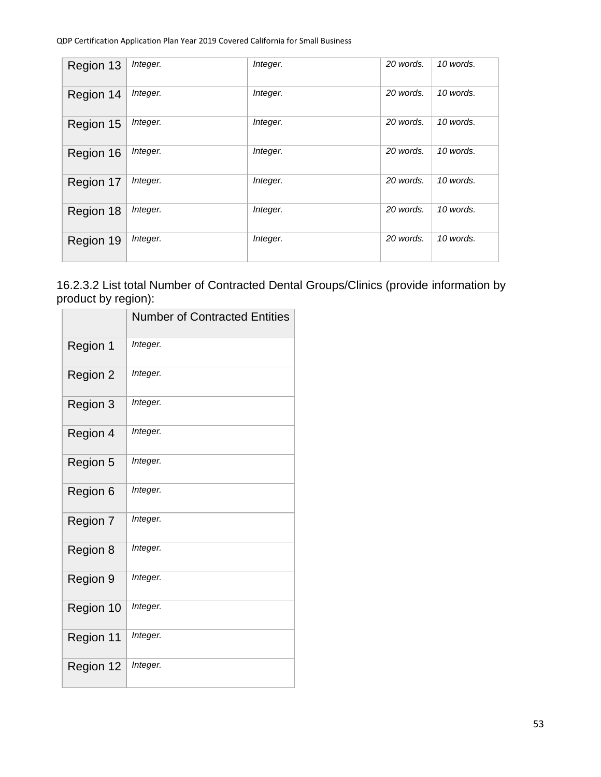| Region 13 | Integer. | Integer. | 20 words. | 10 words. |
|-----------|----------|----------|-----------|-----------|
| Region 14 | Integer. | Integer. | 20 words. | 10 words. |
| Region 15 | Integer. | Integer. | 20 words. | 10 words. |
| Region 16 | Integer. | Integer. | 20 words. | 10 words. |
| Region 17 | Integer. | Integer. | 20 words. | 10 words. |
| Region 18 | Integer. | Integer. | 20 words. | 10 words. |
| Region 19 | Integer. | Integer. | 20 words. | 10 words. |

16.2.3.2 List total Number of Contracted Dental Groups/Clinics (provide information by product by region):

|           | <b>Number of Contracted Entities</b> |
|-----------|--------------------------------------|
| Region 1  | Integer.                             |
| Region 2  | Integer.                             |
| Region 3  | Integer.                             |
| Region 4  | Integer.                             |
| Region 5  | Integer.                             |
| Region 6  | Integer.                             |
| Region 7  | Integer.                             |
| Region 8  | Integer.                             |
| Region 9  | Integer.                             |
| Region 10 | Integer.                             |
| Region 11 | Integer.                             |
| Region 12 | Integer.                             |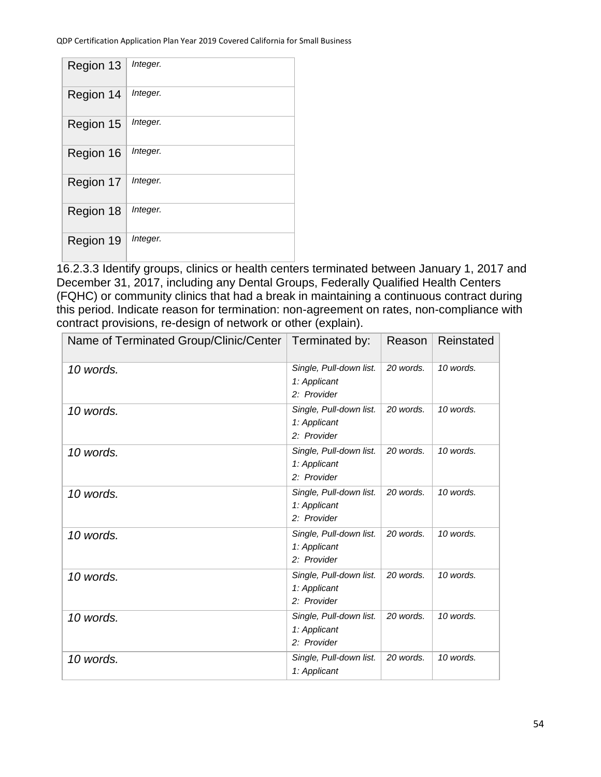| Region 13 | Integer. |
|-----------|----------|
| Region 14 | Integer. |
| Region 15 | Integer. |
| Region 16 | Integer. |
| Region 17 | Integer. |
| Region 18 | Integer. |
| Region 19 | Integer. |

16.2.3.3 Identify groups, clinics or health centers terminated between January 1, 2017 and December 31, 2017, including any Dental Groups, Federally Qualified Health Centers (FQHC) or community clinics that had a break in maintaining a continuous contract during this period. Indicate reason for termination: non-agreement on rates, non-compliance with contract provisions, re-design of network or other (explain).

| Name of Terminated Group/Clinic/Center   Terminated by: |                                                        | Reason    | Reinstated |
|---------------------------------------------------------|--------------------------------------------------------|-----------|------------|
| 10 words.                                               | Single, Pull-down list.<br>1: Applicant<br>2: Provider | 20 words. | 10 words.  |
| 10 words.                                               | Single, Pull-down list.<br>1: Applicant<br>2: Provider | 20 words. | 10 words.  |
| 10 words.                                               | Single, Pull-down list.<br>1: Applicant<br>2: Provider | 20 words. | 10 words.  |
| 10 words.                                               | Single, Pull-down list.<br>1: Applicant<br>2: Provider | 20 words. | 10 words.  |
| 10 words.                                               | Single, Pull-down list.<br>1: Applicant<br>2: Provider | 20 words. | 10 words.  |
| 10 words.                                               | Single, Pull-down list.<br>1: Applicant<br>2: Provider | 20 words. | 10 words.  |
| 10 words.                                               | Single, Pull-down list.<br>1: Applicant<br>2: Provider | 20 words. | 10 words.  |
| 10 words.                                               | Single, Pull-down list.<br>1: Applicant                | 20 words. | 10 words.  |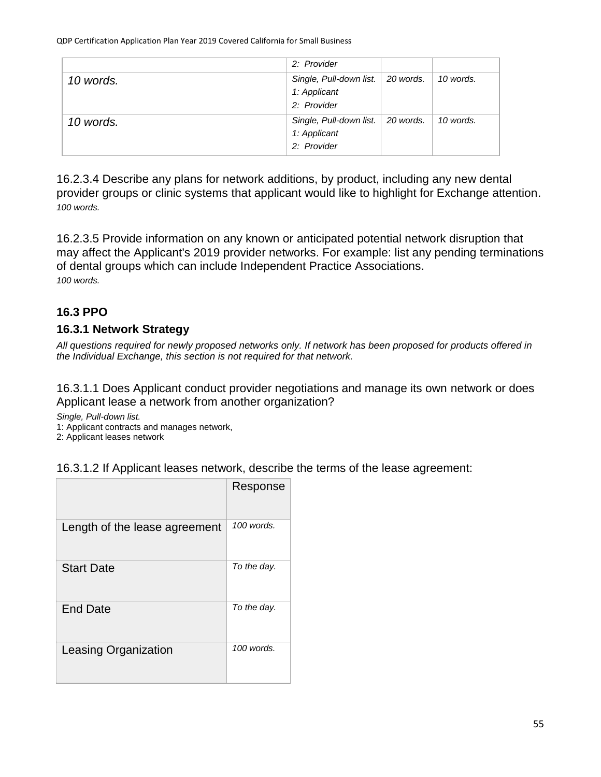|           | 2: Provider                                                        |           |
|-----------|--------------------------------------------------------------------|-----------|
| 10 words. | Single, Pull-down list.   20 words.<br>1: Applicant<br>2: Provider | 10 words. |
| 10 words. | Single, Pull-down list.   20 words.<br>1: Applicant<br>2: Provider | 10 words. |

16.2.3.4 Describe any plans for network additions, by product, including any new dental provider groups or clinic systems that applicant would like to highlight for Exchange attention. *100 words.*

16.2.3.5 Provide information on any known or anticipated potential network disruption that may affect the Applicant's 2019 provider networks. For example: list any pending terminations of dental groups which can include Independent Practice Associations. *100 words.*

# **16.3 PPO**

### **16.3.1 Network Strategy**

*All questions required for newly proposed networks only. If network has been proposed for products offered in the Individual Exchange, this section is not required for that network.*

16.3.1.1 Does Applicant conduct provider negotiations and manage its own network or does Applicant lease a network from another organization?

*Single, Pull-down list.*

1: Applicant contracts and manages network,

2: Applicant leases network

| 16.3.1.2 If Applicant leases network, describe the terms of the lease agreement: |  |  |
|----------------------------------------------------------------------------------|--|--|
|----------------------------------------------------------------------------------|--|--|

|                               | Response    |
|-------------------------------|-------------|
| Length of the lease agreement | 100 words.  |
| <b>Start Date</b>             | To the day. |
| <b>End Date</b>               | To the day. |
| <b>Leasing Organization</b>   | 100 words.  |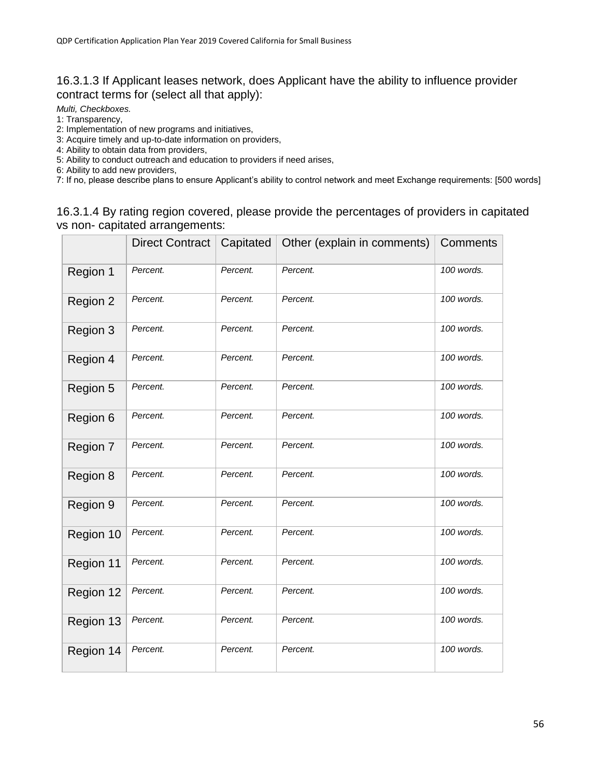### 16.3.1.3 If Applicant leases network, does Applicant have the ability to influence provider contract terms for (select all that apply):

*Multi, Checkboxes.*

1: Transparency,

2: Implementation of new programs and initiatives,

3: Acquire timely and up-to-date information on providers,

4: Ability to obtain data from providers,

5: Ability to conduct outreach and education to providers if need arises,

6: Ability to add new providers,

7: If no, please describe plans to ensure Applicant's ability to control network and meet Exchange requirements: [500 words]

#### 16.3.1.4 By rating region covered, please provide the percentages of providers in capitated vs non- capitated arrangements:

|           | <b>Direct Contract</b> | Capitated | Other (explain in comments) | Comments   |
|-----------|------------------------|-----------|-----------------------------|------------|
| Region 1  | Percent.               | Percent.  | Percent.                    | 100 words. |
| Region 2  | Percent.               | Percent.  | Percent.                    | 100 words. |
| Region 3  | Percent.               | Percent.  | Percent.                    | 100 words. |
| Region 4  | Percent.               | Percent.  | Percent.                    | 100 words. |
| Region 5  | Percent.               | Percent.  | Percent.                    | 100 words. |
| Region 6  | Percent.               | Percent.  | Percent.                    | 100 words. |
| Region 7  | Percent.               | Percent.  | Percent.                    | 100 words. |
| Region 8  | Percent.               | Percent.  | Percent.                    | 100 words. |
| Region 9  | Percent.               | Percent.  | Percent.                    | 100 words. |
| Region 10 | Percent.               | Percent.  | Percent.                    | 100 words. |
| Region 11 | Percent.               | Percent.  | Percent.                    | 100 words. |
| Region 12 | Percent.               | Percent.  | Percent.                    | 100 words. |
| Region 13 | Percent.               | Percent.  | Percent.                    | 100 words. |
| Region 14 | Percent.               | Percent.  | Percent.                    | 100 words. |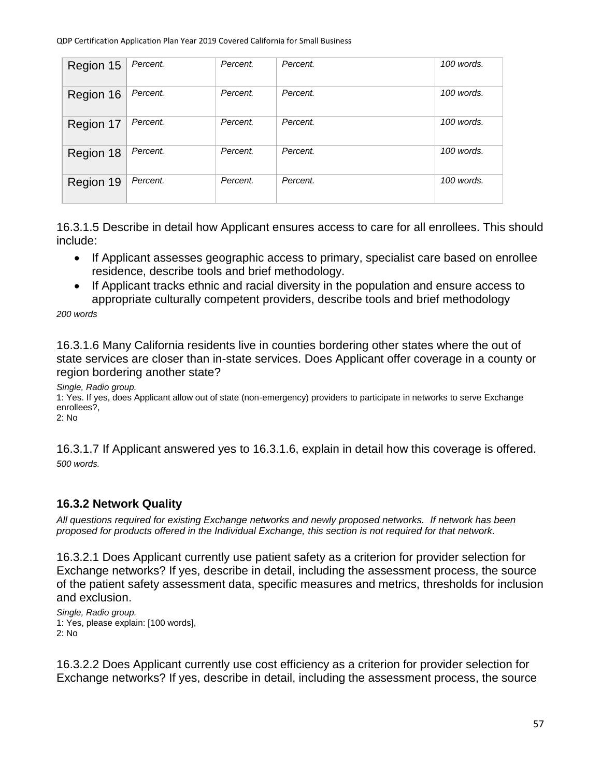| Region 15 | Percent. | Percent. | Percent. | 100 words. |
|-----------|----------|----------|----------|------------|
| Region 16 | Percent. | Percent. | Percent. | 100 words. |
| Region 17 | Percent. | Percent. | Percent. | 100 words. |
| Region 18 | Percent. | Percent. | Percent. | 100 words. |
| Region 19 | Percent. | Percent. | Percent. | 100 words. |

16.3.1.5 Describe in detail how Applicant ensures access to care for all enrollees. This should include:

- If Applicant assesses geographic access to primary, specialist care based on enrollee residence, describe tools and brief methodology.
- If Applicant tracks ethnic and racial diversity in the population and ensure access to appropriate culturally competent providers, describe tools and brief methodology

*200 words*

16.3.1.6 Many California residents live in counties bordering other states where the out of state services are closer than in-state services. Does Applicant offer coverage in a county or region bordering another state?

*Single, Radio group.*

1: Yes. If yes, does Applicant allow out of state (non-emergency) providers to participate in networks to serve Exchange enrollees?, 2: No

16.3.1.7 If Applicant answered yes to 16.3.1.6, explain in detail how this coverage is offered. *500 words.*

# **16.3.2 Network Quality**

*All questions required for existing Exchange networks and newly proposed networks. If network has been proposed for products offered in the Individual Exchange, this section is not required for that network.*

16.3.2.1 Does Applicant currently use patient safety as a criterion for provider selection for Exchange networks? If yes, describe in detail, including the assessment process, the source of the patient safety assessment data, specific measures and metrics, thresholds for inclusion and exclusion.

*Single, Radio group.* 1: Yes, please explain: [100 words], 2: No

16.3.2.2 Does Applicant currently use cost efficiency as a criterion for provider selection for Exchange networks? If yes, describe in detail, including the assessment process, the source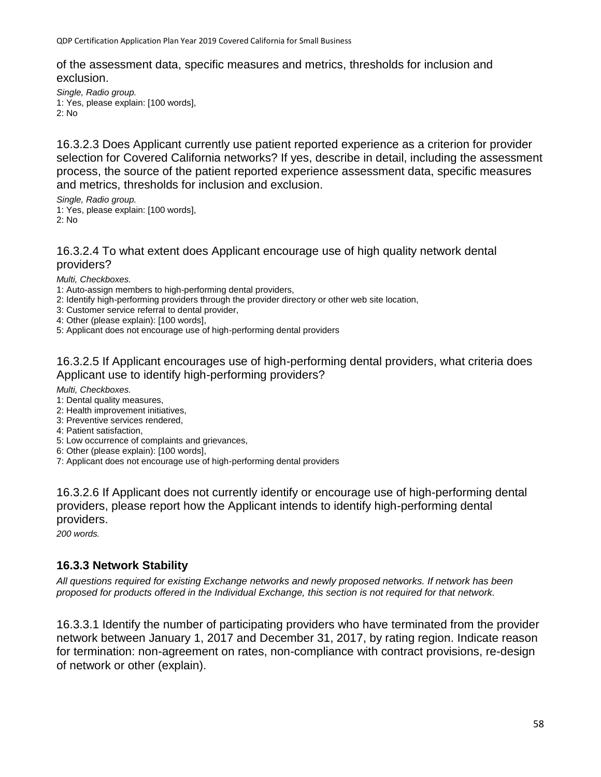of the assessment data, specific measures and metrics, thresholds for inclusion and exclusion.

*Single, Radio group.* 1: Yes, please explain: [100 words], 2: No

16.3.2.3 Does Applicant currently use patient reported experience as a criterion for provider selection for Covered California networks? If yes, describe in detail, including the assessment process, the source of the patient reported experience assessment data, specific measures and metrics, thresholds for inclusion and exclusion.

*Single, Radio group.* 1: Yes, please explain: [100 words], 2: No

16.3.2.4 To what extent does Applicant encourage use of high quality network dental providers?

*Multi, Checkboxes.*

- 1: Auto-assign members to high-performing dental providers,
- 2: Identify high-performing providers through the provider directory or other web site location,
- 3: Customer service referral to dental provider,
- 4: Other (please explain): [100 words],
- 5: Applicant does not encourage use of high-performing dental providers

16.3.2.5 If Applicant encourages use of high-performing dental providers, what criteria does Applicant use to identify high-performing providers?

*Multi, Checkboxes.*

- 1: Dental quality measures,
- 2: Health improvement initiatives,
- 3: Preventive services rendered,
- 4: Patient satisfaction,
- 5: Low occurrence of complaints and grievances,
- 6: Other (please explain): [100 words],
- 7: Applicant does not encourage use of high-performing dental providers

16.3.2.6 If Applicant does not currently identify or encourage use of high-performing dental providers, please report how the Applicant intends to identify high-performing dental providers.

*200 words.*

### **16.3.3 Network Stability**

*All questions required for existing Exchange networks and newly proposed networks. If network has been proposed for products offered in the Individual Exchange, this section is not required for that network.*

16.3.3.1 Identify the number of participating providers who have terminated from the provider network between January 1, 2017 and December 31, 2017, by rating region. Indicate reason for termination: non-agreement on rates, non-compliance with contract provisions, re-design of network or other (explain).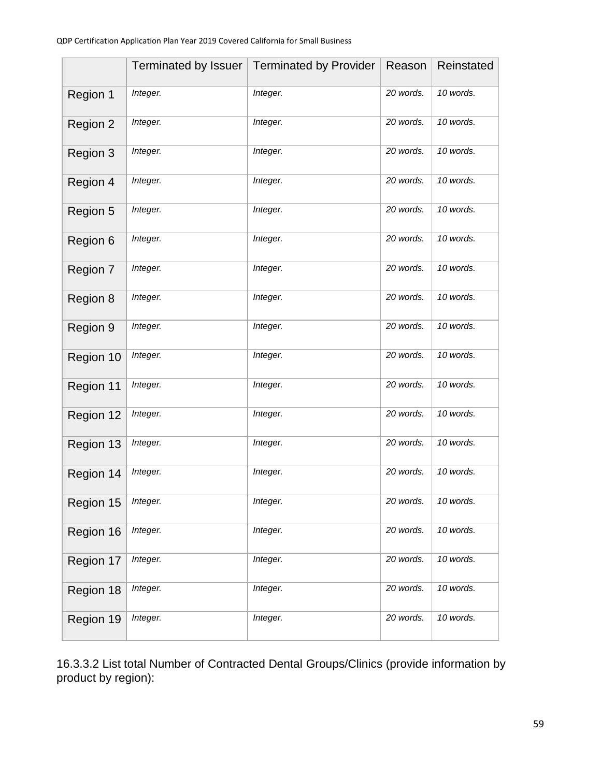|           | Terminated by Issuer | <b>Terminated by Provider</b> | Reason    | Reinstated |
|-----------|----------------------|-------------------------------|-----------|------------|
| Region 1  | Integer.             | Integer.                      | 20 words. | 10 words.  |
| Region 2  | Integer.             | Integer.                      | 20 words. | 10 words.  |
| Region 3  | Integer.             | Integer.                      | 20 words. | 10 words.  |
| Region 4  | Integer.             | Integer.                      | 20 words. | 10 words.  |
| Region 5  | Integer.             | Integer.                      | 20 words. | 10 words.  |
| Region 6  | Integer.             | Integer.                      | 20 words. | 10 words.  |
| Region 7  | Integer.             | Integer.                      | 20 words. | 10 words.  |
| Region 8  | Integer.             | Integer.                      | 20 words. | 10 words.  |
| Region 9  | Integer.             | Integer.                      | 20 words. | 10 words.  |
| Region 10 | Integer.             | Integer.                      | 20 words. | 10 words.  |
| Region 11 | Integer.             | Integer.                      | 20 words. | 10 words.  |
| Region 12 | Integer.             | Integer.                      | 20 words. | 10 words.  |
| Region 13 | Integer.             | Integer.                      | 20 words. | 10 words.  |
| Region 14 | Integer.             | Integer.                      | 20 words. | 10 words.  |
| Region 15 | Integer.             | Integer.                      | 20 words. | 10 words.  |
| Region 16 | Integer.             | Integer.                      | 20 words. | 10 words.  |
| Region 17 | Integer.             | Integer.                      | 20 words. | 10 words.  |
| Region 18 | Integer.             | Integer.                      | 20 words. | 10 words.  |
| Region 19 | Integer.             | Integer.                      | 20 words. | 10 words.  |

16.3.3.2 List total Number of Contracted Dental Groups/Clinics (provide information by product by region):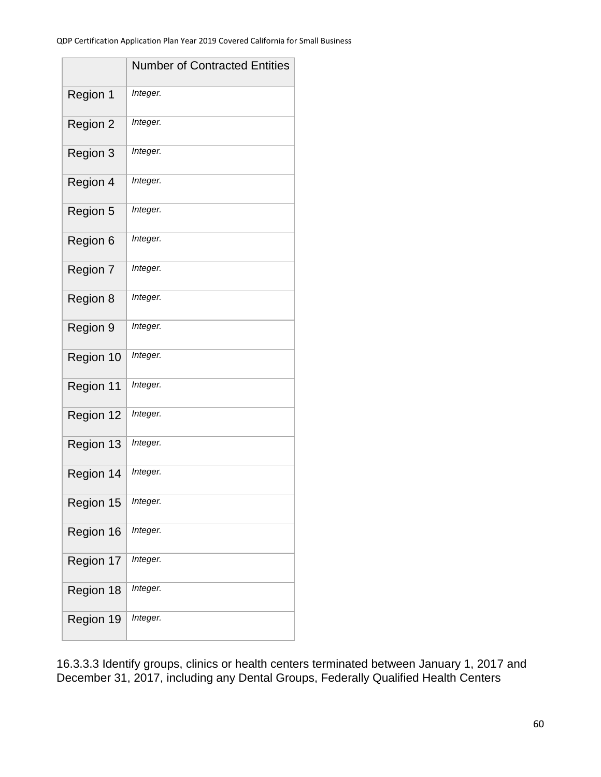|           | <b>Number of Contracted Entities</b> |
|-----------|--------------------------------------|
| Region 1  | Integer.                             |
| Region 2  | Integer.                             |
| Region 3  | Integer.                             |
| Region 4  | Integer.                             |
| Region 5  | Integer.                             |
| Region 6  | Integer.                             |
| Region 7  | Integer.                             |
| Region 8  | Integer.                             |
| Region 9  | Integer.                             |
| Region 10 | Integer.                             |
| Region 11 | Integer.                             |
| Region 12 | Integer.                             |
| Region 13 | Integer.                             |
| Region 14 | Integer.                             |
| Region 15 | Integer.                             |
| Region 16 | Integer.                             |
| Region 17 | Integer.                             |
| Region 18 | Integer.                             |
| Region 19 | Integer.                             |

16.3.3.3 Identify groups, clinics or health centers terminated between January 1, 2017 and December 31, 2017, including any Dental Groups, Federally Qualified Health Centers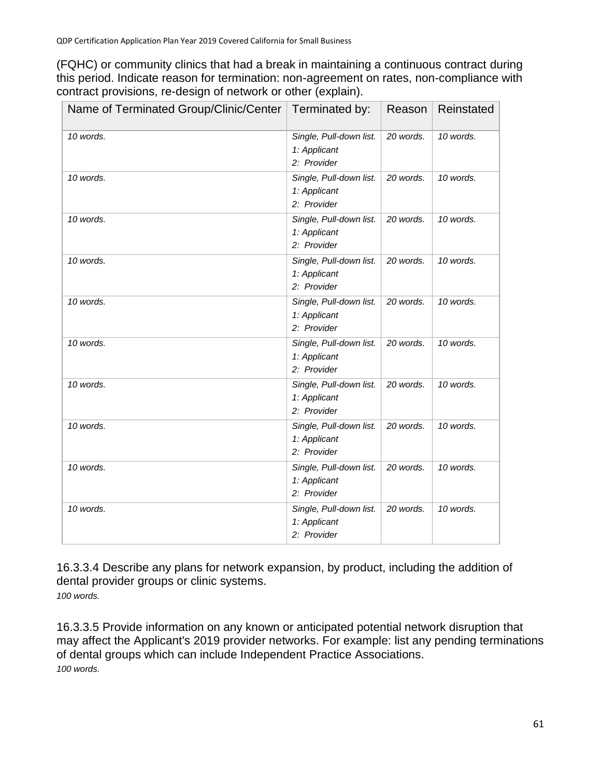(FQHC) or community clinics that had a break in maintaining a continuous contract during this period. Indicate reason for termination: non-agreement on rates, non-compliance with contract provisions, re-design of network or other (explain).

| Name of Terminated Group/Clinic/Center | Terminated by:                                         | Reason    | Reinstated |
|----------------------------------------|--------------------------------------------------------|-----------|------------|
| 10 words.                              | Single, Pull-down list.<br>1: Applicant<br>2: Provider | 20 words. | 10 words.  |
| 10 words.                              | Single, Pull-down list.<br>1: Applicant<br>2: Provider | 20 words. | 10 words.  |
| 10 words.                              | Single, Pull-down list.<br>1: Applicant<br>2: Provider | 20 words. | 10 words.  |
| 10 words.                              | Single, Pull-down list.<br>1: Applicant<br>2: Provider | 20 words. | 10 words.  |
| 10 words.                              | Single, Pull-down list.<br>1: Applicant<br>2: Provider | 20 words. | 10 words.  |
| 10 words.                              | Single, Pull-down list.<br>1: Applicant<br>2: Provider | 20 words. | 10 words.  |
| 10 words.                              | Single, Pull-down list.<br>1: Applicant<br>2: Provider | 20 words. | 10 words.  |
| 10 words.                              | Single, Pull-down list.<br>1: Applicant<br>2: Provider | 20 words. | 10 words.  |
| 10 words.                              | Single, Pull-down list.<br>1: Applicant<br>2: Provider | 20 words. | 10 words.  |
| 10 words.                              | Single, Pull-down list.<br>1: Applicant<br>2: Provider | 20 words. | 10 words.  |

16.3.3.4 Describe any plans for network expansion, by product, including the addition of dental provider groups or clinic systems. *100 words.*

16.3.3.5 Provide information on any known or anticipated potential network disruption that may affect the Applicant's 2019 provider networks. For example: list any pending terminations of dental groups which can include Independent Practice Associations. *100 words.*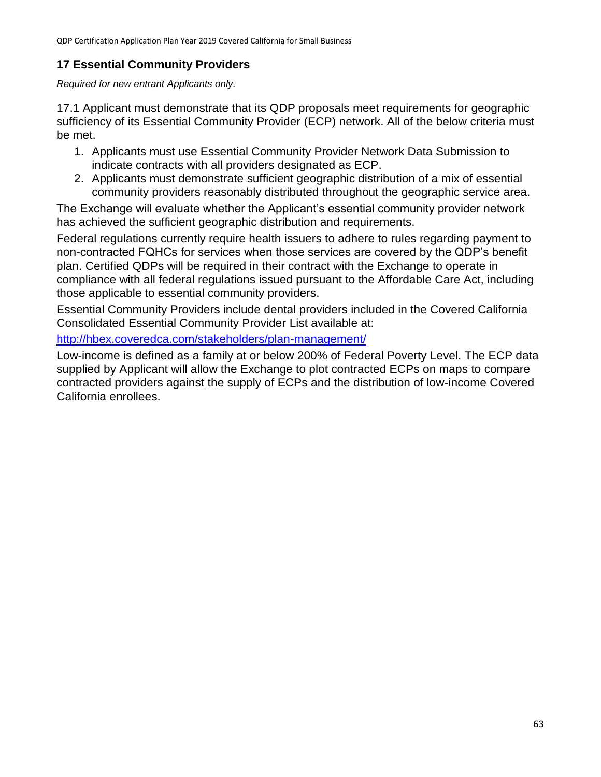# **17 Essential Community Providers**

*Required for new entrant Applicants only.*

17.1 Applicant must demonstrate that its QDP proposals meet requirements for geographic sufficiency of its Essential Community Provider (ECP) network. All of the below criteria must be met.

- 1. Applicants must use Essential Community Provider Network Data Submission to indicate contracts with all providers designated as ECP.
- 2. Applicants must demonstrate sufficient geographic distribution of a mix of essential community providers reasonably distributed throughout the geographic service area.

The Exchange will evaluate whether the Applicant's essential community provider network has achieved the sufficient geographic distribution and requirements.

Federal regulations currently require health issuers to adhere to rules regarding payment to non-contracted FQHCs for services when those services are covered by the QDP's benefit plan. Certified QDPs will be required in their contract with the Exchange to operate in compliance with all federal regulations issued pursuant to the Affordable Care Act, including those applicable to essential community providers.

Essential Community Providers include dental providers included in the Covered California Consolidated Essential Community Provider List available at:

<http://hbex.coveredca.com/stakeholders/plan-management/>

Low-income is defined as a family at or below 200% of Federal Poverty Level. The ECP data supplied by Applicant will allow the Exchange to plot contracted ECPs on maps to compare contracted providers against the supply of ECPs and the distribution of low-income Covered California enrollees.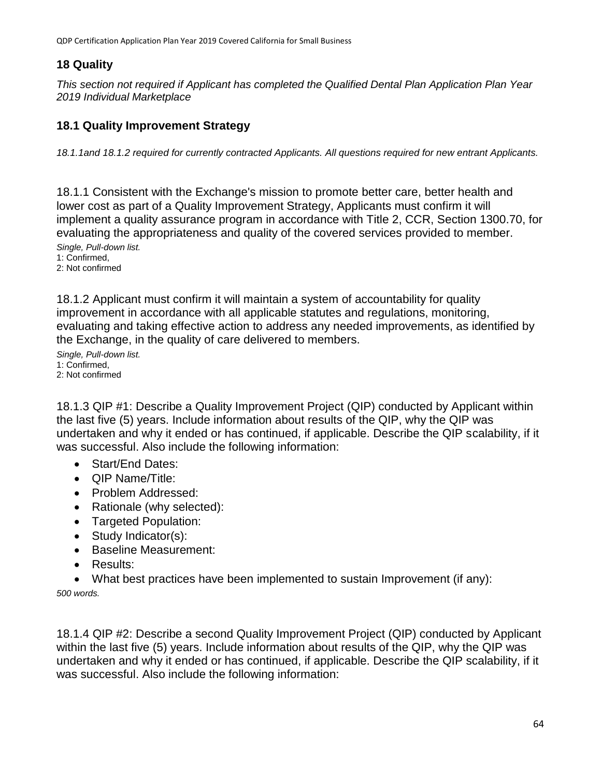# **18 Quality**

*This section not required if Applicant has completed the Qualified Dental Plan Application Plan Year 2019 Individual Marketplace*

# **18.1 Quality Improvement Strategy**

*18.1.1and 18.1.2 required for currently contracted Applicants. All questions required for new entrant Applicants.*

18.1.1 Consistent with the Exchange's mission to promote better care, better health and lower cost as part of a Quality Improvement Strategy, Applicants must confirm it will implement a quality assurance program in accordance with Title 2, CCR, Section 1300.70, for evaluating the appropriateness and quality of the covered services provided to member.

*Single, Pull-down list.* 1: Confirmed, 2: Not confirmed

18.1.2 Applicant must confirm it will maintain a system of accountability for quality improvement in accordance with all applicable statutes and regulations, monitoring, evaluating and taking effective action to address any needed improvements, as identified by the Exchange, in the quality of care delivered to members.

*Single, Pull-down list.* 1: Confirmed, 2: Not confirmed

18.1.3 QIP #1: Describe a Quality Improvement Project (QIP) conducted by Applicant within the last five (5) years. Include information about results of the QIP, why the QIP was undertaken and why it ended or has continued, if applicable. Describe the QIP scalability, if it was successful. Also include the following information:

- Start/Fnd Dates:
- **QIP Name/Title:**
- Problem Addressed:
- Rationale (why selected):
- Targeted Population:
- Study Indicator(s):
- Baseline Measurement:
- Results:
- What best practices have been implemented to sustain Improvement (if any):

*500 words.*

18.1.4 QIP #2: Describe a second Quality Improvement Project (QIP) conducted by Applicant within the last five (5) years. Include information about results of the QIP, why the QIP was undertaken and why it ended or has continued, if applicable. Describe the QIP scalability, if it was successful. Also include the following information: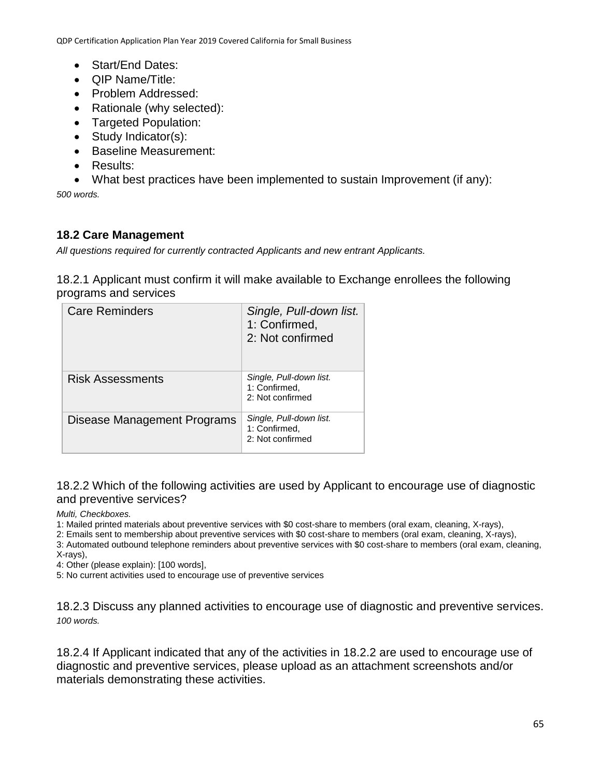- Start/End Dates:
- **QIP Name/Title:**
- Problem Addressed:
- Rationale (why selected):
- Targeted Population:
- Study Indicator(s):
- Baseline Measurement:
- Results:
- What best practices have been implemented to sustain Improvement (if any):

*500 words.*

### **18.2 Care Management**

*All questions required for currently contracted Applicants and new entrant Applicants.*

18.2.1 Applicant must confirm it will make available to Exchange enrollees the following programs and services

| <b>Care Reminders</b>       | Single, Pull-down list.<br>1: Confirmed,<br>2: Not confirmed |
|-----------------------------|--------------------------------------------------------------|
| Risk Assessments            | Single, Pull-down list.<br>1: Confirmed,<br>2: Not confirmed |
| Disease Management Programs | Single, Pull-down list.<br>1: Confirmed,<br>2: Not confirmed |

18.2.2 Which of the following activities are used by Applicant to encourage use of diagnostic and preventive services?

*Multi, Checkboxes.*

1: Mailed printed materials about preventive services with \$0 cost-share to members (oral exam, cleaning, X-rays),

2: Emails sent to membership about preventive services with \$0 cost-share to members (oral exam, cleaning, X-rays),

3: Automated outbound telephone reminders about preventive services with \$0 cost-share to members (oral exam, cleaning,

X-rays),

4: Other (please explain): [100 words],

5: No current activities used to encourage use of preventive services

18.2.3 Discuss any planned activities to encourage use of diagnostic and preventive services. *100 words.*

18.2.4 If Applicant indicated that any of the activities in 18.2.2 are used to encourage use of diagnostic and preventive services, please upload as an attachment screenshots and/or materials demonstrating these activities.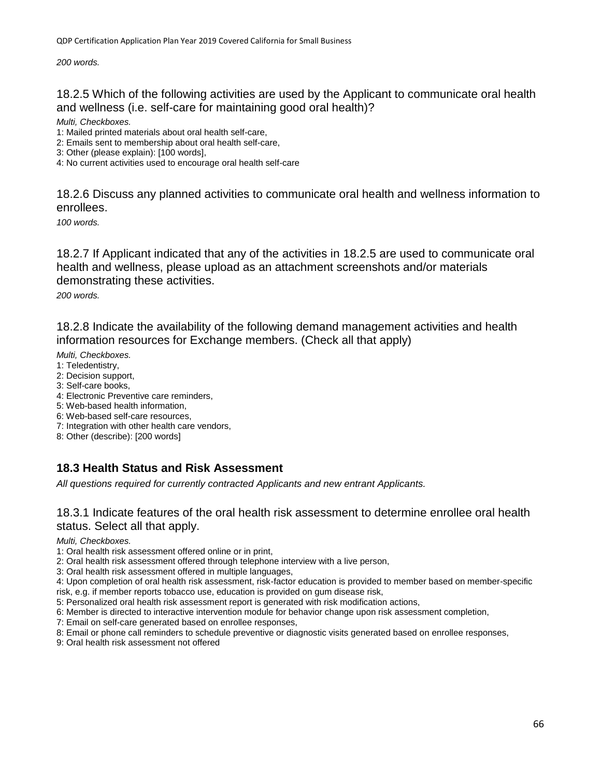*200 words.*

18.2.5 Which of the following activities are used by the Applicant to communicate oral health and wellness (i.e. self-care for maintaining good oral health)?

*Multi, Checkboxes.*

1: Mailed printed materials about oral health self-care,

2: Emails sent to membership about oral health self-care,

3: Other (please explain): [100 words],

4: No current activities used to encourage oral health self-care

18.2.6 Discuss any planned activities to communicate oral health and wellness information to enrollees.

*100 words.*

18.2.7 If Applicant indicated that any of the activities in 18.2.5 are used to communicate oral health and wellness, please upload as an attachment screenshots and/or materials demonstrating these activities.

*200 words.*

18.2.8 Indicate the availability of the following demand management activities and health information resources for Exchange members. (Check all that apply)

*Multi, Checkboxes.*

1: Teledentistry,

- 2: Decision support,
- 3: Self-care books,
- 4: Electronic Preventive care reminders,
- 5: Web-based health information,
- 6: Web-based self-care resources,
- 7: Integration with other health care vendors,

8: Other (describe): [200 words]

### **18.3 Health Status and Risk Assessment**

*All questions required for currently contracted Applicants and new entrant Applicants.*

18.3.1 Indicate features of the oral health risk assessment to determine enrollee oral health status. Select all that apply.

*Multi, Checkboxes.*

1: Oral health risk assessment offered online or in print,

2: Oral health risk assessment offered through telephone interview with a live person,

3: Oral health risk assessment offered in multiple languages,

4: Upon completion of oral health risk assessment, risk-factor education is provided to member based on member-specific risk, e.g. if member reports tobacco use, education is provided on gum disease risk,

5: Personalized oral health risk assessment report is generated with risk modification actions,

6: Member is directed to interactive intervention module for behavior change upon risk assessment completion,

7: Email on self-care generated based on enrollee responses,

8: Email or phone call reminders to schedule preventive or diagnostic visits generated based on enrollee responses,

9: Oral health risk assessment not offered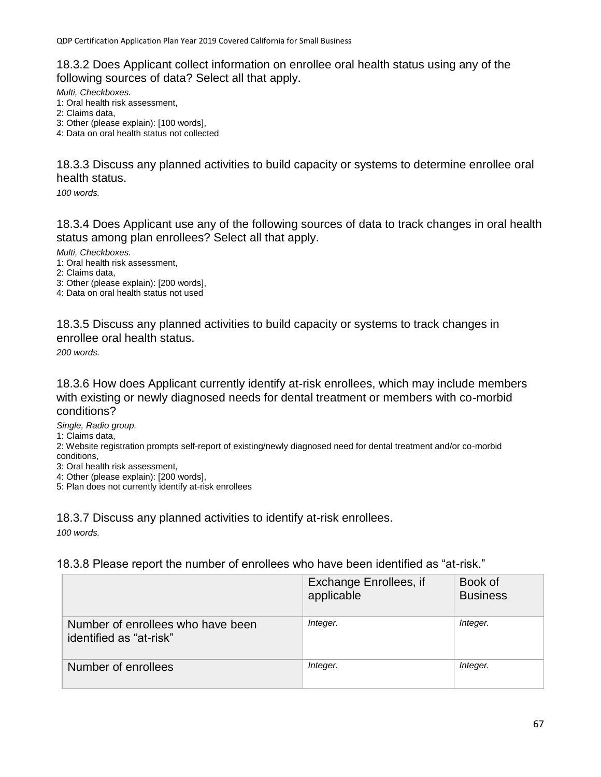18.3.2 Does Applicant collect information on enrollee oral health status using any of the following sources of data? Select all that apply.

*Multi, Checkboxes.*

- 1: Oral health risk assessment,
- 2: Claims data,
- 3: Other (please explain): [100 words],

4: Data on oral health status not collected

18.3.3 Discuss any planned activities to build capacity or systems to determine enrollee oral health status.

*100 words.*

18.3.4 Does Applicant use any of the following sources of data to track changes in oral health status among plan enrollees? Select all that apply.

*Multi, Checkboxes.*

- 1: Oral health risk assessment,
- 2: Claims data,

3: Other (please explain): [200 words],

4: Data on oral health status not used

18.3.5 Discuss any planned activities to build capacity or systems to track changes in enrollee oral health status.

*200 words.*

18.3.6 How does Applicant currently identify at-risk enrollees, which may include members with existing or newly diagnosed needs for dental treatment or members with co-morbid conditions?

*Single, Radio group.*

1: Claims data,

2: Website registration prompts self-report of existing/newly diagnosed need for dental treatment and/or co-morbid conditions,

- 3: Oral health risk assessment,
- 4: Other (please explain): [200 words],

5: Plan does not currently identify at-risk enrollees

18.3.7 Discuss any planned activities to identify at-risk enrollees. *100 words.*

18.3.8 Please report the number of enrollees who have been identified as "at-risk."

|                                                              | Exchange Enrollees, if<br>applicable | Book of<br><b>Business</b> |
|--------------------------------------------------------------|--------------------------------------|----------------------------|
| Number of enrollees who have been<br>identified as "at-risk" | Integer.                             | Integer.                   |
| Number of enrollees                                          | Integer.                             | Integer.                   |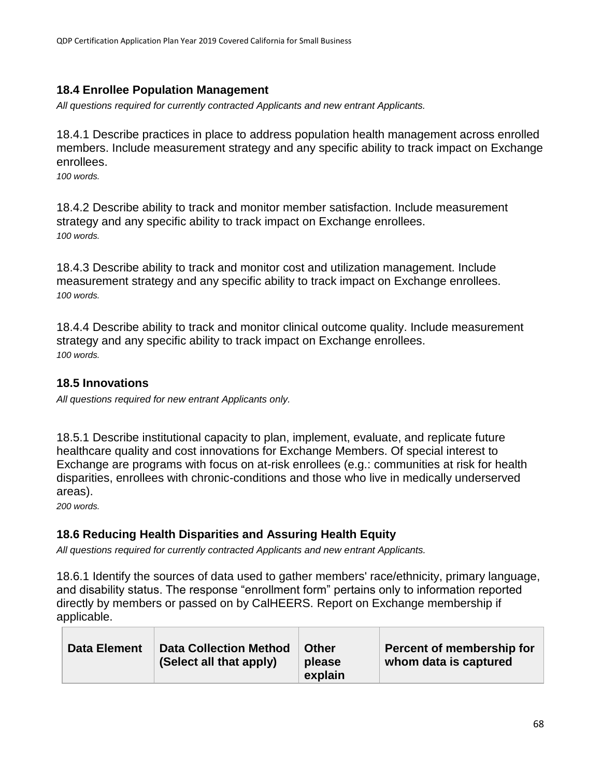# **18.4 Enrollee Population Management**

*All questions required for currently contracted Applicants and new entrant Applicants.*

18.4.1 Describe practices in place to address population health management across enrolled members. Include measurement strategy and any specific ability to track impact on Exchange enrollees.

*100 words.*

18.4.2 Describe ability to track and monitor member satisfaction. Include measurement strategy and any specific ability to track impact on Exchange enrollees. *100 words.*

18.4.3 Describe ability to track and monitor cost and utilization management. Include measurement strategy and any specific ability to track impact on Exchange enrollees. *100 words.*

18.4.4 Describe ability to track and monitor clinical outcome quality. Include measurement strategy and any specific ability to track impact on Exchange enrollees. *100 words.*

# **18.5 Innovations**

*All questions required for new entrant Applicants only.*

18.5.1 Describe institutional capacity to plan, implement, evaluate, and replicate future healthcare quality and cost innovations for Exchange Members. Of special interest to Exchange are programs with focus on at-risk enrollees (e.g.: communities at risk for health disparities, enrollees with chronic-conditions and those who live in medically underserved areas).

*200 words.*

### **18.6 Reducing Health Disparities and Assuring Health Equity**

*All questions required for currently contracted Applicants and new entrant Applicants.*

18.6.1 Identify the sources of data used to gather members' race/ethnicity, primary language, and disability status. The response "enrollment form" pertains only to information reported directly by members or passed on by CalHEERS. Report on Exchange membership if applicable.

| <b>Data Collection Method</b><br><b>Data Element</b><br>(Select all that apply) | <b>Other</b><br>please<br>explain | Percent of membership for<br>whom data is captured |
|---------------------------------------------------------------------------------|-----------------------------------|----------------------------------------------------|
|---------------------------------------------------------------------------------|-----------------------------------|----------------------------------------------------|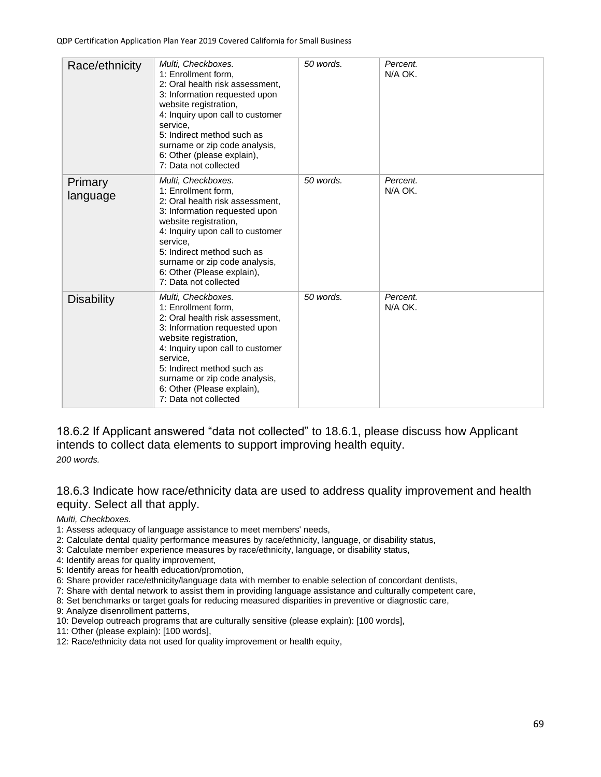| Race/ethnicity      | Multi, Checkboxes.<br>1: Enrollment form,<br>2: Oral health risk assessment,<br>3: Information requested upon<br>website registration,<br>4: Inquiry upon call to customer<br>service,<br>5: Indirect method such as<br>surname or zip code analysis,<br>6: Other (please explain),<br>7: Data not collected | 50 words. | Percent.<br>N/A OK. |
|---------------------|--------------------------------------------------------------------------------------------------------------------------------------------------------------------------------------------------------------------------------------------------------------------------------------------------------------|-----------|---------------------|
| Primary<br>language | Multi, Checkboxes.<br>1: Enrollment form,<br>2: Oral health risk assessment,<br>3: Information requested upon<br>website registration,<br>4: Inquiry upon call to customer<br>service.<br>5: Indirect method such as<br>surname or zip code analysis,<br>6: Other (Please explain),<br>7: Data not collected | 50 words. | Percent.<br>N/A OK. |
| <b>Disability</b>   | Multi, Checkboxes.<br>1: Enrollment form,<br>2: Oral health risk assessment.<br>3: Information requested upon<br>website registration,<br>4: Inquiry upon call to customer<br>service.<br>5: Indirect method such as<br>surname or zip code analysis,<br>6: Other (Please explain),<br>7: Data not collected | 50 words. | Percent.<br>N/A OK. |

18.6.2 If Applicant answered "data not collected" to 18.6.1, please discuss how Applicant intends to collect data elements to support improving health equity.

*200 words.*

18.6.3 Indicate how race/ethnicity data are used to address quality improvement and health equity. Select all that apply.

*Multi, Checkboxes.*

- 1: Assess adequacy of language assistance to meet members' needs,
- 2: Calculate dental quality performance measures by race/ethnicity, language, or disability status,
- 3: Calculate member experience measures by race/ethnicity, language, or disability status,
- 4: Identify areas for quality improvement,
- 5: Identify areas for health education/promotion,
- 6: Share provider race/ethnicity/language data with member to enable selection of concordant dentists,
- 7: Share with dental network to assist them in providing language assistance and culturally competent care,
- 8: Set benchmarks or target goals for reducing measured disparities in preventive or diagnostic care,
- 9: Analyze disenrollment patterns,
- 10: Develop outreach programs that are culturally sensitive (please explain): [100 words],
- 11: Other (please explain): [100 words],
- 12: Race/ethnicity data not used for quality improvement or health equity,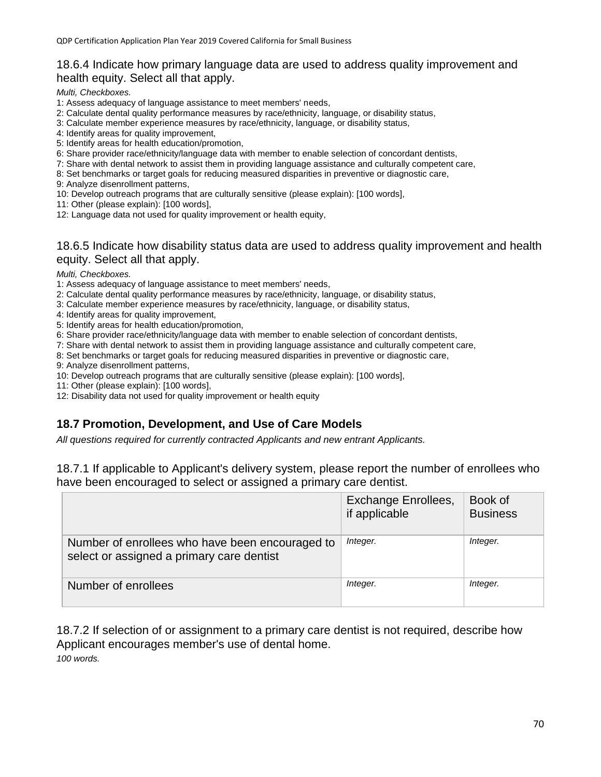#### 18.6.4 Indicate how primary language data are used to address quality improvement and health equity. Select all that apply.

*Multi, Checkboxes.*

- 1: Assess adequacy of language assistance to meet members' needs,
- 2: Calculate dental quality performance measures by race/ethnicity, language, or disability status,
- 3: Calculate member experience measures by race/ethnicity, language, or disability status,
- 4: Identify areas for quality improvement,
- 5: Identify areas for health education/promotion,
- 6: Share provider race/ethnicity/language data with member to enable selection of concordant dentists,

7: Share with dental network to assist them in providing language assistance and culturally competent care,

- 8: Set benchmarks or target goals for reducing measured disparities in preventive or diagnostic care,
- 9: Analyze disenrollment patterns,
- 10: Develop outreach programs that are culturally sensitive (please explain): [100 words],
- 11: Other (please explain): [100 words],
- 12: Language data not used for quality improvement or health equity,

#### 18.6.5 Indicate how disability status data are used to address quality improvement and health equity. Select all that apply.

#### *Multi, Checkboxes.*

- 1: Assess adequacy of language assistance to meet members' needs,
- 2: Calculate dental quality performance measures by race/ethnicity, language, or disability status,
- 3: Calculate member experience measures by race/ethnicity, language, or disability status,
- 4: Identify areas for quality improvement,
- 5: Identify areas for health education/promotion,
- 6: Share provider race/ethnicity/language data with member to enable selection of concordant dentists,
- 7: Share with dental network to assist them in providing language assistance and culturally competent care,
- 8: Set benchmarks or target goals for reducing measured disparities in preventive or diagnostic care,
- 9: Analyze disenrollment patterns,
- 10: Develop outreach programs that are culturally sensitive (please explain): [100 words],
- 11: Other (please explain): [100 words],
- 12: Disability data not used for quality improvement or health equity

### **18.7 Promotion, Development, and Use of Care Models**

*All questions required for currently contracted Applicants and new entrant Applicants.*

18.7.1 If applicable to Applicant's delivery system, please report the number of enrollees who have been encouraged to select or assigned a primary care dentist.

|                                                                                              | <b>Exchange Enrollees,</b><br>if applicable | Book of<br><b>Business</b> |
|----------------------------------------------------------------------------------------------|---------------------------------------------|----------------------------|
| Number of enrollees who have been encouraged to<br>select or assigned a primary care dentist | Integer.                                    | Integer.                   |
| Number of enrollees                                                                          | Integer.                                    | Integer.                   |

18.7.2 If selection of or assignment to a primary care dentist is not required, describe how Applicant encourages member's use of dental home. *100 words.*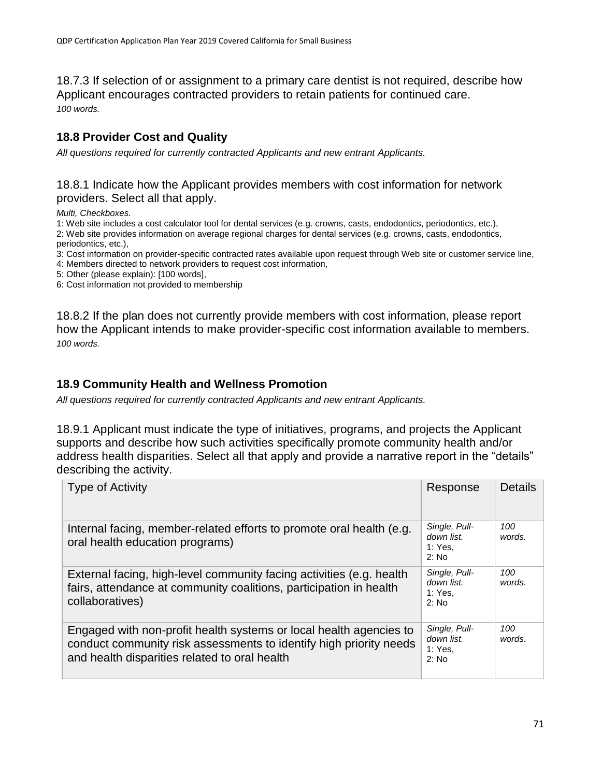18.7.3 If selection of or assignment to a primary care dentist is not required, describe how Applicant encourages contracted providers to retain patients for continued care. *100 words.*

# **18.8 Provider Cost and Quality**

*All questions required for currently contracted Applicants and new entrant Applicants.*

#### 18.8.1 Indicate how the Applicant provides members with cost information for network providers. Select all that apply.

*Multi, Checkboxes.*

1: Web site includes a cost calculator tool for dental services (e.g. crowns, casts, endodontics, periodontics, etc.),

2: Web site provides information on average regional charges for dental services (e.g. crowns, casts, endodontics, periodontics, etc.),

3: Cost information on provider-specific contracted rates available upon request through Web site or customer service line,

- 4: Members directed to network providers to request cost information,
- 5: Other (please explain): [100 words],

6: Cost information not provided to membership

18.8.2 If the plan does not currently provide members with cost information, please report how the Applicant intends to make provider-specific cost information available to members. *100 words.*

### **18.9 Community Health and Wellness Promotion**

*All questions required for currently contracted Applicants and new entrant Applicants.*

18.9.1 Applicant must indicate the type of initiatives, programs, and projects the Applicant supports and describe how such activities specifically promote community health and/or address health disparities. Select all that apply and provide a narrative report in the "details" describing the activity.

| <b>Type of Activity</b>                                                                                                                                                                   | Response                                          | <b>Details</b> |
|-------------------------------------------------------------------------------------------------------------------------------------------------------------------------------------------|---------------------------------------------------|----------------|
| Internal facing, member-related efforts to promote oral health (e.g.<br>oral health education programs)                                                                                   | Single, Pull-<br>down list.<br>1: Yes.<br>2: No   | 100<br>words.  |
| External facing, high-level community facing activities (e.g. health<br>fairs, attendance at community coalitions, participation in health<br>collaboratives)                             | Single, Pull-<br>down list.<br>1: Yes.<br>$2:$ No | 100<br>words.  |
| Engaged with non-profit health systems or local health agencies to<br>conduct community risk assessments to identify high priority needs<br>and health disparities related to oral health | Single, Pull-<br>down list.<br>1: Yes.<br>2: No   | 100<br>words.  |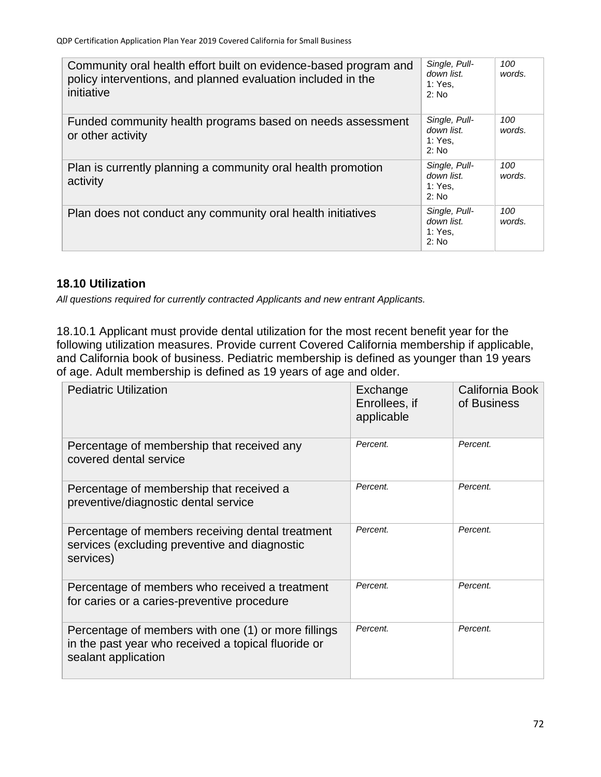| Community oral health effort built on evidence-based program and<br>policy interventions, and planned evaluation included in the<br>initiative | Single, Pull-<br>down list.<br>1: Yes.<br>2: No | 100<br>words. |
|------------------------------------------------------------------------------------------------------------------------------------------------|-------------------------------------------------|---------------|
| Funded community health programs based on needs assessment<br>or other activity                                                                | Single, Pull-<br>down list.<br>1: Yes.<br>2: No | 100<br>words. |
| Plan is currently planning a community oral health promotion<br>activity                                                                       | Single, Pull-<br>down list.<br>1: Yes.<br>2: No | 100<br>words. |
| Plan does not conduct any community oral health initiatives                                                                                    | Single, Pull-<br>down list.<br>1: Yes.<br>2: No | 100<br>words. |

### **18.10 Utilization**

*All questions required for currently contracted Applicants and new entrant Applicants.*

18.10.1 Applicant must provide dental utilization for the most recent benefit year for the following utilization measures. Provide current Covered California membership if applicable, and California book of business. Pediatric membership is defined as younger than 19 years of age. Adult membership is defined as 19 years of age and older.

| <b>Pediatric Utilization</b>                                                                                                      | Exchange<br>Enrollees, if<br>applicable | California Book<br>of Business |
|-----------------------------------------------------------------------------------------------------------------------------------|-----------------------------------------|--------------------------------|
| Percentage of membership that received any<br>covered dental service                                                              | Percent.                                | Percent.                       |
| Percentage of membership that received a<br>preventive/diagnostic dental service                                                  | Percent.                                | Percent.                       |
| Percentage of members receiving dental treatment<br>services (excluding preventive and diagnostic<br>services)                    | Percent.                                | Percent.                       |
| Percentage of members who received a treatment<br>for caries or a caries-preventive procedure                                     | Percent.                                | Percent.                       |
| Percentage of members with one (1) or more fillings<br>in the past year who received a topical fluoride or<br>sealant application | Percent.                                | Percent.                       |